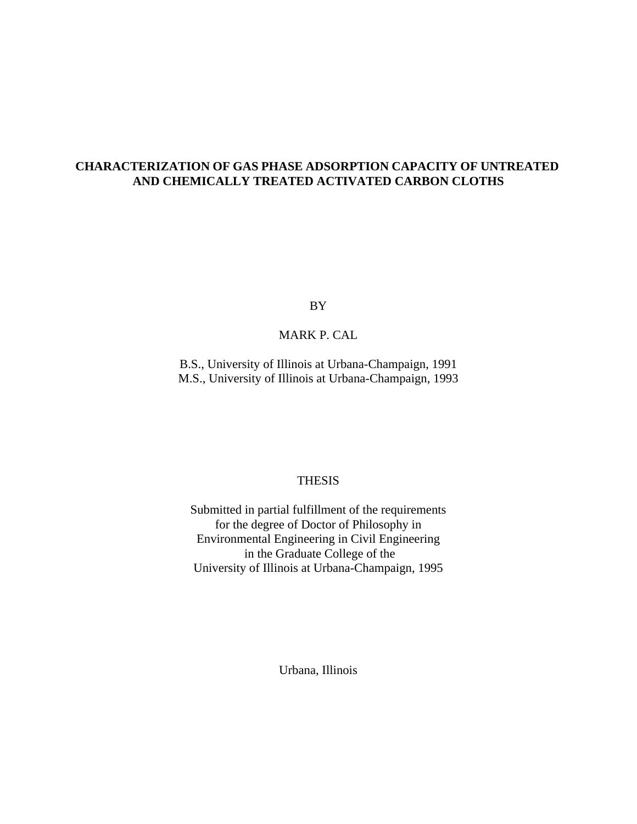## **CHARACTERIZATION OF GAS PHASE ADSORPTION CAPACITY OF UNTREATED AND CHEMICALLY TREATED ACTIVATED CARBON CLOTHS**

BY

### MARK P. CAL

B.S., University of Illinois at Urbana-Champaign, 1991 M.S., University of Illinois at Urbana-Champaign, 1993

### **THESIS**

Submitted in partial fulfillment of the requirements for the degree of Doctor of Philosophy in Environmental Engineering in Civil Engineering in the Graduate College of the University of Illinois at Urbana-Champaign, 1995

Urbana, Illinois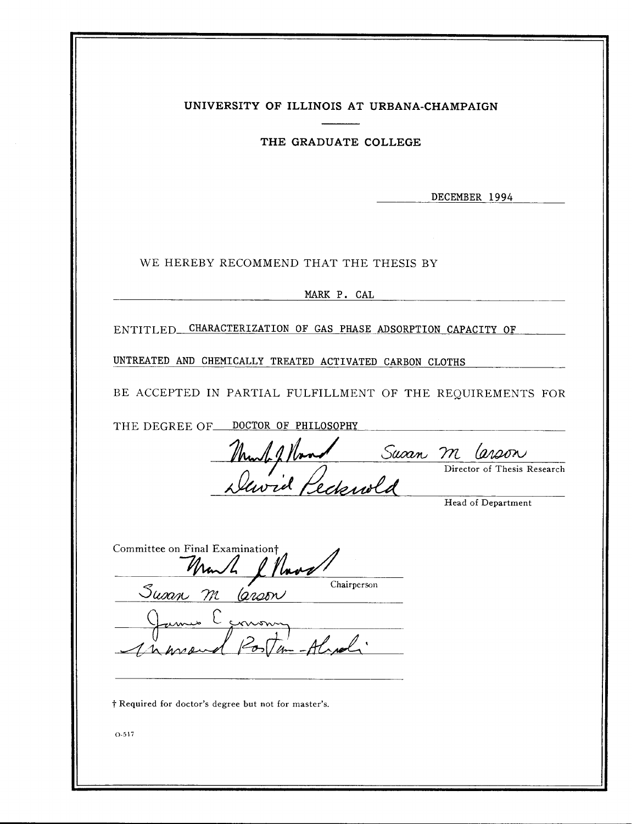|  |  |  |  | UNIVERSITY OF ILLINOIS AT URBANA-CHAMPAIGN |
|--|--|--|--|--------------------------------------------|
|--|--|--|--|--------------------------------------------|

THE GRADUATE COLLEGE

DECEMBER 1994

WE HEREBY RECOMMEND THAT THE THESIS BY

MARK P. CAL

ENTITLED CHARACTERIZATION OF GAS PHASE ADSORPTION CAPACITY OF

UNTREATED AND CHEMICALLY TREATED ACTIVATED CARBON CLOTHS

BE ACCEPTED IN PARTIAL FULFILLMENT OF THE REQUIREMENTS FOR

THE DEGREE OF DOCTOR OF PHILOSOPHY

Munk & Nood Susan M Arson

Head of Department

Committee on Final Examination† Manh & Nave Chairperson

†Required for doctor's degree but not for master's.

 $O-517$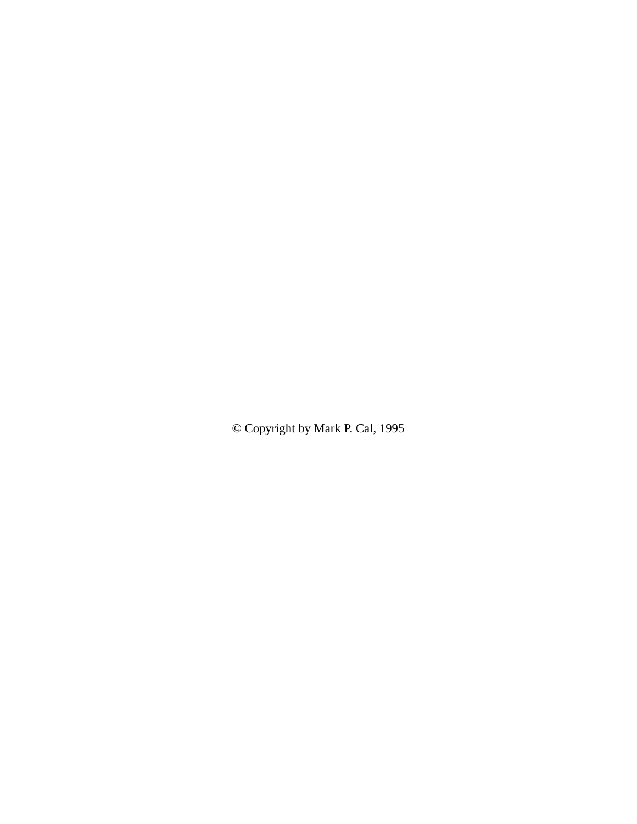© Copyright by Mark P. Cal, 1995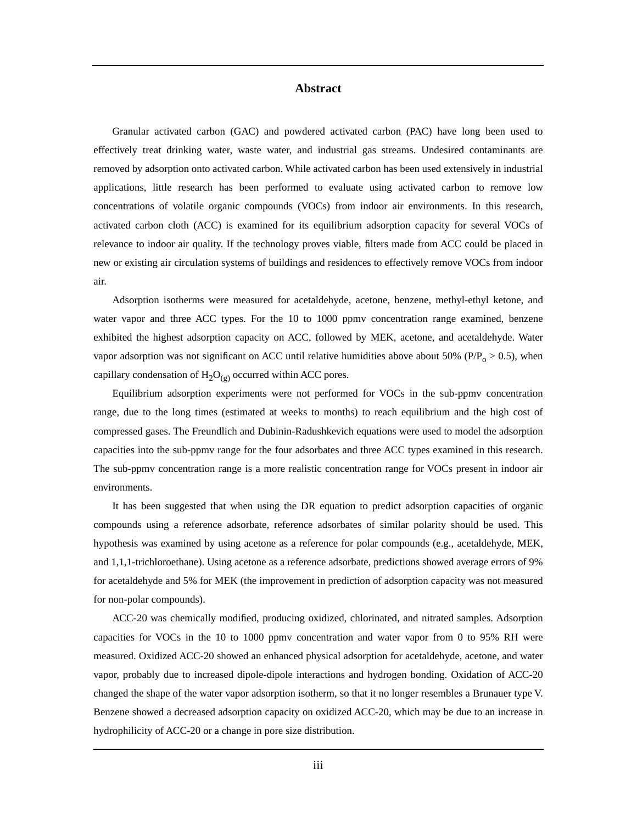### **Abstract**

Granular activated carbon (GAC) and powdered activated carbon (PAC) have long been used to effectively treat drinking water, waste water, and industrial gas streams. Undesired contaminants are removed by adsorption onto activated carbon. While activated carbon has been used extensively in industrial applications, little research has been performed to evaluate using activated carbon to remove low concentrations of volatile organic compounds (VOCs) from indoor air environments. In this research, activated carbon cloth (ACC) is examined for its equilibrium adsorption capacity for several VOCs of relevance to indoor air quality. If the technology proves viable, filters made from ACC could be placed in new or existing air circulation systems of buildings and residences to effectively remove VOCs from indoor air.

Adsorption isotherms were measured for acetaldehyde, acetone, benzene, methyl-ethyl ketone, and water vapor and three ACC types. For the 10 to 1000 ppmv concentration range examined, benzene exhibited the highest adsorption capacity on ACC, followed by MEK, acetone, and acetaldehyde. Water vapor adsorption was not significant on ACC until relative humidities above about 50% ( $P/P_0 > 0.5$ ), when capillary condensation of  $H_2O_{(g)}$  occurred within ACC pores.

Equilibrium adsorption experiments were not performed for VOCs in the sub-ppmv concentration range, due to the long times (estimated at weeks to months) to reach equilibrium and the high cost of compressed gases. The Freundlich and Dubinin-Radushkevich equations were used to model the adsorption capacities into the sub-ppmv range for the four adsorbates and three ACC types examined in this research. The sub-ppmv concentration range is a more realistic concentration range for VOCs present in indoor air environments.

It has been suggested that when using the DR equation to predict adsorption capacities of organic compounds using a reference adsorbate, reference adsorbates of similar polarity should be used. This hypothesis was examined by using acetone as a reference for polar compounds (e.g., acetaldehyde, MEK, and 1,1,1-trichloroethane). Using acetone as a reference adsorbate, predictions showed average errors of 9% for acetaldehyde and 5% for MEK (the improvement in prediction of adsorption capacity was not measured for non-polar compounds).

ACC-20 was chemically modified, producing oxidized, chlorinated, and nitrated samples. Adsorption capacities for VOCs in the 10 to 1000 ppmv concentration and water vapor from 0 to 95% RH were measured. Oxidized ACC-20 showed an enhanced physical adsorption for acetaldehyde, acetone, and water vapor, probably due to increased dipole-dipole interactions and hydrogen bonding. Oxidation of ACC-20 changed the shape of the water vapor adsorption isotherm, so that it no longer resembles a Brunauer type V. Benzene showed a decreased adsorption capacity on oxidized ACC-20, which may be due to an increase in hydrophilicity of ACC-20 or a change in pore size distribution.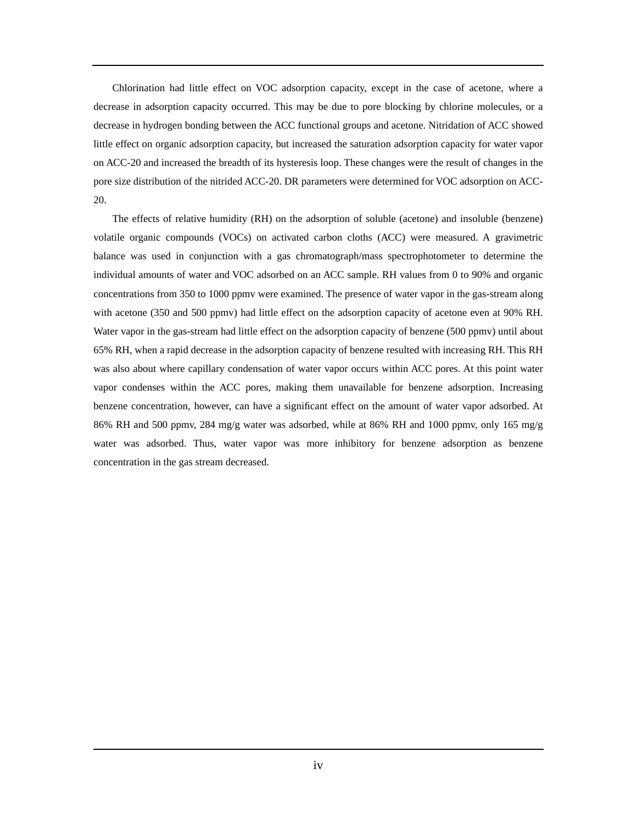Chlorination had little effect on VOC adsorption capacity, except in the case of acetone, where a decrease in adsorption capacity occurred. This may be due to pore blocking by chlorine molecules, or a decrease in hydrogen bonding between the ACC functional groups and acetone. Nitridation of ACC showed little effect on organic adsorption capacity, but increased the saturation adsorption capacity for water vapor on ACC-20 and increased the breadth of its hysteresis loop. These changes were the result of changes in the pore size distribution of the nitrided ACC-20. DR parameters were determined for VOC adsorption on ACC-20.

The effects of relative humidity (RH) on the adsorption of soluble (acetone) and insoluble (benzene) volatile organic compounds (VOCs) on activated carbon cloths (ACC) were measured. A gravimetric balance was used in conjunction with a gas chromatograph/mass spectrophotometer to determine the individual amounts of water and VOC adsorbed on an ACC sample. RH values from 0 to 90% and organic concentrations from 350 to 1000 ppmv were examined. The presence of water vapor in the gas-stream along with acetone (350 and 500 ppmv) had little effect on the adsorption capacity of acetone even at 90% RH. Water vapor in the gas-stream had little effect on the adsorption capacity of benzene (500 ppmv) until about 65% RH, when a rapid decrease in the adsorption capacity of benzene resulted with increasing RH. This RH was also about where capillary condensation of water vapor occurs within ACC pores. At this point water vapor condenses within the ACC pores, making them unavailable for benzene adsorption. Increasing benzene concentration, however, can have a significant effect on the amount of water vapor adsorbed. At 86% RH and 500 ppmv, 284 mg/g water was adsorbed, while at 86% RH and 1000 ppmv, only 165 mg/g water was adsorbed. Thus, water vapor was more inhibitory for benzene adsorption as benzene concentration in the gas stream decreased.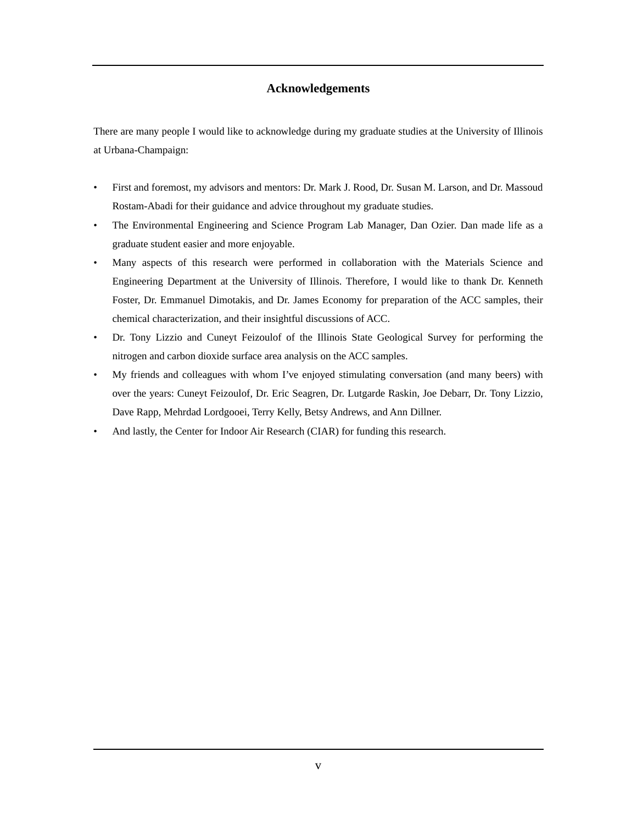### **Acknowledgements**

There are many people I would like to acknowledge during my graduate studies at the University of Illinois at Urbana-Champaign:

- First and foremost, my advisors and mentors: Dr. Mark J. Rood, Dr. Susan M. Larson, and Dr. Massoud Rostam-Abadi for their guidance and advice throughout my graduate studies.
- The Environmental Engineering and Science Program Lab Manager, Dan Ozier. Dan made life as a graduate student easier and more enjoyable.
- Many aspects of this research were performed in collaboration with the Materials Science and Engineering Department at the University of Illinois. Therefore, I would like to thank Dr. Kenneth Foster, Dr. Emmanuel Dimotakis, and Dr. James Economy for preparation of the ACC samples, their chemical characterization, and their insightful discussions of ACC.
- Dr. Tony Lizzio and Cuneyt Feizoulof of the Illinois State Geological Survey for performing the nitrogen and carbon dioxide surface area analysis on the ACC samples.
- My friends and colleagues with whom I've enjoyed stimulating conversation (and many beers) with over the years: Cuneyt Feizoulof, Dr. Eric Seagren, Dr. Lutgarde Raskin, Joe Debarr, Dr. Tony Lizzio, Dave Rapp, Mehrdad Lordgooei, Terry Kelly, Betsy Andrews, and Ann Dillner.
- And lastly, the Center for Indoor Air Research (CIAR) for funding this research.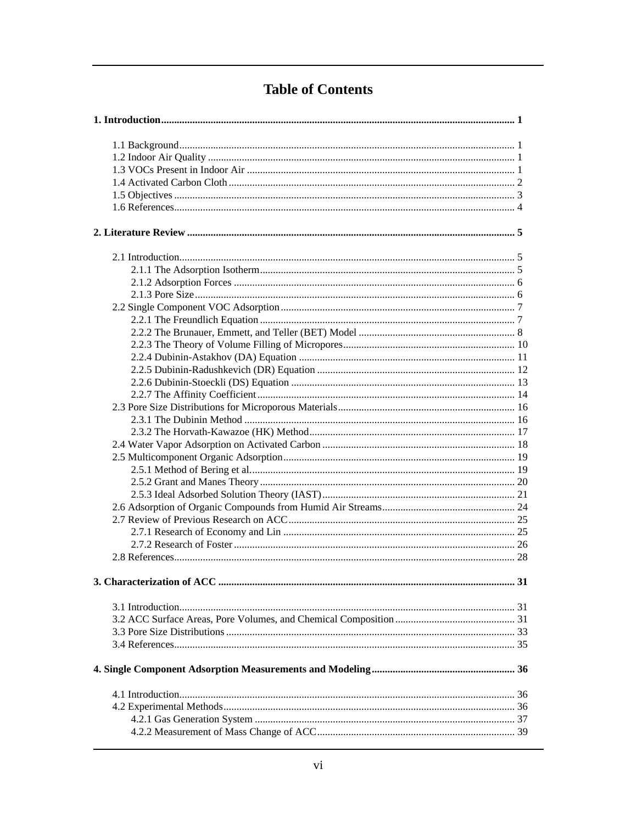## **Table of Contents**

| .31 |
|-----|
|     |
|     |
|     |
|     |
|     |
|     |
|     |
|     |
|     |
|     |
|     |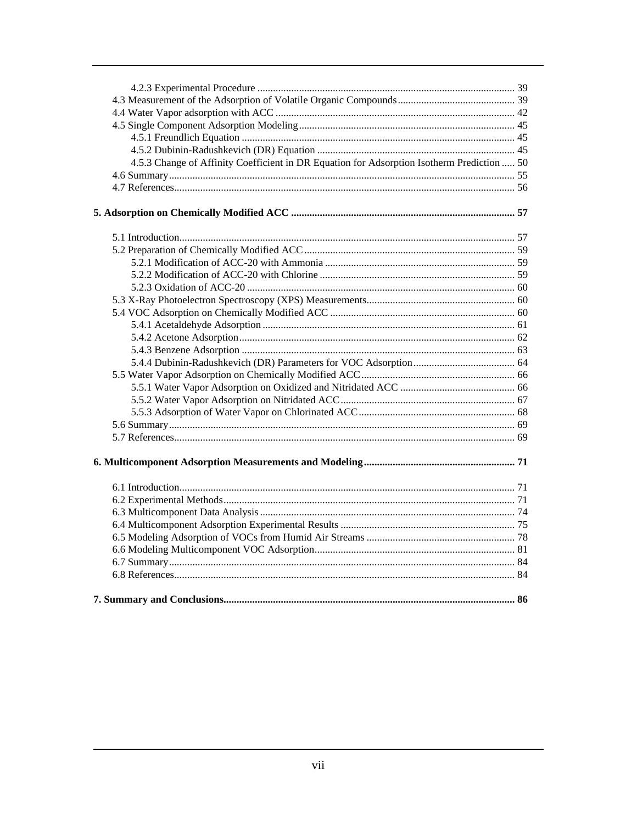| 4.5.3 Change of Affinity Coefficient in DR Equation for Adsorption Isotherm Prediction  50 |  |
|--------------------------------------------------------------------------------------------|--|
|                                                                                            |  |
|                                                                                            |  |
|                                                                                            |  |
|                                                                                            |  |
|                                                                                            |  |
|                                                                                            |  |
|                                                                                            |  |
|                                                                                            |  |
|                                                                                            |  |
|                                                                                            |  |
|                                                                                            |  |
|                                                                                            |  |
|                                                                                            |  |
|                                                                                            |  |
|                                                                                            |  |
|                                                                                            |  |
|                                                                                            |  |
|                                                                                            |  |
|                                                                                            |  |
|                                                                                            |  |
|                                                                                            |  |
|                                                                                            |  |
|                                                                                            |  |
|                                                                                            |  |
|                                                                                            |  |
|                                                                                            |  |
|                                                                                            |  |
|                                                                                            |  |
|                                                                                            |  |
|                                                                                            |  |
|                                                                                            |  |
|                                                                                            |  |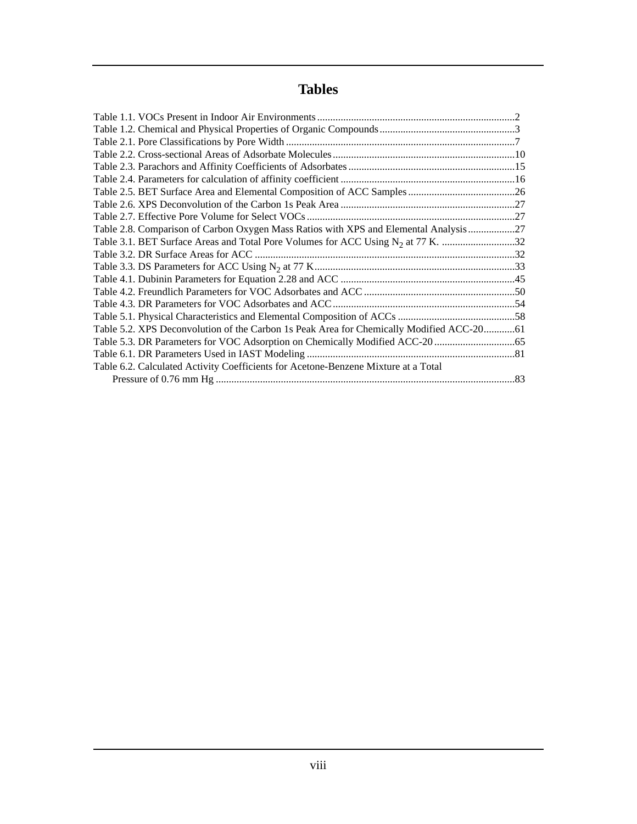# **Tables**

| Table 2.8. Comparison of Carbon Oxygen Mass Ratios with XPS and Elemental Analysis 27    |  |
|------------------------------------------------------------------------------------------|--|
|                                                                                          |  |
|                                                                                          |  |
|                                                                                          |  |
|                                                                                          |  |
|                                                                                          |  |
|                                                                                          |  |
|                                                                                          |  |
| Table 5.2. XPS Deconvolution of the Carbon 1s Peak Area for Chemically Modified ACC-2061 |  |
|                                                                                          |  |
|                                                                                          |  |
| Table 6.2. Calculated Activity Coefficients for Acetone-Benzene Mixture at a Total       |  |
|                                                                                          |  |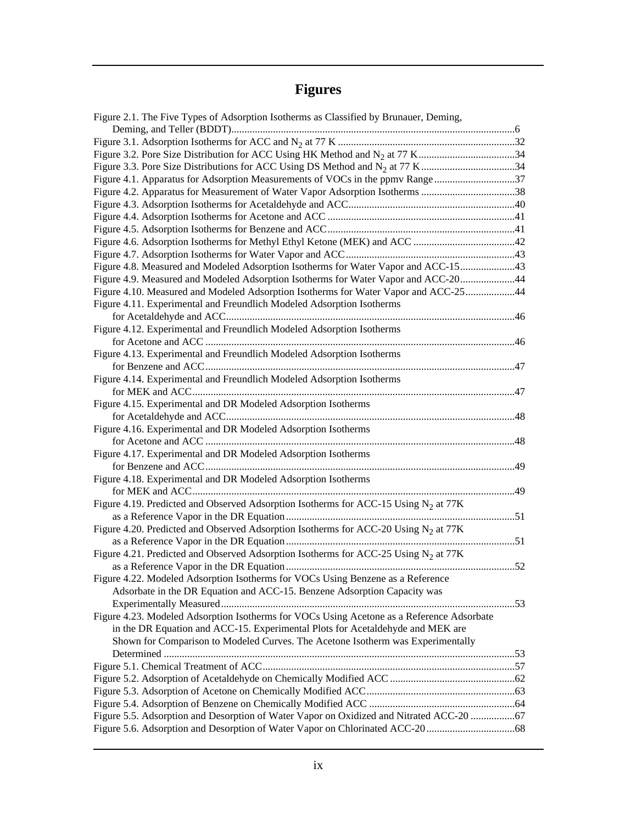# **Figures**

| Figure 2.1. The Five Types of Adsorption Isotherms as Classified by Brunauer, Deming,           |  |
|-------------------------------------------------------------------------------------------------|--|
|                                                                                                 |  |
|                                                                                                 |  |
|                                                                                                 |  |
|                                                                                                 |  |
| Figure 4.1. Apparatus for Adsorption Measurements of VOCs in the ppmv Range37                   |  |
| Figure 4.2. Apparatus for Measurement of Water Vapor Adsorption Isotherms 38                    |  |
|                                                                                                 |  |
|                                                                                                 |  |
|                                                                                                 |  |
|                                                                                                 |  |
|                                                                                                 |  |
| Figure 4.8. Measured and Modeled Adsorption Isotherms for Water Vapor and ACC-1543              |  |
| Figure 4.9. Measured and Modeled Adsorption Isotherms for Water Vapor and ACC-2044              |  |
| Figure 4.10. Measured and Modeled Adsorption Isotherms for Water Vapor and ACC-2544             |  |
| Figure 4.11. Experimental and Freundlich Modeled Adsorption Isotherms                           |  |
|                                                                                                 |  |
| Figure 4.12. Experimental and Freundlich Modeled Adsorption Isotherms                           |  |
|                                                                                                 |  |
| Figure 4.13. Experimental and Freundlich Modeled Adsorption Isotherms                           |  |
|                                                                                                 |  |
| Figure 4.14. Experimental and Freundlich Modeled Adsorption Isotherms                           |  |
|                                                                                                 |  |
| Figure 4.15. Experimental and DR Modeled Adsorption Isotherms                                   |  |
|                                                                                                 |  |
| Figure 4.16. Experimental and DR Modeled Adsorption Isotherms                                   |  |
|                                                                                                 |  |
| Figure 4.17. Experimental and DR Modeled Adsorption Isotherms                                   |  |
|                                                                                                 |  |
| Figure 4.18. Experimental and DR Modeled Adsorption Isotherms                                   |  |
|                                                                                                 |  |
| Figure 4.19. Predicted and Observed Adsorption Isotherms for ACC-15 Using $N2$ at 77K           |  |
|                                                                                                 |  |
| Figure 4.20. Predicted and Observed Adsorption Isotherms for ACC-20 Using N <sub>2</sub> at 77K |  |
|                                                                                                 |  |
| Figure 4.21. Predicted and Observed Adsorption Isotherms for ACC-25 Using N <sub>2</sub> at 77K |  |
|                                                                                                 |  |
| Figure 4.22. Modeled Adsorption Isotherms for VOCs Using Benzene as a Reference                 |  |
| Adsorbate in the DR Equation and ACC-15. Benzene Adsorption Capacity was                        |  |
|                                                                                                 |  |
| Figure 4.23. Modeled Adsorption Isotherms for VOCs Using Acetone as a Reference Adsorbate       |  |
| in the DR Equation and ACC-15. Experimental Plots for Acetaldehyde and MEK are                  |  |
| Shown for Comparison to Modeled Curves. The Acetone Isotherm was Experimentally                 |  |
|                                                                                                 |  |
|                                                                                                 |  |
|                                                                                                 |  |
|                                                                                                 |  |
|                                                                                                 |  |
| Figure 5.5. Adsorption and Desorption of Water Vapor on Oxidized and Nitrated ACC-20 67         |  |
|                                                                                                 |  |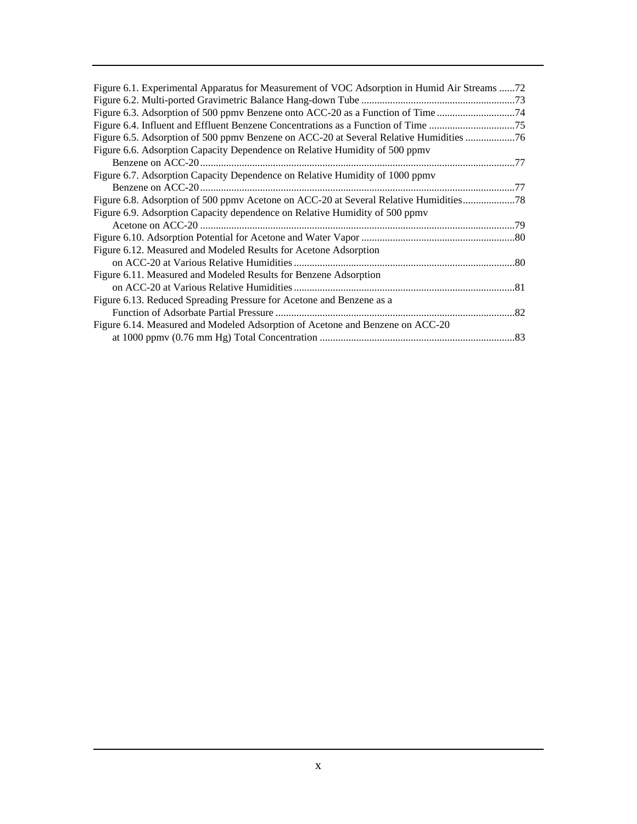| Figure 6.1. Experimental Apparatus for Measurement of VOC Adsorption in Humid Air Streams 72 |
|----------------------------------------------------------------------------------------------|
|                                                                                              |
|                                                                                              |
| Figure 6.4. Influent and Effluent Benzene Concentrations as a Function of Time 75            |
| Figure 6.5. Adsorption of 500 ppmv Benzene on ACC-20 at Several Relative Humidities 76       |
| Figure 6.6. Adsorption Capacity Dependence on Relative Humidity of 500 ppmv                  |
|                                                                                              |
| Figure 6.7. Adsorption Capacity Dependence on Relative Humidity of 1000 ppmv                 |
|                                                                                              |
| Figure 6.8. Adsorption of 500 ppmv Acetone on ACC-20 at Several Relative Humidities78        |
| Figure 6.9. Adsorption Capacity dependence on Relative Humidity of 500 ppmv                  |
|                                                                                              |
|                                                                                              |
| Figure 6.12. Measured and Modeled Results for Acetone Adsorption                             |
|                                                                                              |
| Figure 6.11. Measured and Modeled Results for Benzene Adsorption                             |
|                                                                                              |
| Figure 6.13. Reduced Spreading Pressure for Acetone and Benzene as a                         |
|                                                                                              |
| Figure 6.14. Measured and Modeled Adsorption of Acetone and Benzene on ACC-20                |
|                                                                                              |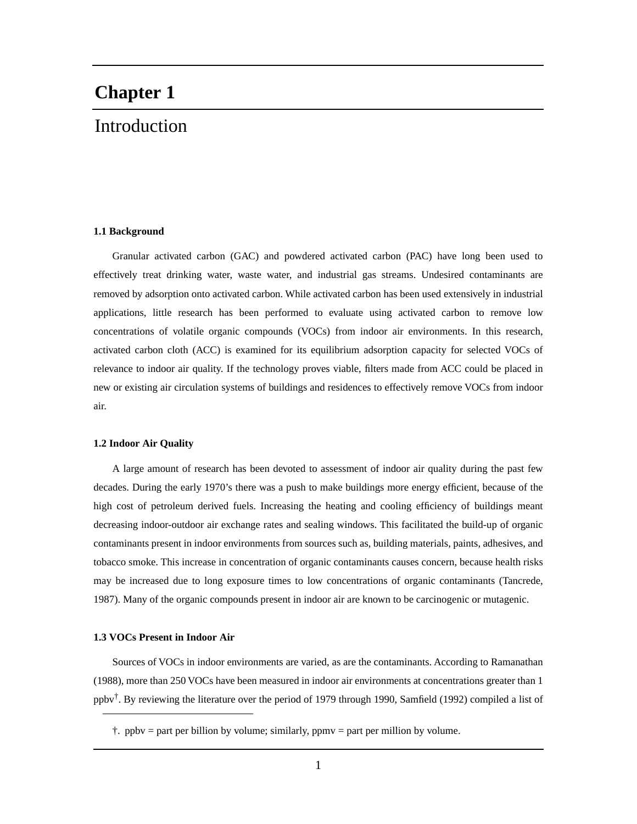# **Chapter 1**

## Introduction

#### **1.1 Background**

Granular activated carbon (GAC) and powdered activated carbon (PAC) have long been used to effectively treat drinking water, waste water, and industrial gas streams. Undesired contaminants are removed by adsorption onto activated carbon. While activated carbon has been used extensively in industrial applications, little research has been performed to evaluate using activated carbon to remove low concentrations of volatile organic compounds (VOCs) from indoor air environments. In this research, activated carbon cloth (ACC) is examined for its equilibrium adsorption capacity for selected VOCs of relevance to indoor air quality. If the technology proves viable, filters made from ACC could be placed in new or existing air circulation systems of buildings and residences to effectively remove VOCs from indoor air.

#### **1.2 Indoor Air Quality**

A large amount of research has been devoted to assessment of indoor air quality during the past few decades. During the early 1970's there was a push to make buildings more energy efficient, because of the high cost of petroleum derived fuels. Increasing the heating and cooling efficiency of buildings meant decreasing indoor-outdoor air exchange rates and sealing windows. This facilitated the build-up of organic contaminants present in indoor environments from sources such as, building materials, paints, adhesives, and tobacco smoke. This increase in concentration of organic contaminants causes concern, because health risks may be increased due to long exposure times to low concentrations of organic contaminants (Tancrede, 1987). Many of the organic compounds present in indoor air are known to be carcinogenic or mutagenic.

#### **1.3 VOCs Present in Indoor Air**

Sources of VOCs in indoor environments are varied, as are the contaminants. According to Ramanathan (1988), more than 250 VOCs have been measured in indoor air environments at concentrations greater than 1 ppbv† . By reviewing the literature over the period of 1979 through 1990, Samfield (1992) compiled a list of

<sup>†.</sup> ppbv = part per billion by volume; similarly, ppmv = part per million by volume.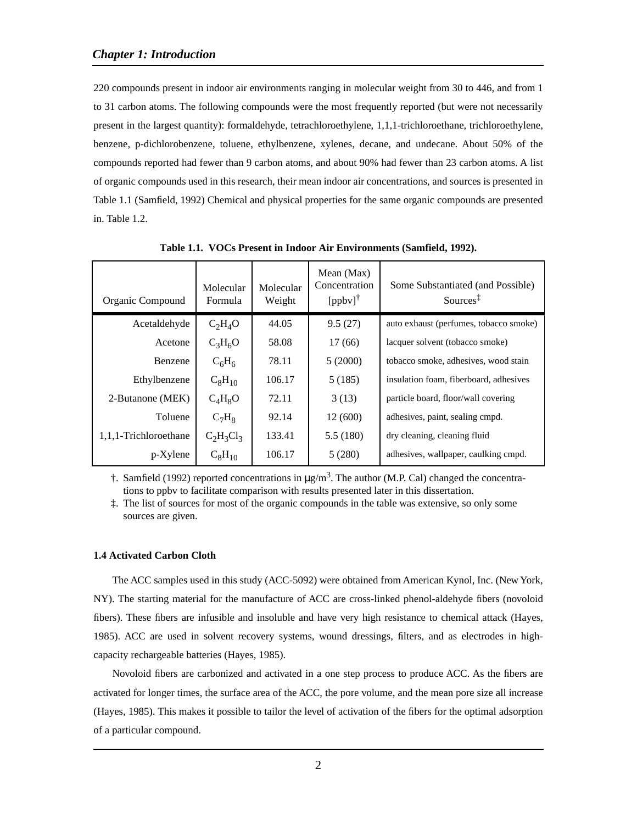220 compounds present in indoor air environments ranging in molecular weight from 30 to 446, and from 1 to 31 carbon atoms. The following compounds were the most frequently reported (but were not necessarily present in the largest quantity): formaldehyde, tetrachloroethylene, 1,1,1-trichloroethane, trichloroethylene, benzene, p-dichlorobenzene, toluene, ethylbenzene, xylenes, decane, and undecane. About 50% of the compounds reported had fewer than 9 carbon atoms, and about 90% had fewer than 23 carbon atoms. A list of organic compounds used in this research, their mean indoor air concentrations, and sources is presented in Table 1.1 (Samfield, 1992) Chemical and physical properties for the same organic compounds are presented in. Table 1.2.

| Organic Compound      | Molecular<br>Formula | Molecular<br>Weight | Mean $(Max)$<br>Concentration<br>$[ppbv]^\dagger$ | Some Substantiated (and Possible)<br>Source <sup>F</sup> |
|-----------------------|----------------------|---------------------|---------------------------------------------------|----------------------------------------------------------|
| Acetaldehyde          | $C_2H_4O$            | 44.05               | 9.5(27)                                           | auto exhaust (perfumes, tobacco smoke)                   |
| Acetone               | $C_3H_6O$            | 58.08               | 17(66)                                            | lacquer solvent (tobacco smoke)                          |
| Benzene               | $C_6H_6$             | 78.11               | 5(2000)                                           | tobacco smoke, adhesives, wood stain                     |
| Ethylbenzene          | $C_8H_{10}$          | 106.17              | 5(185)                                            | insulation foam, fiberboard, adhesives                   |
| 2-Butanone (MEK)      | $C_4H_8O$            | 72.11               | 3(13)                                             | particle board, floor/wall covering                      |
| Toluene               | $C_7H_8$             | 92.14               | 12(600)                                           | adhesives, paint, sealing cmpd.                          |
| 1,1,1-Trichloroethane | $C_2H_3Cl_3$         | 133.41              | 5.5(180)                                          | dry cleaning, cleaning fluid                             |
| $p$ -Xylene           | $C_8H_{10}$          | 106.17              | 5(280)                                            | adhesives, wallpaper, caulking cmpd.                     |

**Table 1.1. VOCs Present in Indoor Air Environments (Samfield, 1992).**

 $\dagger$ . Samfield (1992) reported concentrations in  $\mu$ g/m<sup>3</sup>. The author (M.P. Cal) changed the concentrations to ppbv to facilitate comparison with results presented later in this dissertation.

‡. The list of sources for most of the organic compounds in the table was extensive, so only some sources are given.

### **1.4 Activated Carbon Cloth**

The ACC samples used in this study (ACC-5092) were obtained from American Kynol, Inc. (New York, NY). The starting material for the manufacture of ACC are cross-linked phenol-aldehyde fibers (novoloid fibers). These fibers are infusible and insoluble and have very high resistance to chemical attack (Hayes, 1985). ACC are used in solvent recovery systems, wound dressings, filters, and as electrodes in highcapacity rechargeable batteries (Hayes, 1985).

Novoloid fibers are carbonized and activated in a one step process to produce ACC. As the fibers are activated for longer times, the surface area of the ACC, the pore volume, and the mean pore size all increase (Hayes, 1985). This makes it possible to tailor the level of activation of the fibers for the optimal adsorption of a particular compound.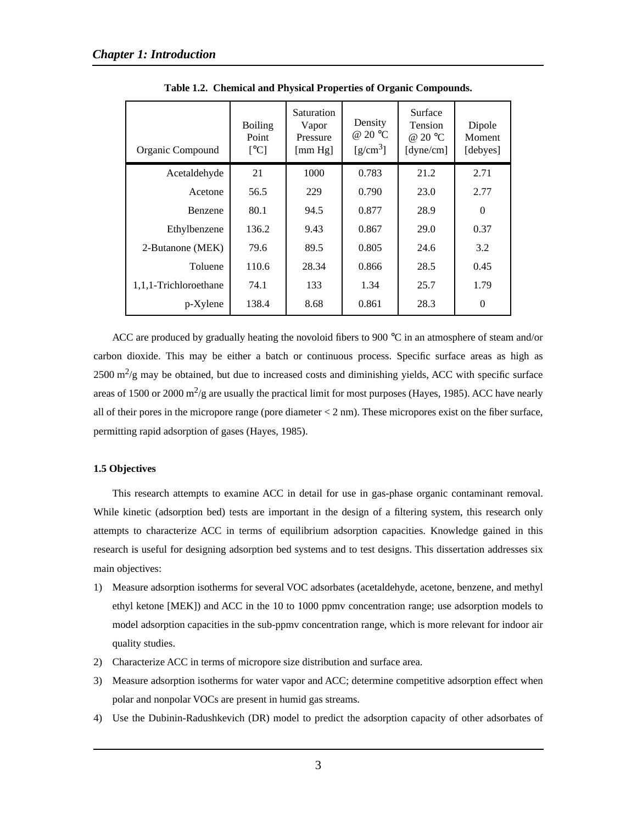| Organic Compound      | <b>Boiling</b><br>Point<br>[°C] | Saturation<br>Vapor<br>Pressure<br>[mm Hg] | Density<br>@ 20 °C<br>$\left[\text{g/cm}^3\right]$ | Surface<br>Tension<br>@ 20 $\degree$ C<br>$\left[$ dyne/cm $\right]$ | Dipole<br>Moment<br>[debyes] |
|-----------------------|---------------------------------|--------------------------------------------|----------------------------------------------------|----------------------------------------------------------------------|------------------------------|
| Acetaldehyde          | 21                              | 1000                                       | 0.783                                              | 21.2                                                                 | 2.71                         |
| Acetone               | 56.5                            | 229                                        | 0.790                                              | 23.0                                                                 | 2.77                         |
| <b>Benzene</b>        | 80.1                            | 94.5                                       | 0.877                                              | 28.9                                                                 | 0                            |
| Ethylbenzene          | 136.2                           | 9.43                                       | 0.867                                              | 29.0                                                                 | 0.37                         |
| 2-Butanone (MEK)      | 79.6                            | 89.5                                       | 0.805                                              | 24.6                                                                 | 3.2                          |
| Toluene               | 110.6                           | 28.34                                      | 0.866                                              | 28.5                                                                 | 0.45                         |
| 1,1,1-Trichloroethane | 74.1                            | 133                                        | 1.34                                               | 25.7                                                                 | 1.79                         |
| p-Xylene              | 138.4                           | 8.68                                       | 0.861                                              | 28.3                                                                 | $\Omega$                     |

**Table 1.2. Chemical and Physical Properties of Organic Compounds.**

ACC are produced by gradually heating the novoloid fibers to 900 °C in an atmosphere of steam and/or carbon dioxide. This may be either a batch or continuous process. Specific surface areas as high as  $2500 \text{ m}^2/\text{g}$  may be obtained, but due to increased costs and diminishing yields, ACC with specific surface areas of 1500 or 2000 m<sup>2</sup>/g are usually the practical limit for most purposes (Hayes, 1985). ACC have nearly all of their pores in the micropore range (pore diameter < 2 nm). These micropores exist on the fiber surface, permitting rapid adsorption of gases (Hayes, 1985).

### **1.5 Objectives**

This research attempts to examine ACC in detail for use in gas-phase organic contaminant removal. While kinetic (adsorption bed) tests are important in the design of a filtering system, this research only attempts to characterize ACC in terms of equilibrium adsorption capacities. Knowledge gained in this research is useful for designing adsorption bed systems and to test designs. This dissertation addresses six main objectives:

- 1) Measure adsorption isotherms for several VOC adsorbates (acetaldehyde, acetone, benzene, and methyl ethyl ketone [MEK]) and ACC in the 10 to 1000 ppmv concentration range; use adsorption models to model adsorption capacities in the sub-ppmv concentration range, which is more relevant for indoor air quality studies.
- 2) Characterize ACC in terms of micropore size distribution and surface area.
- 3) Measure adsorption isotherms for water vapor and ACC; determine competitive adsorption effect when polar and nonpolar VOCs are present in humid gas streams.
- 4) Use the Dubinin-Radushkevich (DR) model to predict the adsorption capacity of other adsorbates of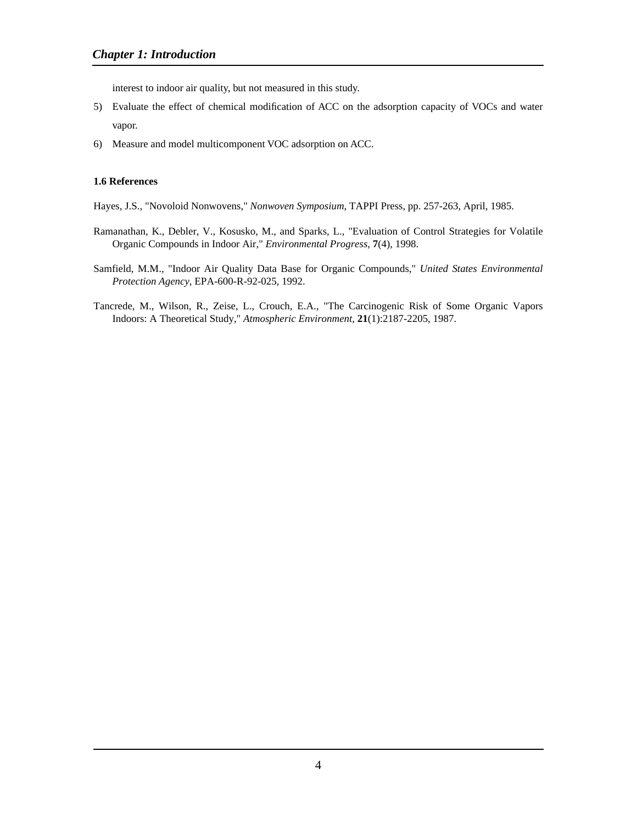interest to indoor air quality, but not measured in this study.

- 5) Evaluate the effect of chemical modification of ACC on the adsorption capacity of VOCs and water vapor.
- 6) Measure and model multicomponent VOC adsorption on ACC.

#### **1.6 References**

Hayes, J.S., "Novoloid Nonwovens," *Nonwoven Symposium*, TAPPI Press, pp. 257-263, April, 1985.

- Ramanathan, K., Debler, V., Kosusko, M., and Sparks, L., "Evaluation of Control Strategies for Volatile Organic Compounds in Indoor Air," *Environmental Progress*, **7**(4), 1998.
- Samfield, M.M., "Indoor Air Quality Data Base for Organic Compounds," *United States Environmental Protection Agency*, EPA-600-R-92-025, 1992.
- Tancrede, M., Wilson, R., Zeise, L., Crouch, E.A., "The Carcinogenic Risk of Some Organic Vapors Indoors: A Theoretical Study," *Atmospheric Environment*, **21**(1):2187-2205, 1987.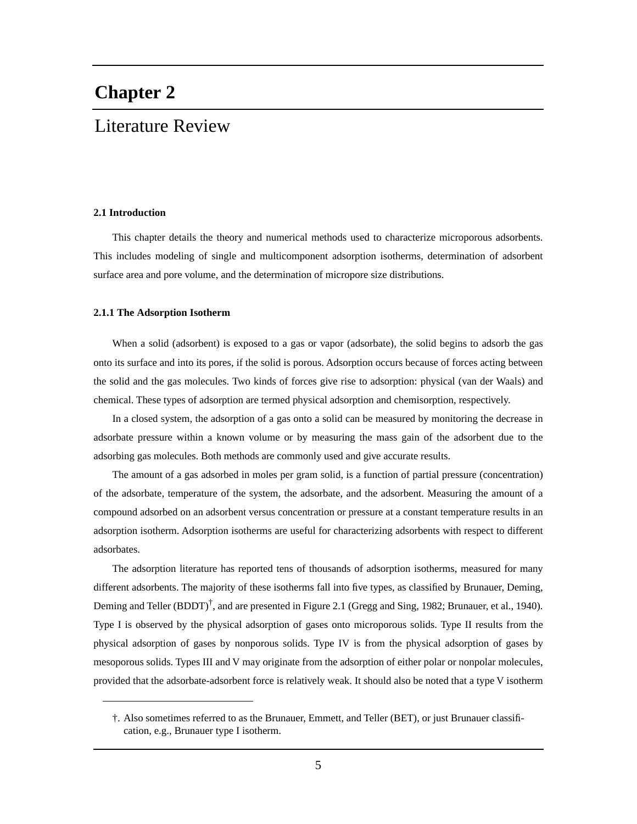# **Chapter 2**

## Literature Review

#### **2.1 Introduction**

This chapter details the theory and numerical methods used to characterize microporous adsorbents. This includes modeling of single and multicomponent adsorption isotherms, determination of adsorbent surface area and pore volume, and the determination of micropore size distributions.

#### **2.1.1 The Adsorption Isotherm**

When a solid (adsorbent) is exposed to a gas or vapor (adsorbate), the solid begins to adsorb the gas onto its surface and into its pores, if the solid is porous. Adsorption occurs because of forces acting between the solid and the gas molecules. Two kinds of forces give rise to adsorption: physical (van der Waals) and chemical. These types of adsorption are termed physical adsorption and chemisorption, respectively.

In a closed system, the adsorption of a gas onto a solid can be measured by monitoring the decrease in adsorbate pressure within a known volume or by measuring the mass gain of the adsorbent due to the adsorbing gas molecules. Both methods are commonly used and give accurate results.

The amount of a gas adsorbed in moles per gram solid, is a function of partial pressure (concentration) of the adsorbate, temperature of the system, the adsorbate, and the adsorbent. Measuring the amount of a compound adsorbed on an adsorbent versus concentration or pressure at a constant temperature results in an adsorption isotherm. Adsorption isotherms are useful for characterizing adsorbents with respect to different adsorbates.

The adsorption literature has reported tens of thousands of adsorption isotherms, measured for many different adsorbents. The majority of these isotherms fall into five types, as classified by Brunauer, Deming, Deming and Teller (BDDT)<sup>†</sup>, and are presented in Figure 2.1 (Gregg and Sing, 1982; Brunauer, et al., 1940). Type I is observed by the physical adsorption of gases onto microporous solids. Type II results from the physical adsorption of gases by nonporous solids. Type IV is from the physical adsorption of gases by mesoporous solids. Types III and V may originate from the adsorption of either polar or nonpolar molecules, provided that the adsorbate-adsorbent force is relatively weak. It should also be noted that a type V isotherm

<sup>†.</sup> Also sometimes referred to as the Brunauer, Emmett, and Teller (BET), or just Brunauer classification, e.g., Brunauer type I isotherm.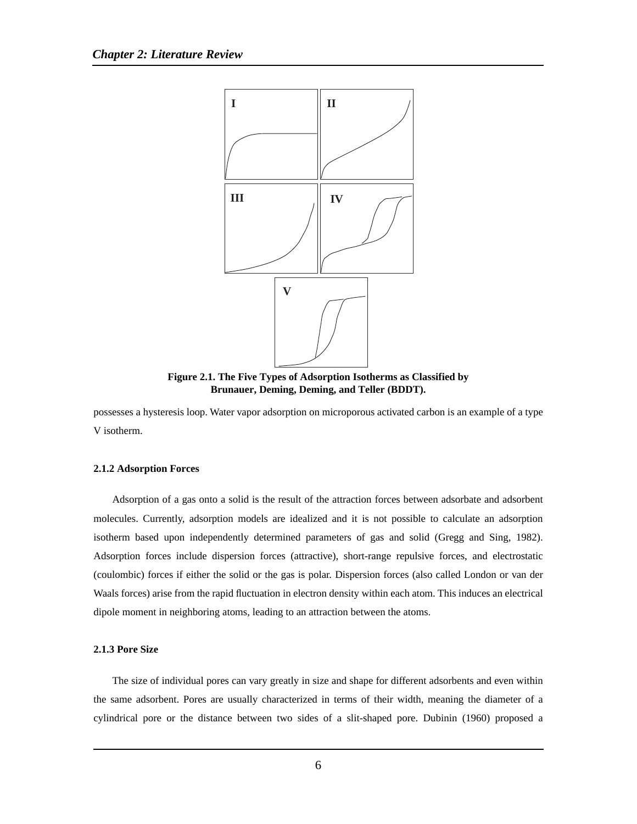

**Figure 2.1. The Five Types of Adsorption Isotherms as Classified by Brunauer, Deming, Deming, and Teller (BDDT).**

possesses a hysteresis loop. Water vapor adsorption on microporous activated carbon is an example of a type V isotherm.

#### **2.1.2 Adsorption Forces**

Adsorption of a gas onto a solid is the result of the attraction forces between adsorbate and adsorbent molecules. Currently, adsorption models are idealized and it is not possible to calculate an adsorption isotherm based upon independently determined parameters of gas and solid (Gregg and Sing, 1982). Adsorption forces include dispersion forces (attractive), short-range repulsive forces, and electrostatic (coulombic) forces if either the solid or the gas is polar. Dispersion forces (also called London or van der Waals forces) arise from the rapid fluctuation in electron density within each atom. This induces an electrical dipole moment in neighboring atoms, leading to an attraction between the atoms.

### **2.1.3 Pore Size**

The size of individual pores can vary greatly in size and shape for different adsorbents and even within the same adsorbent. Pores are usually characterized in terms of their width, meaning the diameter of a cylindrical pore or the distance between two sides of a slit-shaped pore. Dubinin (1960) proposed a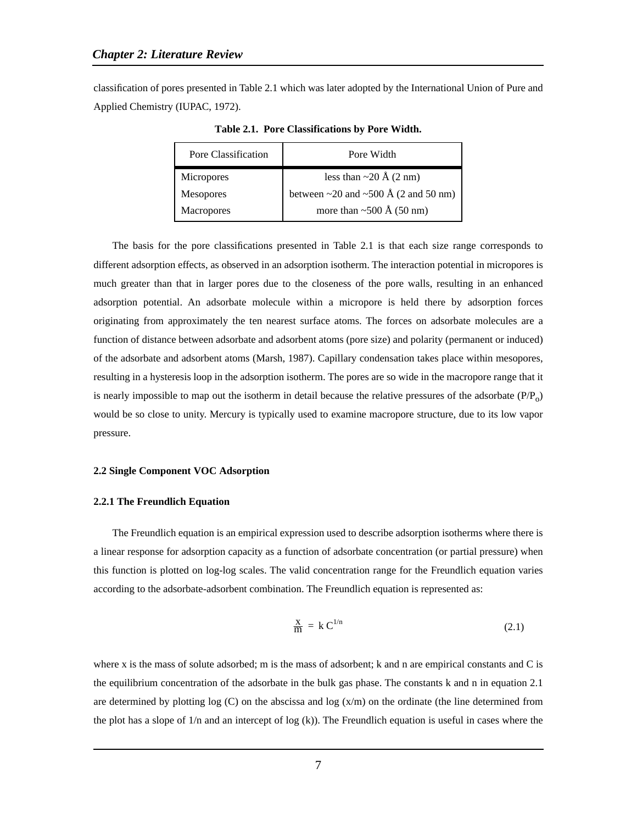classification of pores presented in Table 2.1 which was later adopted by the International Union of Pure and Applied Chemistry (IUPAC, 1972).

| Pore Classification | Pore Width                                       |  |  |
|---------------------|--------------------------------------------------|--|--|
| Micropores          | less than $\sim$ 20 Å (2 nm)                     |  |  |
| <b>Mesopores</b>    | between $\sim$ 20 and $\sim$ 500 Å (2 and 50 nm) |  |  |
| Macropores          | more than $\sim$ 500 Å (50 nm)                   |  |  |

**Table 2.1. Pore Classifications by Pore Width.**

The basis for the pore classifications presented in Table 2.1 is that each size range corresponds to different adsorption effects, as observed in an adsorption isotherm. The interaction potential in micropores is much greater than that in larger pores due to the closeness of the pore walls, resulting in an enhanced adsorption potential. An adsorbate molecule within a micropore is held there by adsorption forces originating from approximately the ten nearest surface atoms. The forces on adsorbate molecules are a function of distance between adsorbate and adsorbent atoms (pore size) and polarity (permanent or induced) of the adsorbate and adsorbent atoms (Marsh, 1987). Capillary condensation takes place within mesopores, resulting in a hysteresis loop in the adsorption isotherm. The pores are so wide in the macropore range that it is nearly impossible to map out the isotherm in detail because the relative pressures of the adsorbate  $(P/P_0)$ would be so close to unity. Mercury is typically used to examine macropore structure, due to its low vapor pressure.

#### **2.2 Single Component VOC Adsorption**

#### **2.2.1 The Freundlich Equation**

The Freundlich equation is an empirical expression used to describe adsorption isotherms where there is a linear response for adsorption capacity as a function of adsorbate concentration (or partial pressure) when this function is plotted on log-log scales. The valid concentration range for the Freundlich equation varies according to the adsorbate-adsorbent combination. The Freundlich equation is represented as:

$$
\frac{\mathbf{x}}{\mathbf{m}} = \mathbf{k} \, \mathbf{C}^{1/n} \tag{2.1}
$$

where x is the mass of solute adsorbed; m is the mass of adsorbent; k and n are empirical constants and C is the equilibrium concentration of the adsorbate in the bulk gas phase. The constants k and n in equation 2.1 are determined by plotting log  $(C)$  on the abscissa and log  $(x/m)$  on the ordinate (the line determined from the plot has a slope of 1/n and an intercept of log (k)). The Freundlich equation is useful in cases where the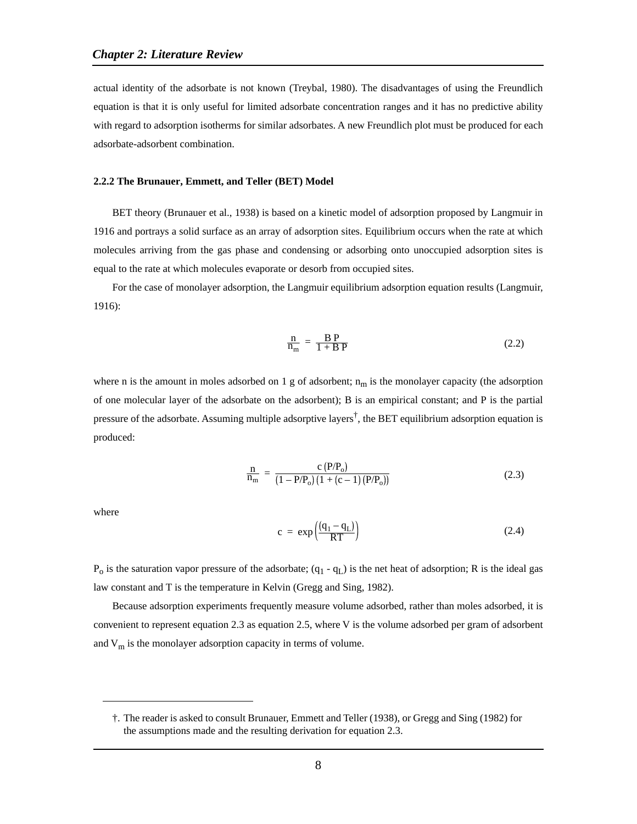actual identity of the adsorbate is not known (Treybal, 1980). The disadvantages of using the Freundlich equation is that it is only useful for limited adsorbate concentration ranges and it has no predictive ability with regard to adsorption isotherms for similar adsorbates. A new Freundlich plot must be produced for each adsorbate-adsorbent combination.

#### **2.2.2 The Brunauer, Emmett, and Teller (BET) Model**

BET theory (Brunauer et al., 1938) is based on a kinetic model of adsorption proposed by Langmuir in 1916 and portrays a solid surface as an array of adsorption sites. Equilibrium occurs when the rate at which molecules arriving from the gas phase and condensing or adsorbing onto unoccupied adsorption sites is equal to the rate at which molecules evaporate or desorb from occupied sites.

For the case of monolayer adsorption, the Langmuir equilibrium adsorption equation results (Langmuir, 1916):

$$
\frac{n}{n_m} = \frac{BP}{1 + BP} \tag{2.2}
$$

where n is the amount in moles adsorbed on 1 g of adsorbent;  $n_m$  is the monolayer capacity (the adsorption of one molecular layer of the adsorbate on the adsorbent); B is an empirical constant; and P is the partial pressure of the adsorbate. Assuming multiple adsorptive layers<sup>†</sup>, the BET equilibrium adsorption equation is produced:

$$
\frac{n}{n_m} = \frac{c (P/P_0)}{(1 - P/P_0) (1 + (c - 1) (P/P_0))}
$$
(2.3)

where

$$
c = \exp\left(\frac{(q_1 - q_L)}{RT}\right) \tag{2.4}
$$

 $P_0$  is the saturation vapor pressure of the adsorbate;  $(q_1 - q_L)$  is the net heat of adsorption; R is the ideal gas law constant and T is the temperature in Kelvin (Gregg and Sing, 1982).

Because adsorption experiments frequently measure volume adsorbed, rather than moles adsorbed, it is convenient to represent equation 2.3 as equation 2.5, where V is the volume adsorbed per gram of adsorbent and  $V_m$  is the monolayer adsorption capacity in terms of volume.

<sup>†.</sup> The reader is asked to consult Brunauer, Emmett and Teller (1938), or Gregg and Sing (1982) for the assumptions made and the resulting derivation for equation 2.3.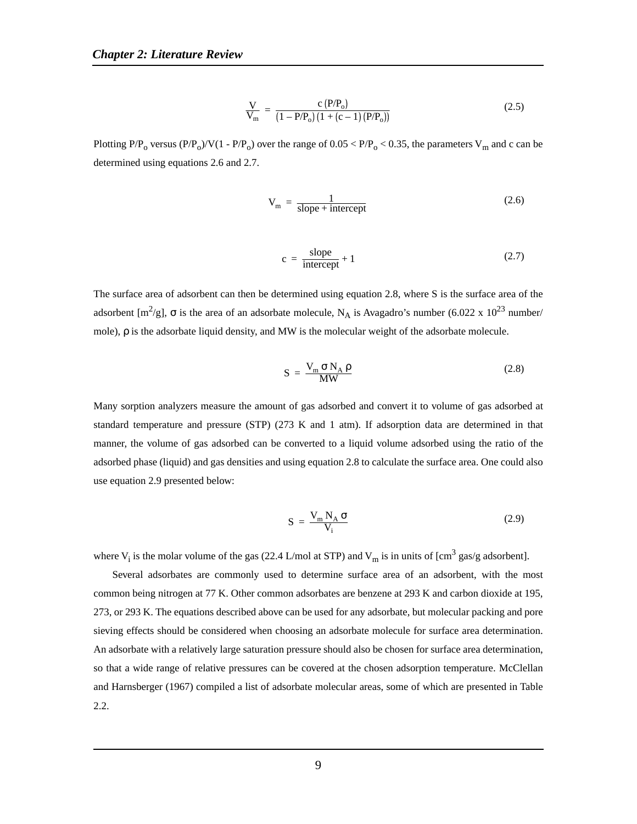$$
\frac{V}{V_m} = \frac{c (P/P_0)}{(1 - P/P_0) (1 + (c - 1) (P/P_0))}
$$
(2.5)

Plotting P/P<sub>o</sub> versus (P/P<sub>o</sub>)/V(1 - P/P<sub>o</sub>) over the range of  $0.05 < P/P_0 < 0.35$ , the parameters V<sub>m</sub> and c can be determined using equations 2.6 and 2.7.

$$
V_m = \frac{1}{slope + intercept}
$$
 (2.6)

$$
c = \frac{slope}{intercept} + 1
$$
 (2.7)

The surface area of adsorbent can then be determined using equation 2.8, where S is the surface area of the adsorbent  $[m^2/g]$ ,  $\sigma$  is the area of an adsorbate molecule, N<sub>A</sub> is Avagadro's number (6.022 x 10<sup>23</sup> number/ mole),  $ρ$  is the adsorbate liquid density, and MW is the molecular weight of the adsorbate molecule.

$$
S = \frac{V_m \sigma N_A \rho}{MW}
$$
 (2.8)

Many sorption analyzers measure the amount of gas adsorbed and convert it to volume of gas adsorbed at standard temperature and pressure (STP) (273 K and 1 atm). If adsorption data are determined in that manner, the volume of gas adsorbed can be converted to a liquid volume adsorbed using the ratio of the adsorbed phase (liquid) and gas densities and using equation 2.8 to calculate the surface area. One could also use equation 2.9 presented below:

$$
S = \frac{V_m N_A \sigma}{V_i} \tag{2.9}
$$

where  $V_i$  is the molar volume of the gas (22.4 L/mol at STP) and  $V_m$  is in units of  $\text{[cm}^3 \text{ gas/g}$  adsorbent].

Several adsorbates are commonly used to determine surface area of an adsorbent, with the most common being nitrogen at 77 K. Other common adsorbates are benzene at 293 K and carbon dioxide at 195, 273, or 293 K. The equations described above can be used for any adsorbate, but molecular packing and pore sieving effects should be considered when choosing an adsorbate molecule for surface area determination. An adsorbate with a relatively large saturation pressure should also be chosen for surface area determination, so that a wide range of relative pressures can be covered at the chosen adsorption temperature. McClellan and Harnsberger (1967) compiled a list of adsorbate molecular areas, some of which are presented in Table 2.2.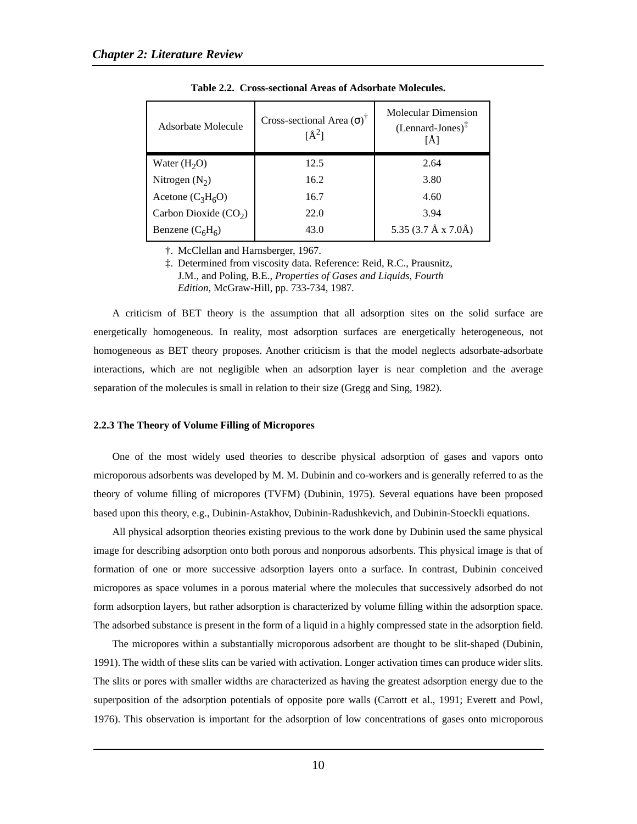| Adsorbate Molecule     | Cross-sectional Area $(\sigma)^\dagger$<br>$\hat{A}^2$ | Molecular Dimension<br>$(Lennard-Jones)^{\ddagger}$<br>[Ă] |  |
|------------------------|--------------------------------------------------------|------------------------------------------------------------|--|
| Water $(H2O)$          | 12.5                                                   | 2.64                                                       |  |
| Nitrogen $(N_2)$       | 16.2                                                   | 3.80                                                       |  |
| Acetone $(C_3H_6O)$    | 16.7                                                   | 4.60                                                       |  |
| Carbon Dioxide $(CO2)$ | 22.0                                                   | 3.94                                                       |  |
| Benzene $(C_6H_6)$     | 43.0                                                   | 5.35 $(3.7 \text{ Å} \times 7.0 \text{Å})$                 |  |
|                        |                                                        |                                                            |  |

**Table 2.2. Cross-sectional Areas of Adsorbate Molecules.**

†. McClellan and Harnsberger, 1967.

‡. Determined from viscosity data. Reference: Reid, R.C., Prausnitz, J.M., and Poling, B.E., *Properties of Gases and Liquids, Fourth Edition*, McGraw-Hill, pp. 733-734, 1987.

A criticism of BET theory is the assumption that all adsorption sites on the solid surface are energetically homogeneous. In reality, most adsorption surfaces are energetically heterogeneous, not homogeneous as BET theory proposes. Another criticism is that the model neglects adsorbate-adsorbate interactions, which are not negligible when an adsorption layer is near completion and the average separation of the molecules is small in relation to their size (Gregg and Sing, 1982).

#### **2.2.3 The Theory of Volume Filling of Micropores**

One of the most widely used theories to describe physical adsorption of gases and vapors onto microporous adsorbents was developed by M. M. Dubinin and co-workers and is generally referred to as the theory of volume filling of micropores (TVFM) (Dubinin, 1975). Several equations have been proposed based upon this theory, e.g., Dubinin-Astakhov, Dubinin-Radushkevich, and Dubinin-Stoeckli equations.

All physical adsorption theories existing previous to the work done by Dubinin used the same physical image for describing adsorption onto both porous and nonporous adsorbents. This physical image is that of formation of one or more successive adsorption layers onto a surface. In contrast, Dubinin conceived micropores as space volumes in a porous material where the molecules that successively adsorbed do not form adsorption layers, but rather adsorption is characterized by volume filling within the adsorption space. The adsorbed substance is present in the form of a liquid in a highly compressed state in the adsorption field.

The micropores within a substantially microporous adsorbent are thought to be slit-shaped (Dubinin, 1991). The width of these slits can be varied with activation. Longer activation times can produce wider slits. The slits or pores with smaller widths are characterized as having the greatest adsorption energy due to the superposition of the adsorption potentials of opposite pore walls (Carrott et al., 1991; Everett and Powl, 1976). This observation is important for the adsorption of low concentrations of gases onto microporous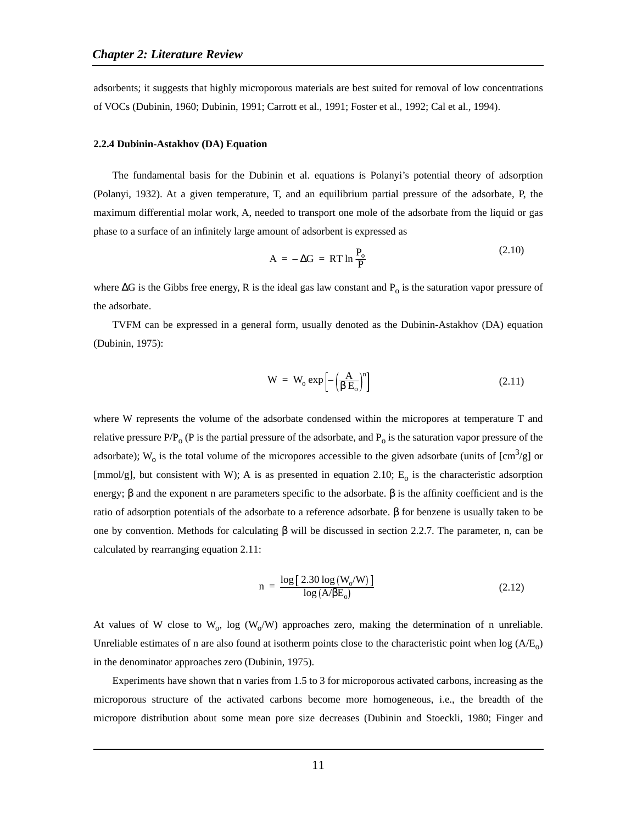adsorbents; it suggests that highly microporous materials are best suited for removal of low concentrations of VOCs (Dubinin, 1960; Dubinin, 1991; Carrott et al., 1991; Foster et al., 1992; Cal et al., 1994).

#### **2.2.4 Dubinin-Astakhov (DA) Equation**

The fundamental basis for the Dubinin et al. equations is Polanyi's potential theory of adsorption (Polanyi, 1932). At a given temperature, T, and an equilibrium partial pressure of the adsorbate, P, the maximum differential molar work, A, needed to transport one mole of the adsorbate from the liquid or gas phase to a surface of an infinitely large amount of adsorbent is expressed as

$$
A = -\Delta G = RT \ln \frac{P_o}{P}
$$
 (2.10)

where  $\Delta G$  is the Gibbs free energy, R is the ideal gas law constant and P<sub>o</sub> is the saturation vapor pressure of the adsorbate.

TVFM can be expressed in a general form, usually denoted as the Dubinin-Astakhov (DA) equation (Dubinin, 1975):

$$
W = W_o \exp\left[-\left(\frac{A}{\beta E_o}\right)^n\right]
$$
 (2.11)

where W represents the volume of the adsorbate condensed within the micropores at temperature T and relative pressure P/P<sub>o</sub> (P is the partial pressure of the adsorbate, and P<sub>o</sub> is the saturation vapor pressure of the adsorbate);  $W_0$  is the total volume of the micropores accessible to the given adsorbate (units of [cm<sup>3</sup>/g] or [mmol/g], but consistent with W); A is as presented in equation 2.10;  $E_0$  is the characteristic adsorption energy;  $\beta$  and the exponent n are parameters specific to the adsorbate.  $\beta$  is the affinity coefficient and is the ratio of adsorption potentials of the adsorbate to a reference adsorbate. β for benzene is usually taken to be one by convention. Methods for calculating  $\beta$  will be discussed in section 2.2.7. The parameter, n, can be calculated by rearranging equation 2.11:

$$
n = \frac{\log [2.30 \log (W_0/W)]}{\log (A/BE_0)}
$$
\n(2.12)

At values of W close to  $W_0$ , log (W<sub>0</sub>/W) approaches zero, making the determination of n unreliable. Unreliable estimates of n are also found at isotherm points close to the characteristic point when  $log(A/E_0)$ in the denominator approaches zero (Dubinin, 1975).

Experiments have shown that n varies from 1.5 to 3 for microporous activated carbons, increasing as the microporous structure of the activated carbons become more homogeneous, i.e., the breadth of the micropore distribution about some mean pore size decreases (Dubinin and Stoeckli, 1980; Finger and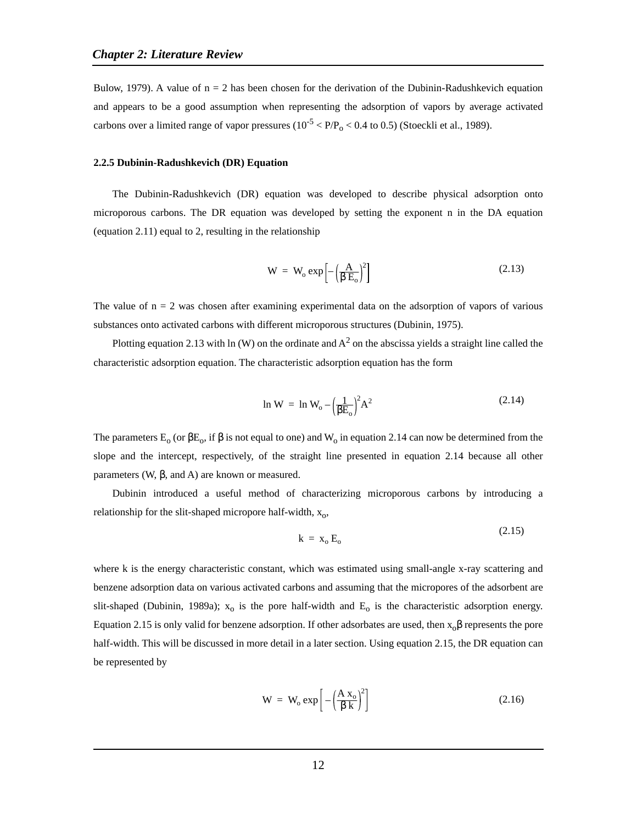Bulow, 1979). A value of  $n = 2$  has been chosen for the derivation of the Dubinin-Radushkevich equation and appears to be a good assumption when representing the adsorption of vapors by average activated carbons over a limited range of vapor pressures  $(10^{-5} < P/P_0 < 0.4$  to 0.5) (Stoeckli et al., 1989).

#### **2.2.5 Dubinin-Radushkevich (DR) Equation**

The Dubinin-Radushkevich (DR) equation was developed to describe physical adsorption onto microporous carbons. The DR equation was developed by setting the exponent n in the DA equation (equation 2.11) equal to 2, resulting in the relationship

$$
W = W_o \exp\left[-\left(\frac{A}{\beta E_o}\right)^2\right]
$$
 (2.13)

The value of  $n = 2$  was chosen after examining experimental data on the adsorption of vapors of various substances onto activated carbons with different microporous structures (Dubinin, 1975).

Plotting equation 2.13 with ln (W) on the ordinate and  $A^2$  on the abscissa yields a straight line called the characteristic adsorption equation. The characteristic adsorption equation has the form

$$
\ln W = \ln W_o - \left(\frac{1}{\beta E_o}\right)^2 A^2 \tag{2.14}
$$

The parameters  $E_0$  (or  $\beta E_0$ , if  $\beta$  is not equal to one) and W<sub>o</sub> in equation 2.14 can now be determined from the slope and the intercept, respectively, of the straight line presented in equation 2.14 because all other parameters (W,  $β$ , and A) are known or measured.

Dubinin introduced a useful method of characterizing microporous carbons by introducing a relationship for the slit-shaped micropore half-width,  $x_0$ ,

$$
k = x_0 E_0 \tag{2.15}
$$

where k is the energy characteristic constant, which was estimated using small-angle x-ray scattering and benzene adsorption data on various activated carbons and assuming that the micropores of the adsorbent are slit-shaped (Dubinin, 1989a);  $x_0$  is the pore half-width and  $E_0$  is the characteristic adsorption energy. Equation 2.15 is only valid for benzene adsorption. If other adsorbates are used, then  $x<sub>o</sub>β$  represents the pore half-width. This will be discussed in more detail in a later section. Using equation 2.15, the DR equation can be represented by

$$
W = W_o \exp\left[-\left(\frac{A x_o}{\beta k}\right)^2\right]
$$
 (2.16)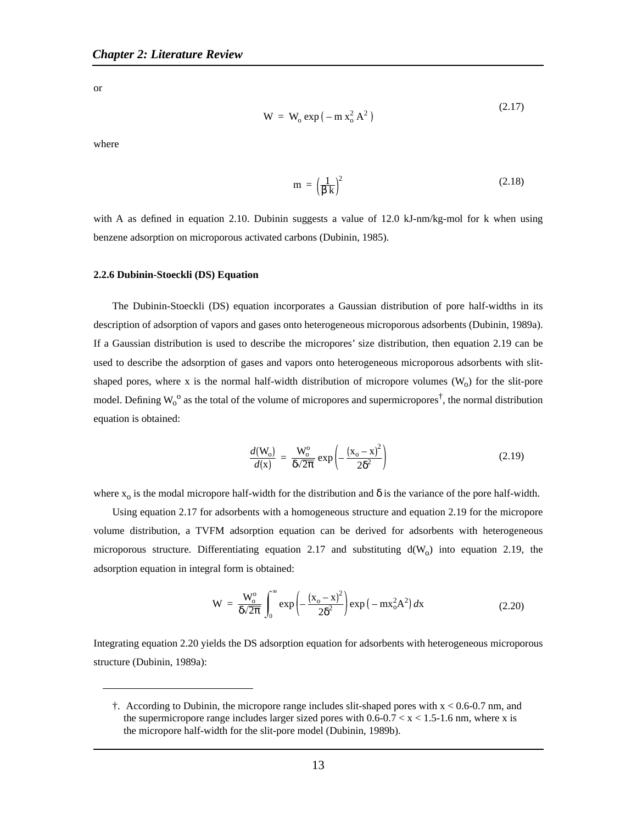or

$$
W = W_o \exp(-m x_o^2 A^2)
$$
 (2.17)

where

$$
m = \left(\frac{1}{\beta k}\right)^2\tag{2.18}
$$

with A as defined in equation 2.10. Dubinin suggests a value of 12.0 kJ-nm/kg-mol for k when using benzene adsorption on microporous activated carbons (Dubinin, 1985).

#### **2.2.6 Dubinin-Stoeckli (DS) Equation**

The Dubinin-Stoeckli (DS) equation incorporates a Gaussian distribution of pore half-widths in its description of adsorption of vapors and gases onto heterogeneous microporous adsorbents (Dubinin, 1989a). If a Gaussian distribution is used to describe the micropores' size distribution, then equation 2.19 can be used to describe the adsorption of gases and vapors onto heterogeneous microporous adsorbents with slitshaped pores, where x is the normal half-width distribution of micropore volumes  $(W_0)$  for the slit-pore model. Defining  $W_0^0$  as the total of the volume of micropores and supermicropores<sup>†</sup>, the normal distribution equation is obtained:

$$
\frac{d(\mathbf{W}_o)}{d(\mathbf{x})} = \frac{\mathbf{W}_o^o}{\delta \sqrt{2\pi}} \exp\left(-\frac{(\mathbf{x}_o - \mathbf{x})^2}{2\delta^2}\right) \tag{2.19}
$$

where  $x_0$  is the modal micropore half-width for the distribution and  $\delta$  is the variance of the pore half-width.

Using equation 2.17 for adsorbents with a homogeneous structure and equation 2.19 for the micropore volume distribution, a TVFM adsorption equation can be derived for adsorbents with heterogeneous microporous structure. Differentiating equation 2.17 and substituting  $d(W_0)$  into equation 2.19, the adsorption equation in integral form is obtained:

$$
W = \frac{W_o^o}{\delta \sqrt{2\pi}} \int_0^\infty \exp\left(-\frac{(x_o - x)^2}{2\delta^2}\right) \exp\left(-m x_o^2 A^2\right) dx \tag{2.20}
$$

Integrating equation 2.20 yields the DS adsorption equation for adsorbents with heterogeneous microporous structure (Dubinin, 1989a):

 $\dagger$ . According to Dubinin, the micropore range includes slit-shaped pores with  $x < 0.6$ -0.7 nm, and the supermicropore range includes larger sized pores with  $0.6$ - $0.7 < x < 1.5$ -1.6 nm, where x is the micropore half-width for the slit-pore model (Dubinin, 1989b).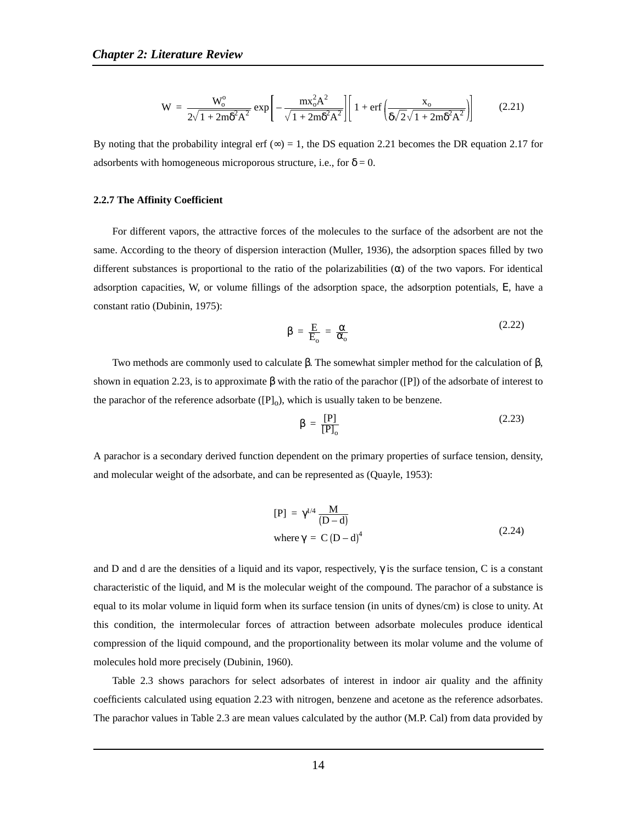$$
W = \frac{W_0^o}{2\sqrt{1 + 2m\delta^2 A^2}} \exp\left[-\frac{mx_0^2 A^2}{\sqrt{1 + 2m\delta^2 A^2}}\right] \left[1 + \text{erf}\left(\frac{x_0}{\delta\sqrt{2}\sqrt{1 + 2m\delta^2 A^2}}\right)\right]
$$
(2.21)

By noting that the probability integral erf ( $\infty$ ) = 1, the DS equation 2.21 becomes the DR equation 2.17 for adsorbents with homogeneous microporous structure, i.e., for  $\delta = 0$ .

#### **2.2.7 The Affinity Coefficient**

For different vapors, the attractive forces of the molecules to the surface of the adsorbent are not the same. According to the theory of dispersion interaction (Muller, 1936), the adsorption spaces filled by two different substances is proportional to the ratio of the polarizabilities  $(\alpha)$  of the two vapors. For identical adsorption capacities, W, or volume fillings of the adsorption space, the adsorption potentials, Ε, have a constant ratio (Dubinin, 1975):

$$
\beta = \frac{E}{E_o} = \frac{\alpha}{\alpha_o} \tag{2.22}
$$

Two methods are commonly used to calculate β. The somewhat simpler method for the calculation of β, shown in equation 2.23, is to approximate  $\beta$  with the ratio of the parachor ([P]) of the adsorbate of interest to the parachor of the reference adsorbate  $([P]_0)$ , which is usually taken to be benzene.

$$
\beta = \frac{[\mathbf{P}]}{[\mathbf{P}]_0} \tag{2.23}
$$

A parachor is a secondary derived function dependent on the primary properties of surface tension, density, and molecular weight of the adsorbate, and can be represented as (Quayle, 1953):

$$
[P] = \gamma^{1/4} \frac{M}{(D-d)}
$$
  
where  $\gamma = C (D-d)^4$  (2.24)

and D and d are the densities of a liquid and its vapor, respectively,  $\gamma$  is the surface tension, C is a constant characteristic of the liquid, and M is the molecular weight of the compound. The parachor of a substance is equal to its molar volume in liquid form when its surface tension (in units of dynes/cm) is close to unity. At this condition, the intermolecular forces of attraction between adsorbate molecules produce identical compression of the liquid compound, and the proportionality between its molar volume and the volume of molecules hold more precisely (Dubinin, 1960).

Table 2.3 shows parachors for select adsorbates of interest in indoor air quality and the affinity coefficients calculated using equation 2.23 with nitrogen, benzene and acetone as the reference adsorbates. The parachor values in Table 2.3 are mean values calculated by the author (M.P. Cal) from data provided by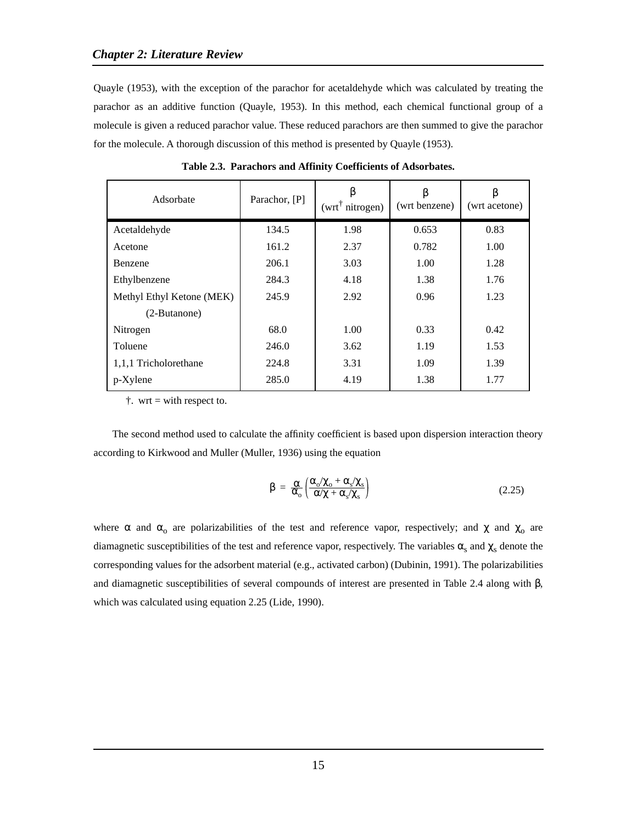Quayle (1953), with the exception of the parachor for acetaldehyde which was calculated by treating the parachor as an additive function (Quayle, 1953). In this method, each chemical functional group of a molecule is given a reduced parachor value. These reduced parachors are then summed to give the parachor for the molecule. A thorough discussion of this method is presented by Quayle (1953).

| Adsorbate                 | Parachor, [P] | $(wrt^{\dagger}$ nitrogen) | β<br>(wrt benzene) | (wrt acetone) |
|---------------------------|---------------|----------------------------|--------------------|---------------|
| Acetaldehyde              | 134.5         | 1.98                       | 0.653              | 0.83          |
| Acetone                   | 161.2         | 2.37                       | 0.782              | 1.00          |
| Benzene                   | 206.1         | 3.03                       | 1.00               | 1.28          |
| Ethylbenzene              | 284.3         | 4.18                       | 1.38               | 1.76          |
| Methyl Ethyl Ketone (MEK) | 245.9         | 2.92                       | 0.96               | 1.23          |
| (2-Butanone)              |               |                            |                    |               |
| Nitrogen                  | 68.0          | 1.00                       | 0.33               | 0.42          |
| Toluene                   | 246.0         | 3.62                       | 1.19               | 1.53          |
| 1,1,1 Tricholorethane     | 224.8         | 3.31                       | 1.09               | 1.39          |
| $p$ -Xylene               | 285.0         | 4.19                       | 1.38               | 1.77          |

**Table 2.3. Parachors and Affinity Coefficients of Adsorbates.**

 $\dagger$ . wrt = with respect to.

The second method used to calculate the affinity coefficient is based upon dispersion interaction theory according to Kirkwood and Muller (Muller, 1936) using the equation

$$
\beta = \frac{\alpha}{\alpha_o} \left( \frac{\alpha_o / \chi_o + \alpha_s / \chi_s}{\alpha / \chi + \alpha_s / \chi_s} \right) \tag{2.25}
$$

where  $\alpha$  and  $\alpha_0$  are polarizabilities of the test and reference vapor, respectively; and  $\chi$  and  $\chi_0$  are diamagnetic susceptibilities of the test and reference vapor, respectively. The variables  $\alpha_s$  and  $\chi_s$  denote the corresponding values for the adsorbent material (e.g., activated carbon) (Dubinin, 1991). The polarizabilities and diamagnetic susceptibilities of several compounds of interest are presented in Table 2.4 along with β, which was calculated using equation 2.25 (Lide, 1990).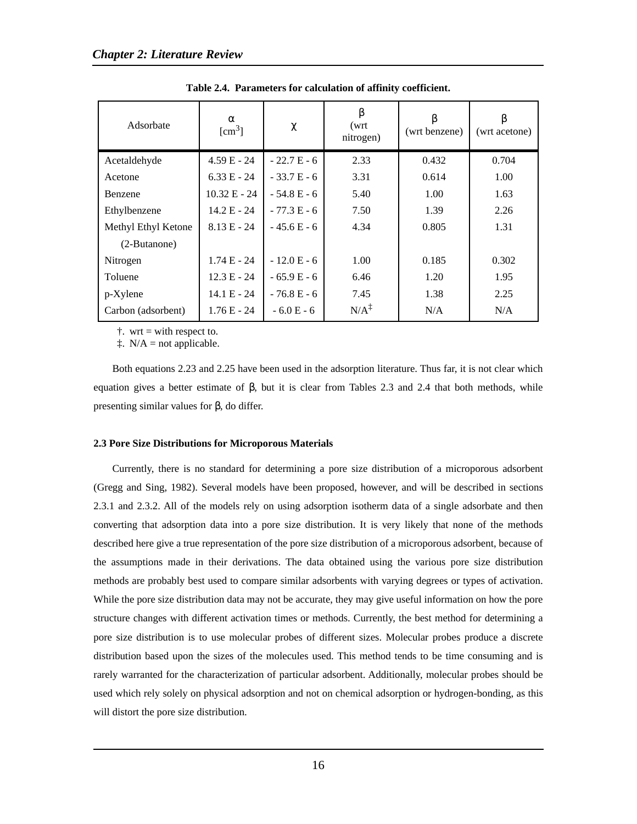| Adsorbate           | $\alpha$<br>$\text{cm}^3$ ] | χ             | β<br>(wrt<br>nitrogen) | (wrt benzene) | (wrt acetone) |
|---------------------|-----------------------------|---------------|------------------------|---------------|---------------|
| Acetaldehyde        | $4.59 E - 24$               | $-22.7E-6$    | 2.33                   | 0.432         | 0.704         |
| Acetone             | $6.33 E - 24$               | $-33.7 E - 6$ | 3.31                   | 0.614         | 1.00          |
| Benzene             | $10.32 E - 24$              | $-54.8 E - 6$ | 5.40                   | 1.00          | 1.63          |
| Ethylbenzene        | $14.2 E - 24$               | $-77.3 E - 6$ | 7.50                   | 1.39          | 2.26          |
| Methyl Ethyl Ketone | $8.13 E - 24$               | $-45.6 E - 6$ | 4.34                   | 0.805         | 1.31          |
| (2-Butanone)        |                             |               |                        |               |               |
| Nitrogen            | $1.74 E - 24$               | $-12.0 E - 6$ | 1.00                   | 0.185         | 0.302         |
| Toluene             | $12.3 E - 24$               | $-65.9E - 6$  | 6.46                   | 1.20          | 1.95          |
| $p$ -Xylene         | $14.1 E - 24$               | $-76.8 E - 6$ | 7.45                   | 1.38          | 2.25          |
| Carbon (adsorbent)  | $1.76E - 24$                | $-6.0 E - 6$  | $N/A^{\ddagger}$       | N/A           | N/A           |

**Table 2.4. Parameters for calculation of affinity coefficient.**

 $\dagger$ . wrt = with respect to.

 $\ddagger$ . N/A = not applicable.

Both equations 2.23 and 2.25 have been used in the adsorption literature. Thus far, it is not clear which equation gives a better estimate of β, but it is clear from Tables 2.3 and 2.4 that both methods, while presenting similar values for β, do differ.

#### **2.3 Pore Size Distributions for Microporous Materials**

Currently, there is no standard for determining a pore size distribution of a microporous adsorbent (Gregg and Sing, 1982). Several models have been proposed, however, and will be described in sections 2.3.1 and 2.3.2. All of the models rely on using adsorption isotherm data of a single adsorbate and then converting that adsorption data into a pore size distribution. It is very likely that none of the methods described here give a true representation of the pore size distribution of a microporous adsorbent, because of the assumptions made in their derivations. The data obtained using the various pore size distribution methods are probably best used to compare similar adsorbents with varying degrees or types of activation. While the pore size distribution data may not be accurate, they may give useful information on how the pore structure changes with different activation times or methods. Currently, the best method for determining a pore size distribution is to use molecular probes of different sizes. Molecular probes produce a discrete distribution based upon the sizes of the molecules used. This method tends to be time consuming and is rarely warranted for the characterization of particular adsorbent. Additionally, molecular probes should be used which rely solely on physical adsorption and not on chemical adsorption or hydrogen-bonding, as this will distort the pore size distribution.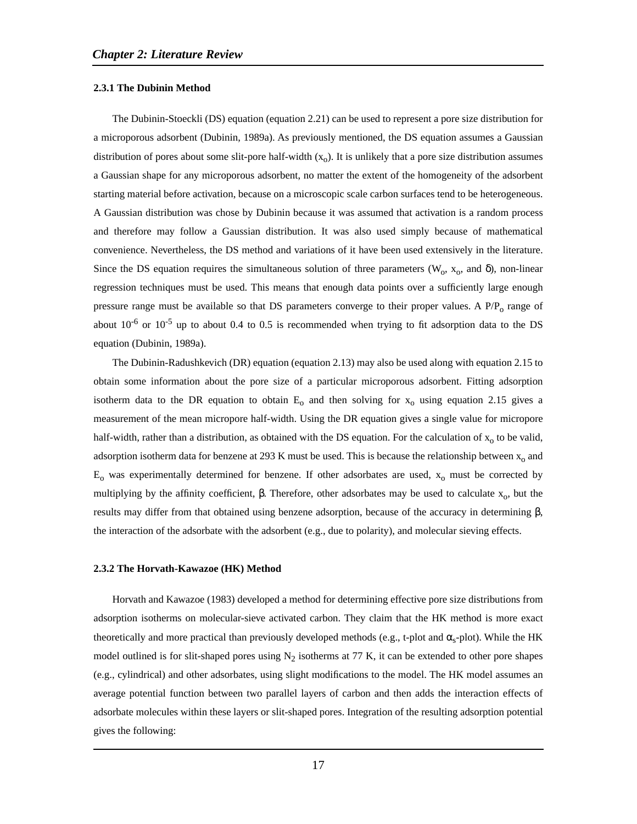#### **2.3.1 The Dubinin Method**

The Dubinin-Stoeckli (DS) equation (equation 2.21) can be used to represent a pore size distribution for a microporous adsorbent (Dubinin, 1989a). As previously mentioned, the DS equation assumes a Gaussian distribution of pores about some slit-pore half-width  $(x_0)$ . It is unlikely that a pore size distribution assumes a Gaussian shape for any microporous adsorbent, no matter the extent of the homogeneity of the adsorbent starting material before activation, because on a microscopic scale carbon surfaces tend to be heterogeneous. A Gaussian distribution was chose by Dubinin because it was assumed that activation is a random process and therefore may follow a Gaussian distribution. It was also used simply because of mathematical convenience. Nevertheless, the DS method and variations of it have been used extensively in the literature. Since the DS equation requires the simultaneous solution of three parameters ( $W_0$ ,  $x_0$ , and  $\delta$ ), non-linear regression techniques must be used. This means that enough data points over a sufficiently large enough pressure range must be available so that DS parameters converge to their proper values. A P/P<sub>o</sub> range of about  $10^{-6}$  or  $10^{-5}$  up to about 0.4 to 0.5 is recommended when trying to fit adsorption data to the DS equation (Dubinin, 1989a).

The Dubinin-Radushkevich (DR) equation (equation 2.13) may also be used along with equation 2.15 to obtain some information about the pore size of a particular microporous adsorbent. Fitting adsorption isotherm data to the DR equation to obtain  $E_0$  and then solving for  $x_0$  using equation 2.15 gives a measurement of the mean micropore half-width. Using the DR equation gives a single value for micropore half-width, rather than a distribution, as obtained with the DS equation. For the calculation of  $x_0$  to be valid, adsorption isotherm data for benzene at 293 K must be used. This is because the relationship between  $x_0$  and  $E_0$  was experimentally determined for benzene. If other adsorbates are used,  $x_0$  must be corrected by multiplying by the affinity coefficient,  $\beta$ . Therefore, other adsorbates may be used to calculate  $x_0$ , but the results may differ from that obtained using benzene adsorption, because of the accuracy in determining β, the interaction of the adsorbate with the adsorbent (e.g., due to polarity), and molecular sieving effects.

#### **2.3.2 The Horvath-Kawazoe (HK) Method**

Horvath and Kawazoe (1983) developed a method for determining effective pore size distributions from adsorption isotherms on molecular-sieve activated carbon. They claim that the HK method is more exact theoretically and more practical than previously developed methods (e.g., t-plot and  $\alpha_s$ -plot). While the HK model outlined is for slit-shaped pores using  $N_2$  isotherms at 77 K, it can be extended to other pore shapes (e.g., cylindrical) and other adsorbates, using slight modifications to the model. The HK model assumes an average potential function between two parallel layers of carbon and then adds the interaction effects of adsorbate molecules within these layers or slit-shaped pores. Integration of the resulting adsorption potential gives the following: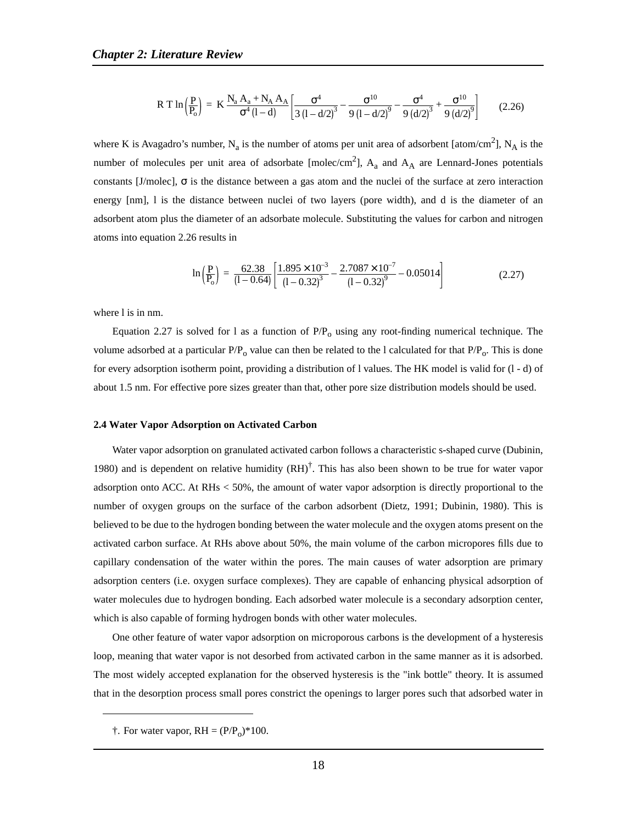$$
R T \ln\left(\frac{P}{P_o}\right) = K \frac{N_a A_a + N_A A_A}{\sigma^4 (l - d)} \left[ \frac{\sigma^4}{3 (l - d/2)^3} - \frac{\sigma^{10}}{9 (l - d/2)^9} - \frac{\sigma^4}{9 (d/2)^3} + \frac{\sigma^{10}}{9 (d/2)^9} \right] \tag{2.26}
$$

where K is Avagadro's number, N<sub>a</sub> is the number of atoms per unit area of adsorbent [atom/cm<sup>2</sup>], N<sub>A</sub> is the number of molecules per unit area of adsorbate  $[molec/cm^2]$ ,  $A_a$  and  $A_A$  are Lennard-Jones potentials constants [J/molec],  $\sigma$  is the distance between a gas atom and the nuclei of the surface at zero interaction energy [nm], 1 is the distance between nuclei of two layers (pore width), and d is the diameter of an adsorbent atom plus the diameter of an adsorbate molecule. Substituting the values for carbon and nitrogen atoms into equation 2.26 results in

$$
\ln\left(\frac{P}{P_o}\right) = \frac{62.38}{(1 - 0.64)} \left[ \frac{1.895 \times 10^{-3}}{(1 - 0.32)^3} - \frac{2.7087 \times 10^{-7}}{(1 - 0.32)^9} - 0.05014 \right]
$$
(2.27)

where l is in nm.

Equation 2.27 is solved for 1 as a function of  $P/P<sub>o</sub>$  using any root-finding numerical technique. The volume adsorbed at a particular  $P/P_0$  value can then be related to the l calculated for that  $P/P_0$ . This is done for every adsorption isotherm point, providing a distribution of l values. The HK model is valid for (l - d) of about 1.5 nm. For effective pore sizes greater than that, other pore size distribution models should be used.

#### **2.4 Water Vapor Adsorption on Activated Carbon**

Water vapor adsorption on granulated activated carbon follows a characteristic s-shaped curve (Dubinin, 1980) and is dependent on relative humidity  $(RH)^{\dagger}$ . This has also been shown to be true for water vapor adsorption onto ACC. At RHs < 50%, the amount of water vapor adsorption is directly proportional to the number of oxygen groups on the surface of the carbon adsorbent (Dietz, 1991; Dubinin, 1980). This is believed to be due to the hydrogen bonding between the water molecule and the oxygen atoms present on the activated carbon surface. At RHs above about 50%, the main volume of the carbon micropores fills due to capillary condensation of the water within the pores. The main causes of water adsorption are primary adsorption centers (i.e. oxygen surface complexes). They are capable of enhancing physical adsorption of water molecules due to hydrogen bonding. Each adsorbed water molecule is a secondary adsorption center, which is also capable of forming hydrogen bonds with other water molecules.

One other feature of water vapor adsorption on microporous carbons is the development of a hysteresis loop, meaning that water vapor is not desorbed from activated carbon in the same manner as it is adsorbed. The most widely accepted explanation for the observed hysteresis is the "ink bottle" theory. It is assumed that in the desorption process small pores constrict the openings to larger pores such that adsorbed water in

 $\dagger$ . For water vapor, RH =  $(P/P_0)^*100$ .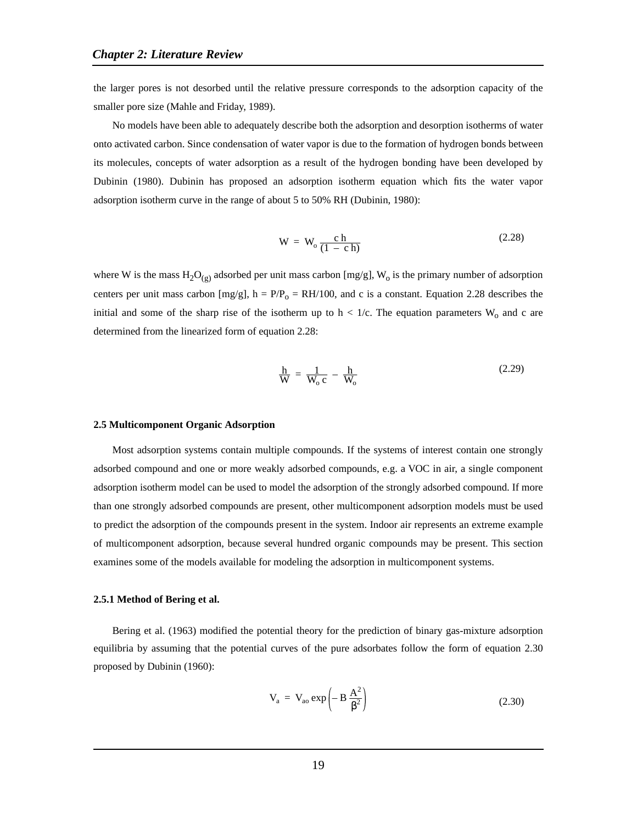the larger pores is not desorbed until the relative pressure corresponds to the adsorption capacity of the smaller pore size (Mahle and Friday, 1989).

No models have been able to adequately describe both the adsorption and desorption isotherms of water onto activated carbon. Since condensation of water vapor is due to the formation of hydrogen bonds between its molecules, concepts of water adsorption as a result of the hydrogen bonding have been developed by Dubinin (1980). Dubinin has proposed an adsorption isotherm equation which fits the water vapor adsorption isotherm curve in the range of about 5 to 50% RH (Dubinin, 1980):

$$
W = W_o \frac{c h}{(1 - c h)}
$$
 (2.28)

where W is the mass H<sub>2</sub>O<sub>(g)</sub> adsorbed per unit mass carbon [mg/g], W<sub>0</sub> is the primary number of adsorption centers per unit mass carbon  $[mg/g]$ ,  $h = P/P_0 = RH/100$ , and c is a constant. Equation 2.28 describes the initial and some of the sharp rise of the isotherm up to  $h < 1/c$ . The equation parameters  $W_0$  and c are determined from the linearized form of equation 2.28:

$$
\frac{h}{W} = \frac{1}{W_o c} - \frac{h}{W_o}
$$
\n
$$
(2.29)
$$

#### **2.5 Multicomponent Organic Adsorption**

Most adsorption systems contain multiple compounds. If the systems of interest contain one strongly adsorbed compound and one or more weakly adsorbed compounds, e.g. a VOC in air, a single component adsorption isotherm model can be used to model the adsorption of the strongly adsorbed compound. If more than one strongly adsorbed compounds are present, other multicomponent adsorption models must be used to predict the adsorption of the compounds present in the system. Indoor air represents an extreme example of multicomponent adsorption, because several hundred organic compounds may be present. This section examines some of the models available for modeling the adsorption in multicomponent systems.

#### **2.5.1 Method of Bering et al.**

Bering et al. (1963) modified the potential theory for the prediction of binary gas-mixture adsorption equilibria by assuming that the potential curves of the pure adsorbates follow the form of equation 2.30 proposed by Dubinin (1960):

$$
V_a = V_{ao} \exp\left(-B \frac{A^2}{\beta^2}\right) \tag{2.30}
$$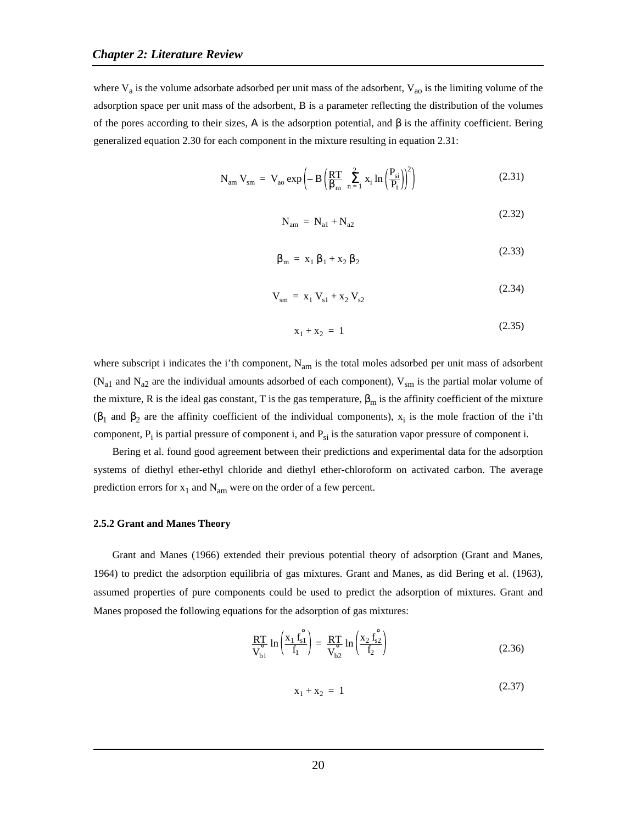where  $V_a$  is the volume adsorbate adsorbed per unit mass of the adsorbent,  $V_{ao}$  is the limiting volume of the adsorption space per unit mass of the adsorbent, B is a parameter reflecting the distribution of the volumes of the pores according to their sizes, A is the adsorption potential, and  $\beta$  is the affinity coefficient. Bering generalized equation 2.30 for each component in the mixture resulting in equation 2.31:

$$
N_{am} V_{sm} = V_{ao} \exp\left(-B\left(\frac{RT}{\beta_m} \sum_{n=1}^{2} x_i \ln\left(\frac{P_{si}}{P_i}\right)\right)^2\right) \tag{2.31}
$$

$$
N_{am} = N_{a1} + N_{a2}
$$
 (2.32)

$$
\beta_{\rm m} = x_1 \beta_1 + x_2 \beta_2 \tag{2.33}
$$

$$
V_{\rm sm} = x_1 V_{s1} + x_2 V_{s2}
$$
 (2.34)

$$
x_1 + x_2 = 1 \tag{2.35}
$$

where subscript i indicates the i'th component,  $N_{am}$  is the total moles adsorbed per unit mass of adsorbent ( $N_{a1}$  and  $N_{a2}$  are the individual amounts adsorbed of each component),  $V_{sm}$  is the partial molar volume of the mixture, R is the ideal gas constant, T is the gas temperature,  $\beta_m$  is the affinity coefficient of the mixture (β<sub>1</sub> and β<sub>2</sub> are the affinity coefficient of the individual components),  $x_i$  is the mole fraction of the i'th component,  $P_i$  is partial pressure of component i, and  $P_{si}$  is the saturation vapor pressure of component i.

Bering et al. found good agreement between their predictions and experimental data for the adsorption systems of diethyl ether-ethyl chloride and diethyl ether-chloroform on activated carbon. The average prediction errors for  $x_1$  and  $N_{am}$  were on the order of a few percent.

#### **2.5.2 Grant and Manes Theory**

Grant and Manes (1966) extended their previous potential theory of adsorption (Grant and Manes, 1964) to predict the adsorption equilibria of gas mixtures. Grant and Manes, as did Bering et al. (1963), assumed properties of pure components could be used to predict the adsorption of mixtures. Grant and Manes proposed the following equations for the adsorption of gas mixtures:

$$
\frac{RT}{V_{b1}^{\circ}} \ln \left( \frac{x_1 f_{s1}^{\circ}}{f_1} \right) = \frac{RT}{V_{b2}^{\circ}} \ln \left( \frac{x_2 f_{s2}^{\circ}}{f_2} \right)
$$
\n(2.36)

$$
x_1 + x_2 = 1 \tag{2.37}
$$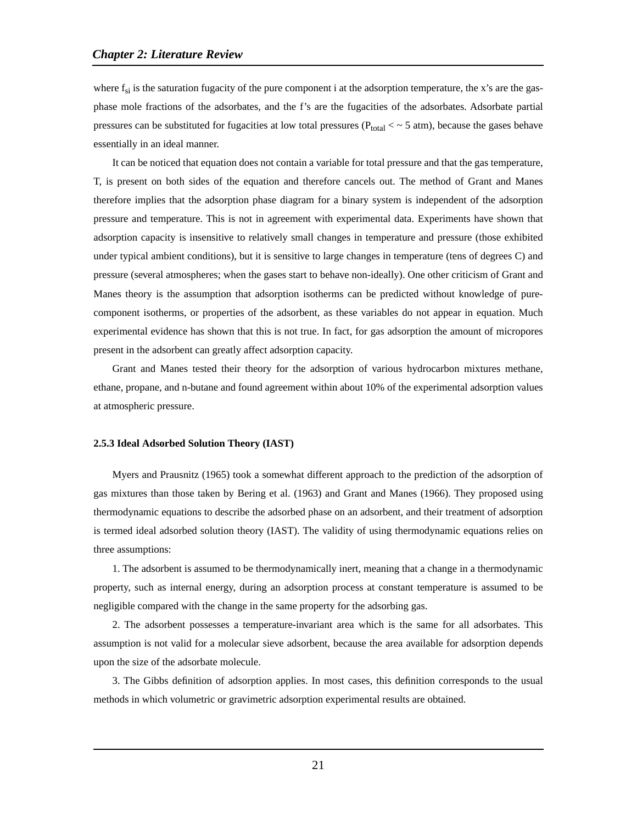where  $f_{si}$  is the saturation fugacity of the pure component i at the adsorption temperature, the x's are the gasphase mole fractions of the adsorbates, and the f's are the fugacities of the adsorbates. Adsorbate partial pressures can be substituted for fugacities at low total pressures ( $P_{total} <$   $\sim$  5 atm), because the gases behave essentially in an ideal manner.

It can be noticed that equation does not contain a variable for total pressure and that the gas temperature, T, is present on both sides of the equation and therefore cancels out. The method of Grant and Manes therefore implies that the adsorption phase diagram for a binary system is independent of the adsorption pressure and temperature. This is not in agreement with experimental data. Experiments have shown that adsorption capacity is insensitive to relatively small changes in temperature and pressure (those exhibited under typical ambient conditions), but it is sensitive to large changes in temperature (tens of degrees C) and pressure (several atmospheres; when the gases start to behave non-ideally). One other criticism of Grant and Manes theory is the assumption that adsorption isotherms can be predicted without knowledge of purecomponent isotherms, or properties of the adsorbent, as these variables do not appear in equation. Much experimental evidence has shown that this is not true. In fact, for gas adsorption the amount of micropores present in the adsorbent can greatly affect adsorption capacity.

Grant and Manes tested their theory for the adsorption of various hydrocarbon mixtures methane, ethane, propane, and n-butane and found agreement within about 10% of the experimental adsorption values at atmospheric pressure.

#### **2.5.3 Ideal Adsorbed Solution Theory (IAST)**

Myers and Prausnitz (1965) took a somewhat different approach to the prediction of the adsorption of gas mixtures than those taken by Bering et al. (1963) and Grant and Manes (1966). They proposed using thermodynamic equations to describe the adsorbed phase on an adsorbent, and their treatment of adsorption is termed ideal adsorbed solution theory (IAST). The validity of using thermodynamic equations relies on three assumptions:

1. The adsorbent is assumed to be thermodynamically inert, meaning that a change in a thermodynamic property, such as internal energy, during an adsorption process at constant temperature is assumed to be negligible compared with the change in the same property for the adsorbing gas.

2. The adsorbent possesses a temperature-invariant area which is the same for all adsorbates. This assumption is not valid for a molecular sieve adsorbent, because the area available for adsorption depends upon the size of the adsorbate molecule.

3. The Gibbs definition of adsorption applies. In most cases, this definition corresponds to the usual methods in which volumetric or gravimetric adsorption experimental results are obtained.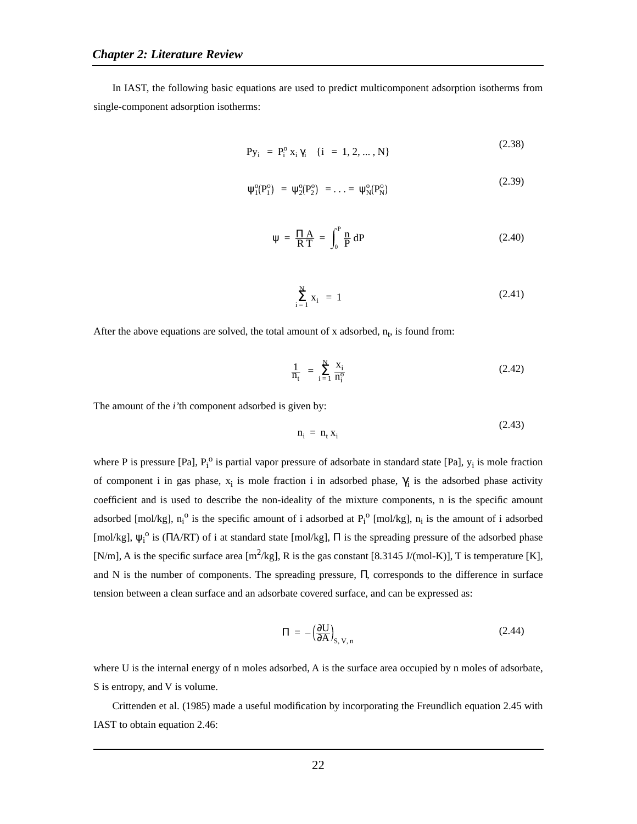In IAST, the following basic equations are used to predict multicomponent adsorption isotherms from single-component adsorption isotherms:

$$
Py_{i} = P_{i}^{o} x_{i} \gamma_{i} \quad \{i = 1, 2, ..., N\}
$$
 (2.38)

 $(2.38)$ 

$$
\psi_1^o(P_1^o) = \psi_2^o(P_2^o) = \ldots = \psi_N^o(P_N^o)
$$
\n(2.39)

$$
\Psi = \frac{\Pi \mathbf{A}}{\mathbf{R} \mathbf{T}} = \int_0^P \frac{\mathbf{n}}{\mathbf{P}} \, \mathrm{d}\mathbf{P} \tag{2.40}
$$

$$
\sum_{i=1}^{N} x_i = 1 \tag{2.41}
$$

After the above equations are solved, the total amount of x adsorbed,  $n_t$ , is found from:

$$
\frac{1}{n_t} = \sum_{i=1}^{N} \frac{x_i}{n_i^0}
$$
 (2.42)

The amount of the *i'*th component adsorbed is given by:

$$
n_i = n_t x_i \tag{2.43}
$$

where P is pressure [Pa],  $P_i^o$  is partial vapor pressure of adsorbate in standard state [Pa],  $y_i$  is mole fraction of component i in gas phase,  $x_i$  is mole fraction i in adsorbed phase,  $\gamma_i$  is the adsorbed phase activity coefficient and is used to describe the non-ideality of the mixture components, n is the specific amount adsorbed [mol/kg],  $n_i^o$  is the specific amount of i adsorbed at  $P_i^o$  [mol/kg],  $n_i$  is the amount of i adsorbed [mol/kg],  $\psi_i^0$  is (ΠA/RT) of i at standard state [mol/kg],  $\Pi$  is the spreading pressure of the adsorbed phase [N/m], A is the specific surface area [m<sup>2</sup>/kg], R is the gas constant [8.3145 J/(mol-K)], T is temperature [K], and N is the number of components. The spreading pressure, Π, corresponds to the difference in surface tension between a clean surface and an adsorbate covered surface, and can be expressed as:

$$
\Pi = -\left(\frac{\partial U}{\partial A}\right)_{S, V, n} \tag{2.44}
$$

where U is the internal energy of n moles adsorbed, A is the surface area occupied by n moles of adsorbate, S is entropy, and V is volume.

Crittenden et al. (1985) made a useful modification by incorporating the Freundlich equation 2.45 with IAST to obtain equation 2.46: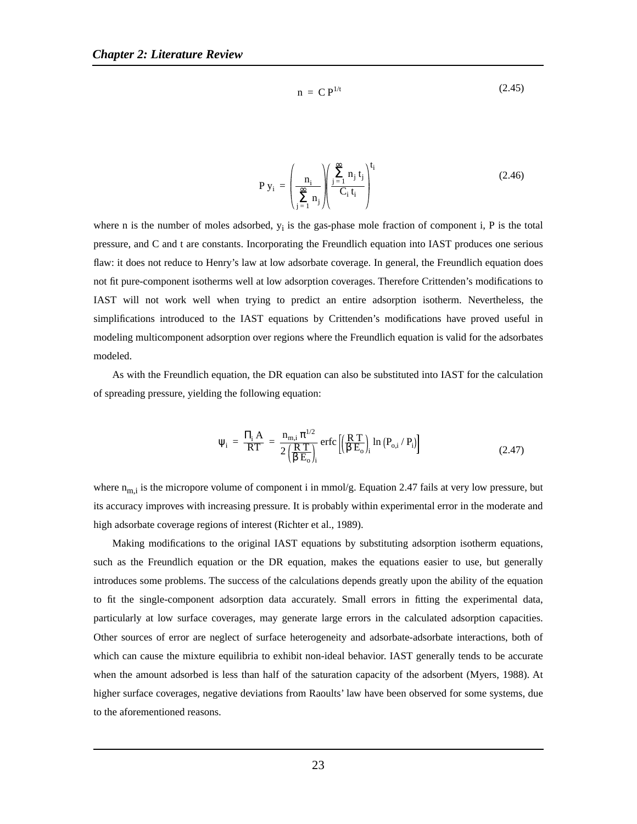$$
n = CP^{1/t} \tag{2.45}
$$

$$
P y_i = \left(\frac{n_i}{\sum_{j=1}^{\infty} n_j} \right) \left(\frac{\sum_{j=1}^{\infty} n_j t_j}{C_i t_i}\right)^{t_i}
$$
(2.46)

where n is the number of moles adsorbed,  $y_i$  is the gas-phase mole fraction of component i, P is the total pressure, and C and t are constants. Incorporating the Freundlich equation into IAST produces one serious flaw: it does not reduce to Henry's law at low adsorbate coverage. In general, the Freundlich equation does not fit pure-component isotherms well at low adsorption coverages. Therefore Crittenden's modifications to IAST will not work well when trying to predict an entire adsorption isotherm. Nevertheless, the simplifications introduced to the IAST equations by Crittenden's modifications have proved useful in modeling multicomponent adsorption over regions where the Freundlich equation is valid for the adsorbates modeled.

As with the Freundlich equation, the DR equation can also be substituted into IAST for the calculation of spreading pressure, yielding the following equation:

$$
\Psi_{i} = \frac{\Pi_{i} A}{RT} = \frac{n_{m,i} \pi^{1/2}}{2 \left(\frac{RT}{\beta E_{o}}\right)_{i}} \operatorname{erfc}\left[\left(\frac{RT}{\beta E_{o}}\right)_{i} \ln \left(P_{o,i} / P_{i}\right)\right]
$$
(2.47)

where  $n_{m,i}$  is the micropore volume of component i in mmol/g. Equation 2.47 fails at very low pressure, but its accuracy improves with increasing pressure. It is probably within experimental error in the moderate and high adsorbate coverage regions of interest (Richter et al., 1989).

Making modifications to the original IAST equations by substituting adsorption isotherm equations, such as the Freundlich equation or the DR equation, makes the equations easier to use, but generally introduces some problems. The success of the calculations depends greatly upon the ability of the equation to fit the single-component adsorption data accurately. Small errors in fitting the experimental data, particularly at low surface coverages, may generate large errors in the calculated adsorption capacities. Other sources of error are neglect of surface heterogeneity and adsorbate-adsorbate interactions, both of which can cause the mixture equilibria to exhibit non-ideal behavior. IAST generally tends to be accurate when the amount adsorbed is less than half of the saturation capacity of the adsorbent (Myers, 1988). At higher surface coverages, negative deviations from Raoults' law have been observed for some systems, due to the aforementioned reasons.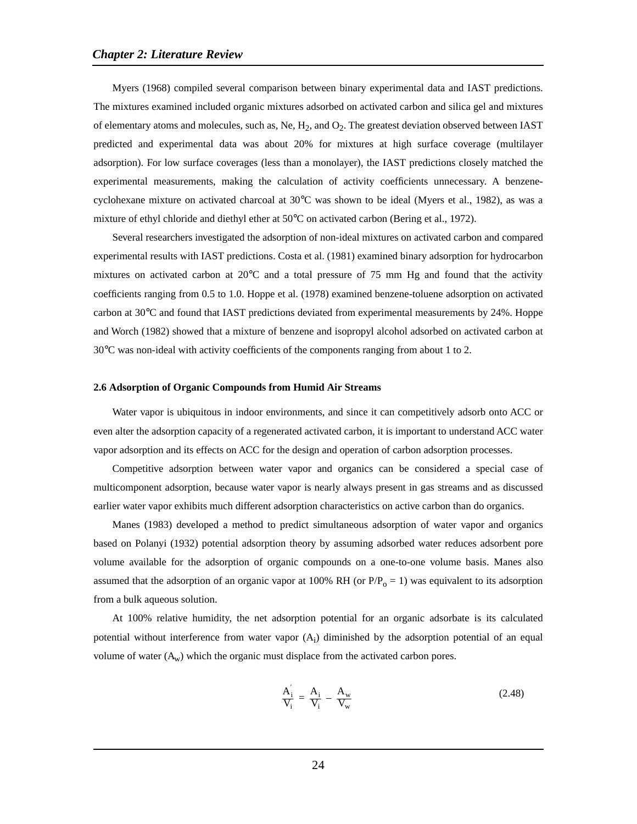Myers (1968) compiled several comparison between binary experimental data and IAST predictions. The mixtures examined included organic mixtures adsorbed on activated carbon and silica gel and mixtures of elementary atoms and molecules, such as, Ne,  $H_2$ , and  $O_2$ . The greatest deviation observed between IAST predicted and experimental data was about 20% for mixtures at high surface coverage (multilayer adsorption). For low surface coverages (less than a monolayer), the IAST predictions closely matched the experimental measurements, making the calculation of activity coefficients unnecessary. A benzenecyclohexane mixture on activated charcoal at 30°C was shown to be ideal (Myers et al., 1982), as was a mixture of ethyl chloride and diethyl ether at 50°C on activated carbon (Bering et al., 1972).

Several researchers investigated the adsorption of non-ideal mixtures on activated carbon and compared experimental results with IAST predictions. Costa et al. (1981) examined binary adsorption for hydrocarbon mixtures on activated carbon at  $20^{\circ}$ C and a total pressure of 75 mm Hg and found that the activity coefficients ranging from 0.5 to 1.0. Hoppe et al. (1978) examined benzene-toluene adsorption on activated carbon at 30°C and found that IAST predictions deviated from experimental measurements by 24%. Hoppe and Worch (1982) showed that a mixture of benzene and isopropyl alcohol adsorbed on activated carbon at 30°C was non-ideal with activity coefficients of the components ranging from about 1 to 2.

#### **2.6 Adsorption of Organic Compounds from Humid Air Streams**

Water vapor is ubiquitous in indoor environments, and since it can competitively adsorb onto ACC or even alter the adsorption capacity of a regenerated activated carbon, it is important to understand ACC water vapor adsorption and its effects on ACC for the design and operation of carbon adsorption processes.

Competitive adsorption between water vapor and organics can be considered a special case of multicomponent adsorption, because water vapor is nearly always present in gas streams and as discussed earlier water vapor exhibits much different adsorption characteristics on active carbon than do organics.

Manes (1983) developed a method to predict simultaneous adsorption of water vapor and organics based on Polanyi (1932) potential adsorption theory by assuming adsorbed water reduces adsorbent pore volume available for the adsorption of organic compounds on a one-to-one volume basis. Manes also assumed that the adsorption of an organic vapor at 100% RH (or  $P/P_0 = 1$ ) was equivalent to its adsorption from a bulk aqueous solution.

At 100% relative humidity, the net adsorption potential for an organic adsorbate is its calculated potential without interference from water vapor (A<sub>i</sub>) diminished by the adsorption potential of an equal volume of water  $(A_w)$  which the organic must displace from the activated carbon pores.

$$
\frac{A_i^{'}}{V_i} = \frac{A_i}{V_i} - \frac{A_w}{V_w}
$$
\n(2.48)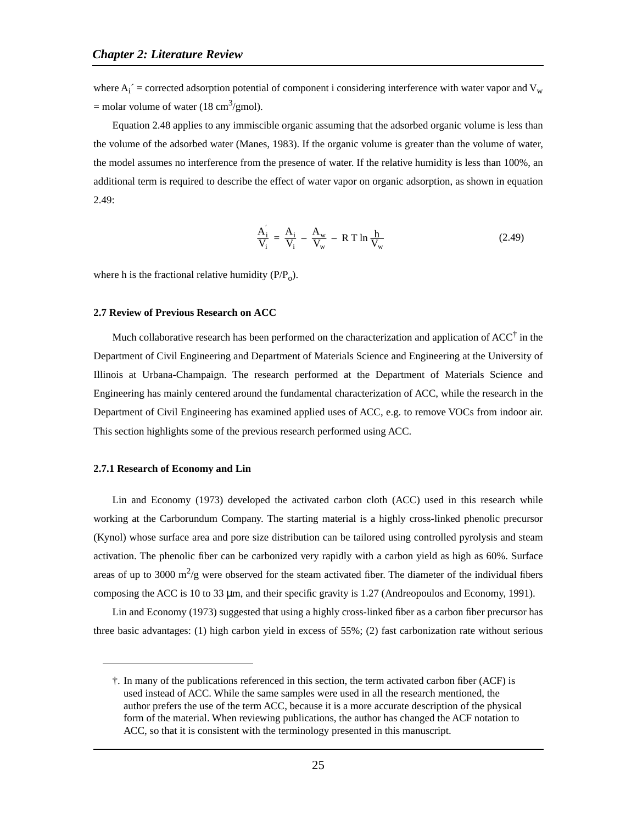where  $A_i^{\prime}$  = corrected adsorption potential of component i considering interference with water vapor and  $V_w$  $=$  molar volume of water (18 cm<sup>3</sup>/gmol).

Equation 2.48 applies to any immiscible organic assuming that the adsorbed organic volume is less than the volume of the adsorbed water (Manes, 1983). If the organic volume is greater than the volume of water, the model assumes no interference from the presence of water. If the relative humidity is less than 100%, an additional term is required to describe the effect of water vapor on organic adsorption, as shown in equation 2.49:

$$
\frac{A'_i}{V_i} = \frac{A_i}{V_i} - \frac{A_w}{V_w} - RT \ln \frac{h}{V_w}
$$
\n(2.49)

where h is the fractional relative humidity  $(P/P_0)$ .

#### **2.7 Review of Previous Research on ACC**

Much collaborative research has been performed on the characterization and application of  $ACC^{\dagger}$  in the Department of Civil Engineering and Department of Materials Science and Engineering at the University of Illinois at Urbana-Champaign. The research performed at the Department of Materials Science and Engineering has mainly centered around the fundamental characterization of ACC, while the research in the Department of Civil Engineering has examined applied uses of ACC, e.g. to remove VOCs from indoor air. This section highlights some of the previous research performed using ACC.

#### **2.7.1 Research of Economy and Lin**

Lin and Economy (1973) developed the activated carbon cloth (ACC) used in this research while working at the Carborundum Company. The starting material is a highly cross-linked phenolic precursor (Kynol) whose surface area and pore size distribution can be tailored using controlled pyrolysis and steam activation. The phenolic fiber can be carbonized very rapidly with a carbon yield as high as 60%. Surface areas of up to 3000  $m^2/g$  were observed for the steam activated fiber. The diameter of the individual fibers composing the ACC is 10 to 33 µm, and their specific gravity is 1.27 (Andreopoulos and Economy, 1991).

Lin and Economy (1973) suggested that using a highly cross-linked fiber as a carbon fiber precursor has three basic advantages: (1) high carbon yield in excess of 55%; (2) fast carbonization rate without serious

<sup>†.</sup> In many of the publications referenced in this section, the term activated carbon fiber (ACF) is used instead of ACC. While the same samples were used in all the research mentioned, the author prefers the use of the term ACC, because it is a more accurate description of the physical form of the material. When reviewing publications, the author has changed the ACF notation to ACC, so that it is consistent with the terminology presented in this manuscript.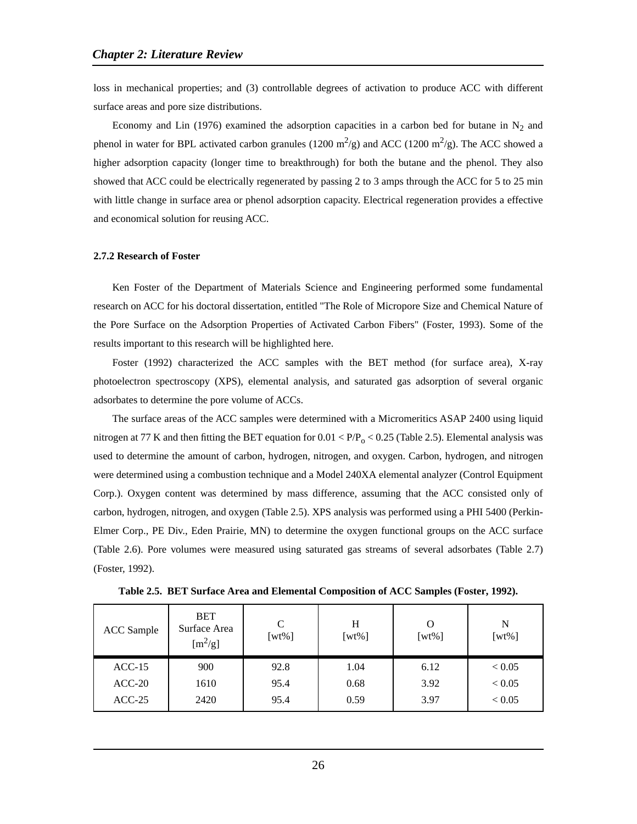loss in mechanical properties; and (3) controllable degrees of activation to produce ACC with different surface areas and pore size distributions.

Economy and Lin (1976) examined the adsorption capacities in a carbon bed for butane in  $N_2$  and phenol in water for BPL activated carbon granules (1200 m<sup>2</sup>/g) and ACC (1200 m<sup>2</sup>/g). The ACC showed a higher adsorption capacity (longer time to breakthrough) for both the butane and the phenol. They also showed that ACC could be electrically regenerated by passing 2 to 3 amps through the ACC for 5 to 25 min with little change in surface area or phenol adsorption capacity. Electrical regeneration provides a effective and economical solution for reusing ACC.

### **2.7.2 Research of Foster**

Ken Foster of the Department of Materials Science and Engineering performed some fundamental research on ACC for his doctoral dissertation, entitled "The Role of Micropore Size and Chemical Nature of the Pore Surface on the Adsorption Properties of Activated Carbon Fibers" (Foster, 1993). Some of the results important to this research will be highlighted here.

Foster (1992) characterized the ACC samples with the BET method (for surface area), X-ray photoelectron spectroscopy (XPS), elemental analysis, and saturated gas adsorption of several organic adsorbates to determine the pore volume of ACCs.

The surface areas of the ACC samples were determined with a Micromeritics ASAP 2400 using liquid nitrogen at 77 K and then fitting the BET equation for  $0.01 < P/P_0 < 0.25$  (Table 2.5). Elemental analysis was used to determine the amount of carbon, hydrogen, nitrogen, and oxygen. Carbon, hydrogen, and nitrogen were determined using a combustion technique and a Model 240XA elemental analyzer (Control Equipment Corp.). Oxygen content was determined by mass difference, assuming that the ACC consisted only of carbon, hydrogen, nitrogen, and oxygen (Table 2.5). XPS analysis was performed using a PHI 5400 (Perkin-Elmer Corp., PE Div., Eden Prairie, MN) to determine the oxygen functional groups on the ACC surface (Table 2.6). Pore volumes were measured using saturated gas streams of several adsorbates (Table 2.7) (Foster, 1992).

| <b>ACC</b> Sample | <b>BET</b><br>Surface Area<br>$[m^2/g]$ | C<br>[ $wt\%$ ] | H<br>[wt%] | О<br>[wt%] | N<br>[ $wt\%$ ] |
|-------------------|-----------------------------------------|-----------------|------------|------------|-----------------|
| $ACC-15$          | 900                                     | 92.8            | 1.04       | 6.12       | ${}< 0.05$      |
| $ACC-20$          | 1610                                    | 95.4            | 0.68       | 3.92       | < 0.05          |
| $ACC-25$          | 2420                                    | 95.4            | 0.59       | 3.97       | < 0.05          |

**Table 2.5. BET Surface Area and Elemental Composition of ACC Samples (Foster, 1992).**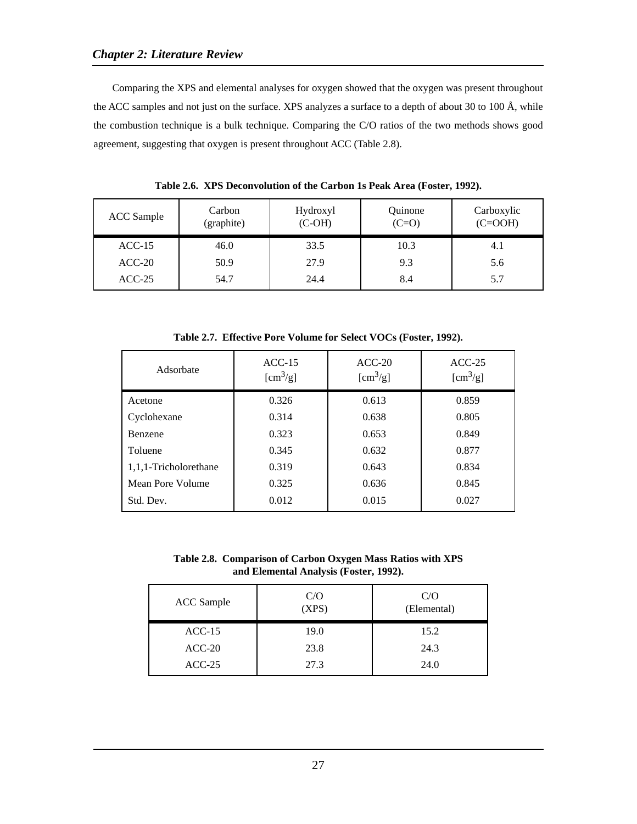Comparing the XPS and elemental analyses for oxygen showed that the oxygen was present throughout the ACC samples and not just on the surface. XPS analyzes a surface to a depth of about 30 to 100 Å, while the combustion technique is a bulk technique. Comparing the C/O ratios of the two methods shows good agreement, suggesting that oxygen is present throughout ACC (Table 2.8).

| ACC Sample | Carbon<br>(graphite) | Hydroxyl<br>$(C-OH)$ | Quinone<br>$(C=O)$ | Carboxylic<br>$(C=OOH)$ |
|------------|----------------------|----------------------|--------------------|-------------------------|
| $ACC-15$   | 46.0                 | 33.5                 | 10.3               | 4.1                     |
| $ACC-20$   | 50.9                 | 27.9                 | 9.3                | 5.6                     |
| $ACC-25$   | 54.7                 | 24.4                 | 8.4                | 5.7                     |

**Table 2.6. XPS Deconvolution of the Carbon 1s Peak Area (Foster, 1992).**

| Adsorbate             | $ACC-15$<br>$\text{[cm}^3\text{/g}$ | $ACC-20$<br>$[cm^3/g]$ | $ACC-25$<br>$[cm^3/g]$ |
|-----------------------|-------------------------------------|------------------------|------------------------|
| Acetone               | 0.326                               | 0.613                  | 0.859                  |
| Cyclohexane           | 0.314                               | 0.638                  | 0.805                  |
| <b>Benzene</b>        | 0.323                               | 0.653                  | 0.849                  |
| Toluene               | 0.345                               | 0.632                  | 0.877                  |
| 1,1,1-Tricholorethane | 0.319                               | 0.643                  | 0.834                  |
| Mean Pore Volume      | 0.325                               | 0.636                  | 0.845                  |
| Std. Dev.             | 0.012                               | 0.015                  | 0.027                  |

**Table 2.7. Effective Pore Volume for Select VOCs (Foster, 1992).**

**Table 2.8. Comparison of Carbon Oxygen Mass Ratios with XPS and Elemental Analysis (Foster, 1992).**

| <b>ACC</b> Sample | C/O<br>(XPS) | C/O<br>(Elemental) |
|-------------------|--------------|--------------------|
| $ACC-15$          | 19.0         | 15.2               |
| $ACC-20$          | 23.8         | 24.3               |
| $ACC-25$          | 27.3         | 24.0               |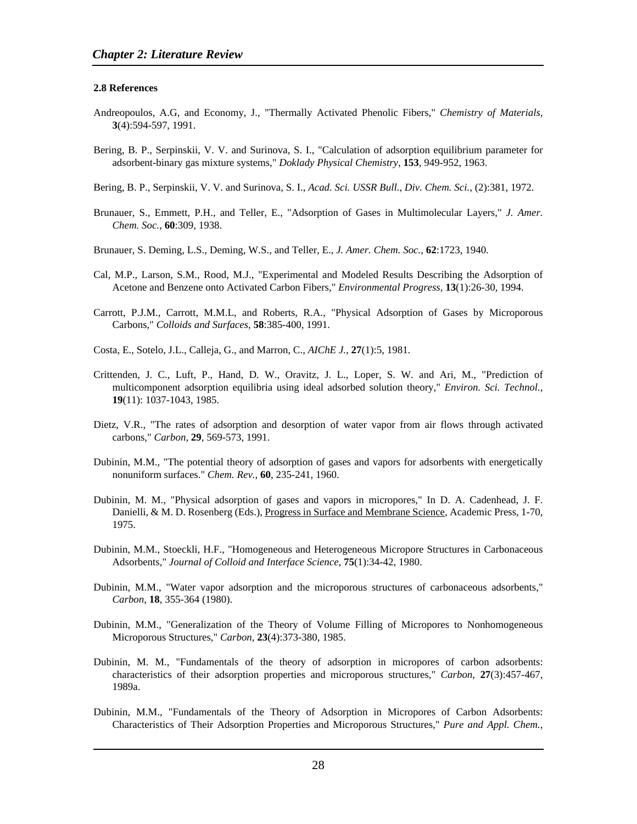# **2.8 References**

- Andreopoulos, A.G, and Economy, J., "Thermally Activated Phenolic Fibers," *Chemistry of Materials*, **3**(4):594-597, 1991.
- Bering, B. P., Serpinskii, V. V. and Surinova, S. I., "Calculation of adsorption equilibrium parameter for adsorbent-binary gas mixture systems," *Doklady Physical Chemistry*, **153**, 949-952, 1963.
- Bering, B. P., Serpinskii, V. V. and Surinova, S. I., *Acad. Sci. USSR Bull., Div. Chem. Sci.*, (2):381, 1972.
- Brunauer, S., Emmett, P.H., and Teller, E., "Adsorption of Gases in Multimolecular Layers," *J. Amer. Chem. Soc.*, **60**:309, 1938.
- Brunauer, S. Deming, L.S., Deming, W.S., and Teller, E., *J. Amer. Chem. Soc.*, **62**:1723, 1940.
- Cal, M.P., Larson, S.M., Rood, M.J., "Experimental and Modeled Results Describing the Adsorption of Acetone and Benzene onto Activated Carbon Fibers," *Environmental Progress*, **13**(1):26-30, 1994.
- Carrott, P.J.M., Carrott, M.M.L, and Roberts, R.A., "Physical Adsorption of Gases by Microporous Carbons," *Colloids and Surfaces*, **58**:385-400, 1991.
- Costa, E., Sotelo, J.L., Calleja, G., and Marron, C., *AIChE J.*, **27**(1):5, 1981.
- Crittenden, J. C., Luft, P., Hand, D. W., Oravitz, J. L., Loper, S. W. and Ari, M., "Prediction of multicomponent adsorption equilibria using ideal adsorbed solution theory," *Environ. Sci. Technol.*, **19**(11): 1037-1043, 1985.
- Dietz, V.R., "The rates of adsorption and desorption of water vapor from air flows through activated carbons," *Carbon*, **29**, 569-573, 1991.
- Dubinin, M.M., "The potential theory of adsorption of gases and vapors for adsorbents with energetically nonuniform surfaces." *Chem. Rev.*, **60**, 235-241, 1960.
- Dubinin, M. M., "Physical adsorption of gases and vapors in micropores," In D. A. Cadenhead, J. F. Danielli, & M. D. Rosenberg (Eds.), Progress in Surface and Membrane Science, Academic Press, 1-70, 1975.
- Dubinin, M.M., Stoeckli, H.F., "Homogeneous and Heterogeneous Micropore Structures in Carbonaceous Adsorbents," *Journal of Colloid and Interface Science*, **75**(1):34-42, 1980.
- Dubinin, M.M., "Water vapor adsorption and the microporous structures of carbonaceous adsorbents," *Carbon*, **18**, 355-364 (1980).
- Dubinin, M.M., "Generalization of the Theory of Volume Filling of Micropores to Nonhomogeneous Microporous Structures," *Carbon*, **23**(4):373-380, 1985.
- Dubinin, M. M., "Fundamentals of the theory of adsorption in micropores of carbon adsorbents: characteristics of their adsorption properties and microporous structures," *Carbon*, **27**(3):457-467, 1989a.
- Dubinin, M.M., "Fundamentals of the Theory of Adsorption in Micropores of Carbon Adsorbents: Characteristics of Their Adsorption Properties and Microporous Structures," *Pure and Appl. Chem.*,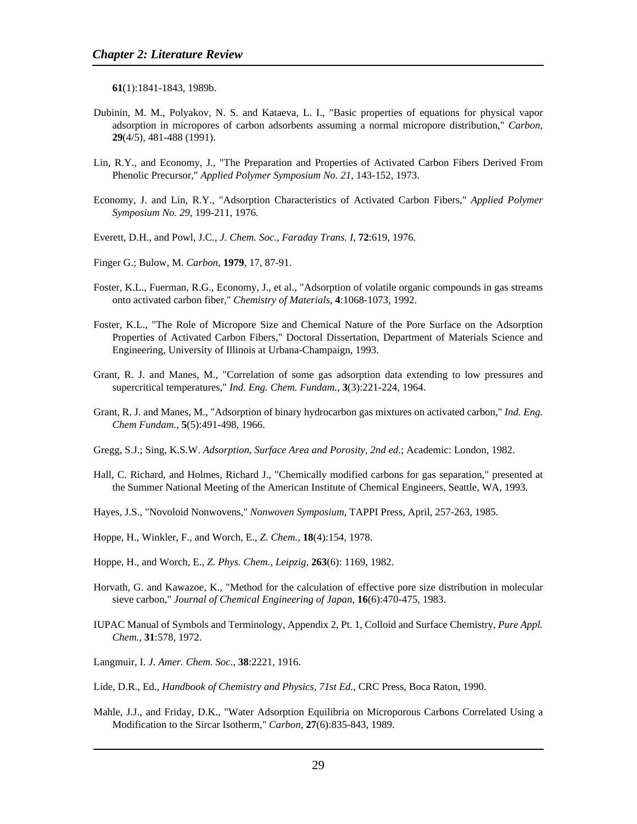**61**(1):1841-1843, 1989b.

- Dubinin, M. M., Polyakov, N. S. and Kataeva, L. I., "Basic properties of equations for physical vapor adsorption in micropores of carbon adsorbents assuming a normal micropore distribution," *Carbon*, **29**(4/5), 481-488 (1991).
- Lin, R.Y., and Economy, J., "The Preparation and Properties of Activated Carbon Fibers Derived From Phenolic Precursor," *Applied Polymer Symposium No. 21*, 143-152, 1973.
- Economy, J. and Lin, R.Y., "Adsorption Characteristics of Activated Carbon Fibers," *Applied Polymer Symposium No. 29*, 199-211, 1976.
- Everett, D.H., and Powl, J.C., *J. Chem. Soc., Faraday Trans. I*, **72**:619, 1976.
- Finger G.; Bulow, M. *Carbon*, **1979**, 17, 87-91.
- Foster, K.L., Fuerman, R.G., Economy, J., et al., "Adsorption of volatile organic compounds in gas streams onto activated carbon fiber," *Chemistry of Materials*, **4**:1068-1073, 1992.
- Foster, K.L., "The Role of Micropore Size and Chemical Nature of the Pore Surface on the Adsorption Properties of Activated Carbon Fibers," Doctoral Dissertation, Department of Materials Science and Engineering, University of Illinois at Urbana-Champaign, 1993.
- Grant, R. J. and Manes, M., "Correlation of some gas adsorption data extending to low pressures and supercritical temperatures," *Ind. Eng. Chem. Fundam.*, **3**(3):221-224, 1964.
- Grant, R. J. and Manes, M., "Adsorption of binary hydrocarbon gas mixtures on activated carbon," *Ind. Eng. Chem Fundam.*, **5**(5):491-498, 1966.
- Gregg, S.J.; Sing, K.S.W. *Adsorption, Surface Area and Porosity, 2nd ed*.; Academic: London, 1982.
- Hall, C. Richard, and Holmes, Richard J., "Chemically modified carbons for gas separation," presented at the Summer National Meeting of the American Institute of Chemical Engineers, Seattle, WA, 1993.
- Hayes, J.S., "Novoloid Nonwovens," *Nonwoven Symposium*, TAPPI Press, April, 257-263, 1985.
- Hoppe, H., Winkler, F., and Worch, E., *Z. Chem.*, **18**(4):154, 1978.
- Hoppe, H., and Worch, E., *Z. Phys. Chem., Leipzig*, **263**(6): 1169, 1982.
- Horvath, G. and Kawazoe, K., "Method for the calculation of effective pore size distribution in molecular sieve carbon," *Journal of Chemical Engineering of Japan*, **16**(6):470-475, 1983.
- IUPAC Manual of Symbols and Terminology, Appendix 2, Pt. 1, Colloid and Surface Chemistry, *Pure Appl. Chem.*, **31**:578, 1972.
- Langmuir, I. *J. Amer. Chem. Soc.*, **38**:2221, 1916.
- Lide, D.R., Ed., *Handbook of Chemistry and Physics, 71st Ed.*, CRC Press, Boca Raton, 1990.
- Mahle, J.J., and Friday, D.K., "Water Adsorption Equilibria on Microporous Carbons Correlated Using a Modification to the Sircar Isotherm," *Carbon*, **27**(6):835-843, 1989.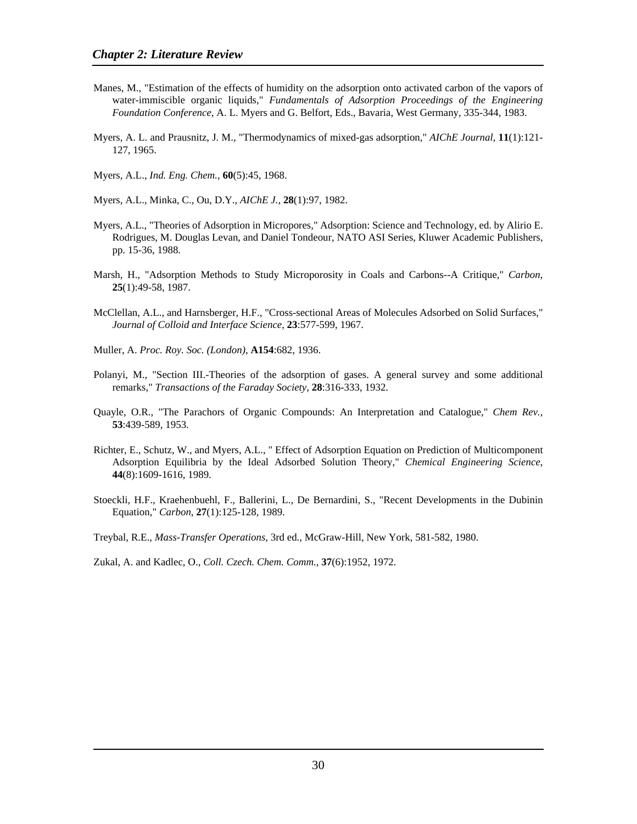- Manes, M., "Estimation of the effects of humidity on the adsorption onto activated carbon of the vapors of water-immiscible organic liquids," *Fundamentals of Adsorption Proceedings of the Engineering Foundation Conference*, A. L. Myers and G. Belfort, Eds., Bavaria, West Germany, 335-344, 1983.
- Myers, A. L. and Prausnitz, J. M., "Thermodynamics of mixed-gas adsorption," *AIChE Journal*, **11**(1):121- 127, 1965.
- Myers, A.L., *Ind. Eng. Chem.,* **60**(5):45, 1968.

Myers, A.L., Minka, C., Ou, D.Y., *AIChE J.*, **28**(1):97, 1982.

- Myers, A.L., "Theories of Adsorption in Micropores," Adsorption: Science and Technology, ed. by Alirio E. Rodrigues, M. Douglas Levan, and Daniel Tondeour, NATO ASI Series, Kluwer Academic Publishers, pp. 15-36, 1988.
- Marsh, H., "Adsorption Methods to Study Microporosity in Coals and Carbons--A Critique," *Carbon*, **25**(1):49-58, 1987.
- McClellan, A.L., and Harnsberger, H.F., "Cross-sectional Areas of Molecules Adsorbed on Solid Surfaces," *Journal of Colloid and Interface Science*, **23**:577-599, 1967.
- Muller, A. *Proc. Roy. Soc. (London)*, **A154**:682, 1936.
- Polanyi, M., "Section III.-Theories of the adsorption of gases. A general survey and some additional remarks," *Transactions of the Faraday Society*, **28**:316-333, 1932.
- Quayle, O.R., "The Parachors of Organic Compounds: An Interpretation and Catalogue," *Chem Rev.*, **53**:439-589, 1953.
- Richter, E., Schutz, W., and Myers, A.L., " Effect of Adsorption Equation on Prediction of Multicomponent Adsorption Equilibria by the Ideal Adsorbed Solution Theory," *Chemical Engineering Science*, **44**(8):1609-1616, 1989.
- Stoeckli, H.F., Kraehenbuehl, F., Ballerini, L., De Bernardini, S., "Recent Developments in the Dubinin Equation," *Carbon*, **27**(1):125-128, 1989.
- Treybal, R.E., *Mass-Transfer Operations*, 3rd ed., McGraw-Hill, New York, 581-582, 1980.

Zukal, A. and Kadlec, O., *Coll. Czech. Chem. Comm.*, **37**(6):1952, 1972.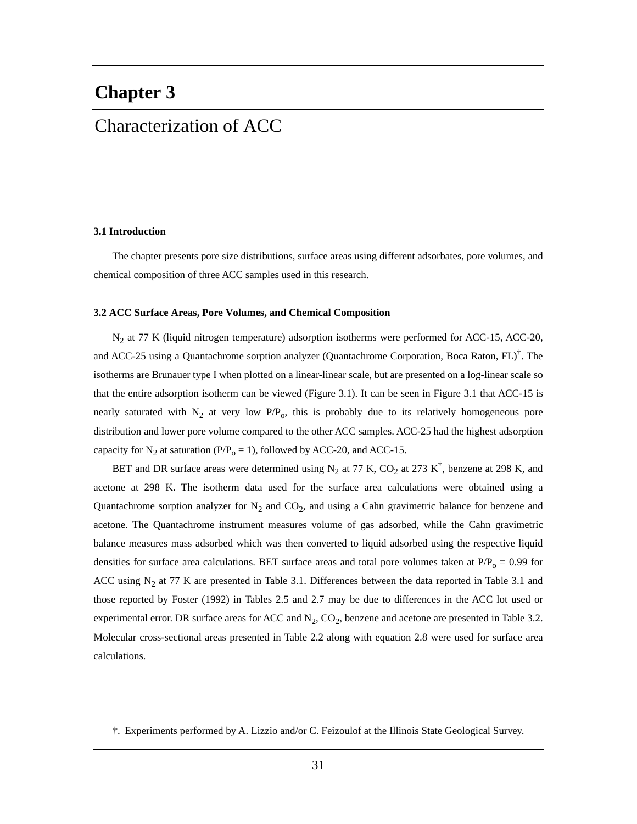# **Chapter 3**

# Characterization of ACC

# **3.1 Introduction**

The chapter presents pore size distributions, surface areas using different adsorbates, pore volumes, and chemical composition of three ACC samples used in this research.

#### **3.2 ACC Surface Areas, Pore Volumes, and Chemical Composition**

N<sub>2</sub> at 77 K (liquid nitrogen temperature) adsorption isotherms were performed for ACC-15, ACC-20, and ACC-25 using a Quantachrome sorption analyzer (Quantachrome Corporation, Boca Raton, FL)<sup>†</sup>. The isotherms are Brunauer type I when plotted on a linear-linear scale, but are presented on a log-linear scale so that the entire adsorption isotherm can be viewed (Figure 3.1). It can be seen in Figure 3.1 that ACC-15 is nearly saturated with  $N_2$  at very low  $P/P_0$ , this is probably due to its relatively homogeneous pore distribution and lower pore volume compared to the other ACC samples. ACC-25 had the highest adsorption capacity for N<sub>2</sub> at saturation (P/P<sub>o</sub> = 1), followed by ACC-20, and ACC-15.

BET and DR surface areas were determined using N<sub>2</sub> at 77 K, CO<sub>2</sub> at 273 K<sup>†</sup>, benzene at 298 K, and acetone at 298 K. The isotherm data used for the surface area calculations were obtained using a Quantachrome sorption analyzer for  $N_2$  and  $CO_2$ , and using a Cahn gravimetric balance for benzene and acetone. The Quantachrome instrument measures volume of gas adsorbed, while the Cahn gravimetric balance measures mass adsorbed which was then converted to liquid adsorbed using the respective liquid densities for surface area calculations. BET surface areas and total pore volumes taken at  $P/P_0 = 0.99$  for ACC using  $N_2$  at 77 K are presented in Table 3.1. Differences between the data reported in Table 3.1 and those reported by Foster (1992) in Tables 2.5 and 2.7 may be due to differences in the ACC lot used or experimental error. DR surface areas for ACC and  $N_2$ , CO<sub>2</sub>, benzene and acetone are presented in Table 3.2. Molecular cross-sectional areas presented in Table 2.2 along with equation 2.8 were used for surface area calculations.

<sup>†.</sup> Experiments performed by A. Lizzio and/or C. Feizoulof at the Illinois State Geological Survey.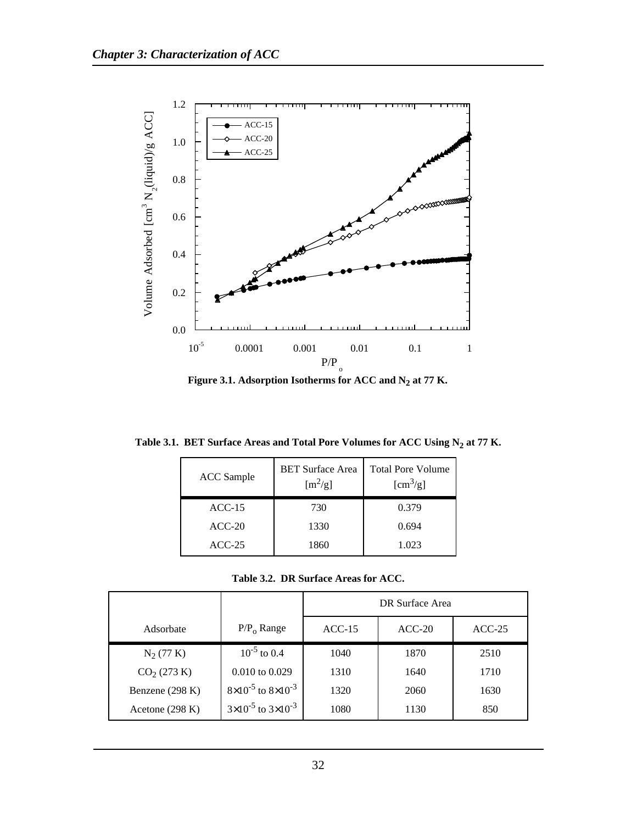

Figure 3.1. Adsorption Isotherms for ACC and N<sub>2</sub> at 77 K.

Table 3.1. BET Surface Areas and Total Pore Volumes for ACC Using N<sub>2</sub> at 77 K.

| <b>ACC</b> Sample | <b>BET</b> Surface Area<br>$\left[\text{m}^2/\text{g}\right]$ | <b>Total Pore Volume</b><br>$\text{[cm}^3\text{/g}$ |
|-------------------|---------------------------------------------------------------|-----------------------------------------------------|
| $ACC-15$          | 730                                                           | 0.379                                               |
| $ACC-20$          | 1330                                                          | 0.694                                               |
| $ACC-25$          | 1860                                                          | 1.023                                               |

**Table 3.2. DR Surface Areas for ACC.**

|                         |                                      | DR Surface Area |          |          |  |  |
|-------------------------|--------------------------------------|-----------------|----------|----------|--|--|
| Adsorbate               | $P/P_0$ Range                        | $ACC-15$        | $ACC-20$ | $ACC-25$ |  |  |
| $N_2$ (77 K)            | $10^{-5}$ to 0.4                     | 1040            | 1870     | 2510     |  |  |
| CO <sub>2</sub> (273 K) | $0.010$ to $0.029$                   | 1310            | 1640     | 1710     |  |  |
| Benzene (298 K)         | $8\times10^{-5}$ to $8\times10^{-3}$ | 1320            | 2060     | 1630     |  |  |
| Acetone (298 K)         | $3\times10^{-5}$ to $3\times10^{-3}$ | 1080            | 1130     | 850      |  |  |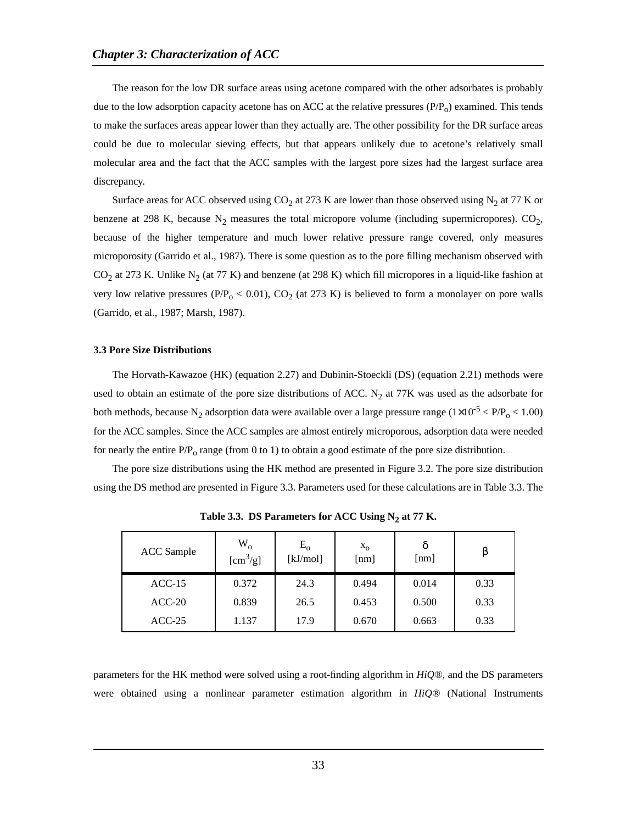The reason for the low DR surface areas using acetone compared with the other adsorbates is probably due to the low adsorption capacity acetone has on ACC at the relative pressures  $(P/P_0)$  examined. This tends to make the surfaces areas appear lower than they actually are. The other possibility for the DR surface areas could be due to molecular sieving effects, but that appears unlikely due to acetone's relatively small molecular area and the fact that the ACC samples with the largest pore sizes had the largest surface area discrepancy.

Surface areas for ACC observed using  $CO<sub>2</sub>$  at 273 K are lower than those observed using N<sub>2</sub> at 77 K or benzene at 298 K, because  $N_2$  measures the total micropore volume (including supermicropores). CO<sub>2</sub>, because of the higher temperature and much lower relative pressure range covered, only measures microporosity (Garrido et al., 1987). There is some question as to the pore filling mechanism observed with  $CO<sub>2</sub>$  at 273 K. Unlike N<sub>2</sub> (at 77 K) and benzene (at 298 K) which fill micropores in a liquid-like fashion at very low relative pressures ( $P/P_0 < 0.01$ ),  $CO_2$  (at 273 K) is believed to form a monolayer on pore walls (Garrido, et al., 1987; Marsh, 1987).

# **3.3 Pore Size Distributions**

The Horvath-Kawazoe (HK) (equation 2.27) and Dubinin-Stoeckli (DS) (equation 2.21) methods were used to obtain an estimate of the pore size distributions of ACC.  $N_2$  at 77K was used as the adsorbate for both methods, because N<sub>2</sub> adsorption data were available over a large pressure range  $(1 \times 10^{-5} < P/P_0 < 1.00)$ for the ACC samples. Since the ACC samples are almost entirely microporous, adsorption data were needed for nearly the entire  $P/P_0$  range (from 0 to 1) to obtain a good estimate of the pore size distribution.

The pore size distributions using the HK method are presented in Figure 3.2. The pore size distribution using the DS method are presented in Figure 3.3. Parameters used for these calculations are in Table 3.3. The

| <b>ACC</b> Sample | $W_{o}$<br>$[cm^3/g]$ | $E_{\rm o}$<br>[kJ/mol] | $X_{O}$<br>[nm] | δ<br>[nm] |      |
|-------------------|-----------------------|-------------------------|-----------------|-----------|------|
| $ACC-15$          | 0.372                 | 24.3                    | 0.494           | 0.014     | 0.33 |
| $ACC-20$          | 0.839                 | 26.5                    | 0.453           | 0.500     | 0.33 |
| $ACC-25$          | 1.137                 | 17.9                    | 0.670           | 0.663     | 0.33 |

Table 3.3. DS Parameters for ACC Using N<sub>2</sub> at 77 K.

parameters for the HK method were solved using a root-finding algorithm in *HiQ®,* and the DS parameters were obtained using a nonlinear parameter estimation algorithm in *HiQ®* (National Instruments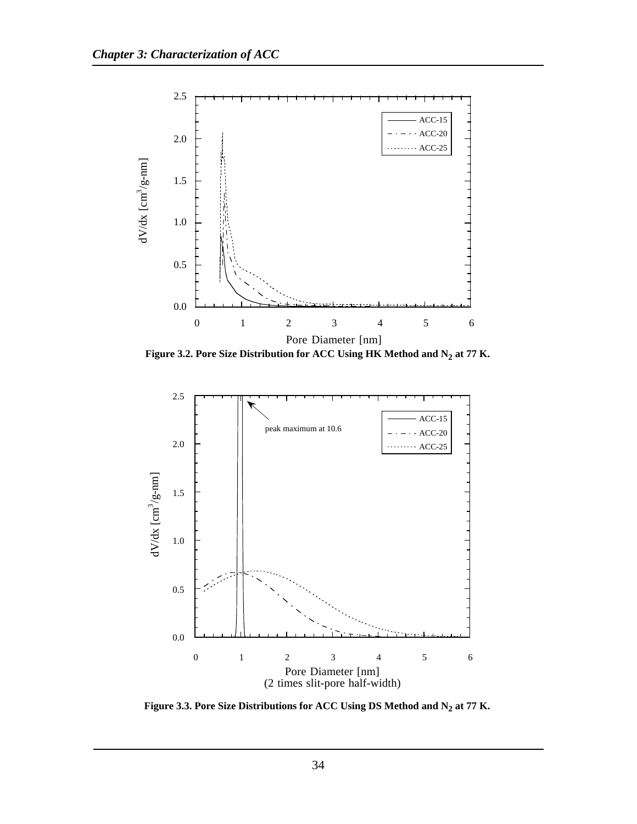

Figure 3.2. Pore Size Distribution for ACC Using HK Method and N<sub>2</sub> at 77 K.



Figure 3.3. Pore Size Distributions for ACC Using DS Method and N<sub>2</sub> at 77 K.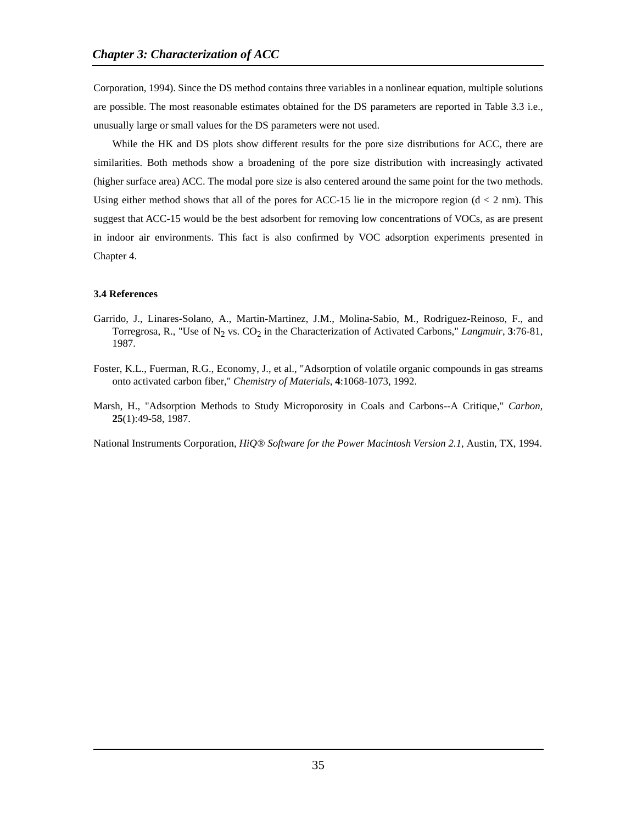Corporation, 1994). Since the DS method contains three variables in a nonlinear equation, multiple solutions are possible. The most reasonable estimates obtained for the DS parameters are reported in Table 3.3 i.e., unusually large or small values for the DS parameters were not used.

While the HK and DS plots show different results for the pore size distributions for ACC, there are similarities. Both methods show a broadening of the pore size distribution with increasingly activated (higher surface area) ACC. The modal pore size is also centered around the same point for the two methods. Using either method shows that all of the pores for ACC-15 lie in the micropore region  $(d < 2 \text{ nm})$ . This suggest that ACC-15 would be the best adsorbent for removing low concentrations of VOCs, as are present in indoor air environments. This fact is also confirmed by VOC adsorption experiments presented in Chapter 4.

# **3.4 References**

- Garrido, J., Linares-Solano, A., Martin-Martinez, J.M., Molina-Sabio, M., Rodriguez-Reinoso, F., and Torregrosa, R., "Use of N<sub>2</sub> vs. CO<sub>2</sub> in the Characterization of Activated Carbons," *Langmuir*, **3**:76-81, 1987.
- Foster, K.L., Fuerman, R.G., Economy, J., et al., "Adsorption of volatile organic compounds in gas streams onto activated carbon fiber," *Chemistry of Materials*, **4**:1068-1073, 1992.
- Marsh, H., "Adsorption Methods to Study Microporosity in Coals and Carbons--A Critique," *Carbon*, **25**(1):49-58, 1987.

National Instruments Corporation, *HiQ® Software for the Power Macintosh Version 2.1*, Austin, TX, 1994.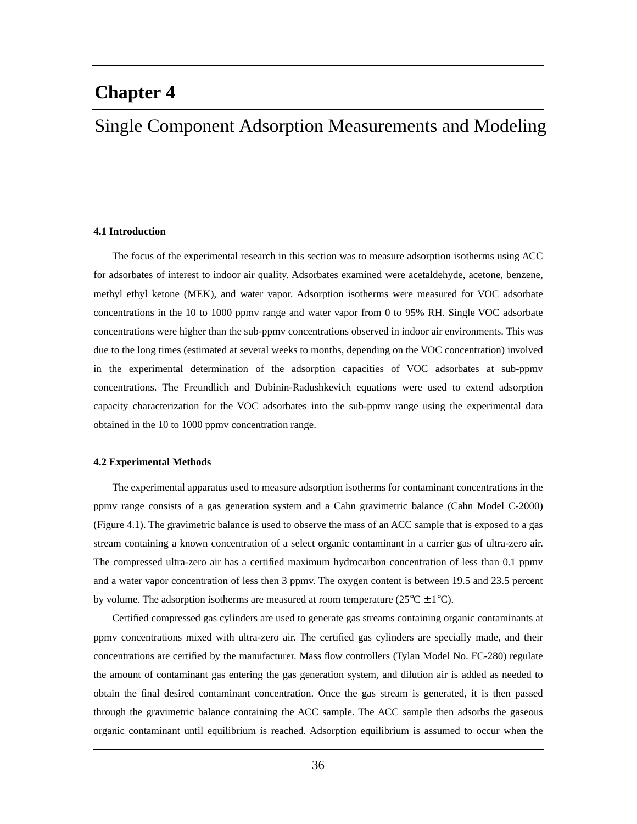# **Chapter 4**

# Single Component Adsorption Measurements and Modeling

# **4.1 Introduction**

The focus of the experimental research in this section was to measure adsorption isotherms using ACC for adsorbates of interest to indoor air quality. Adsorbates examined were acetaldehyde, acetone, benzene, methyl ethyl ketone (MEK), and water vapor. Adsorption isotherms were measured for VOC adsorbate concentrations in the 10 to 1000 ppmv range and water vapor from 0 to 95% RH. Single VOC adsorbate concentrations were higher than the sub-ppmv concentrations observed in indoor air environments. This was due to the long times (estimated at several weeks to months, depending on the VOC concentration) involved in the experimental determination of the adsorption capacities of VOC adsorbates at sub-ppmv concentrations. The Freundlich and Dubinin-Radushkevich equations were used to extend adsorption capacity characterization for the VOC adsorbates into the sub-ppmv range using the experimental data obtained in the 10 to 1000 ppmv concentration range.

# **4.2 Experimental Methods**

The experimental apparatus used to measure adsorption isotherms for contaminant concentrations in the ppmv range consists of a gas generation system and a Cahn gravimetric balance (Cahn Model C-2000) (Figure 4.1). The gravimetric balance is used to observe the mass of an ACC sample that is exposed to a gas stream containing a known concentration of a select organic contaminant in a carrier gas of ultra-zero air. The compressed ultra-zero air has a certified maximum hydrocarbon concentration of less than 0.1 ppmv and a water vapor concentration of less then 3 ppmv. The oxygen content is between 19.5 and 23.5 percent by volume. The adsorption isotherms are measured at room temperature ( $25^{\circ}C \pm 1^{\circ}C$ ).

Certified compressed gas cylinders are used to generate gas streams containing organic contaminants at ppmv concentrations mixed with ultra-zero air. The certified gas cylinders are specially made, and their concentrations are certified by the manufacturer. Mass flow controllers (Tylan Model No. FC-280) regulate the amount of contaminant gas entering the gas generation system, and dilution air is added as needed to obtain the final desired contaminant concentration. Once the gas stream is generated, it is then passed through the gravimetric balance containing the ACC sample. The ACC sample then adsorbs the gaseous organic contaminant until equilibrium is reached. Adsorption equilibrium is assumed to occur when the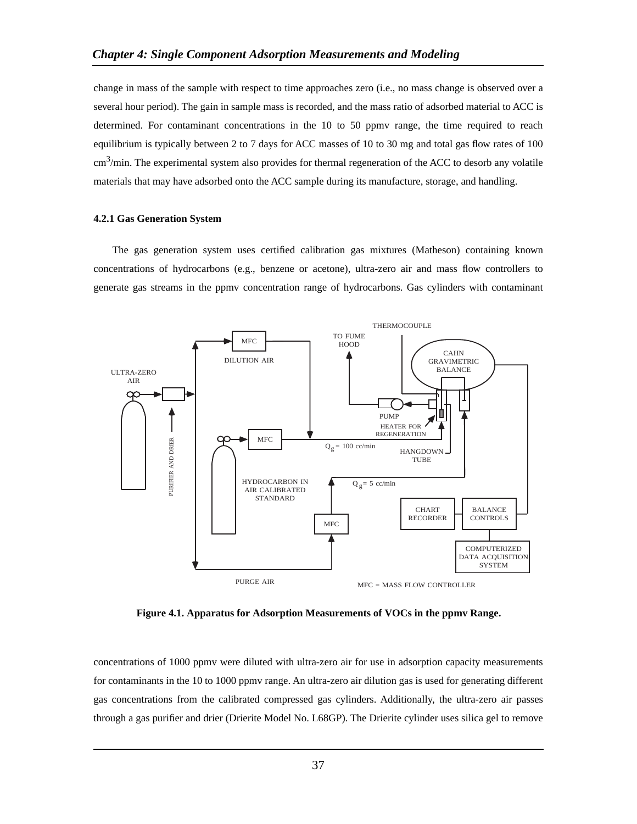change in mass of the sample with respect to time approaches zero (i.e., no mass change is observed over a several hour period). The gain in sample mass is recorded, and the mass ratio of adsorbed material to ACC is determined. For contaminant concentrations in the 10 to 50 ppmv range, the time required to reach equilibrium is typically between 2 to 7 days for ACC masses of 10 to 30 mg and total gas flow rates of 100 cm<sup>3</sup>/min. The experimental system also provides for thermal regeneration of the ACC to desorb any volatile materials that may have adsorbed onto the ACC sample during its manufacture, storage, and handling.

### **4.2.1 Gas Generation System**

The gas generation system uses certified calibration gas mixtures (Matheson) containing known concentrations of hydrocarbons (e.g., benzene or acetone), ultra-zero air and mass flow controllers to generate gas streams in the ppmv concentration range of hydrocarbons. Gas cylinders with contaminant



**Figure 4.1. Apparatus for Adsorption Measurements of VOCs in the ppmv Range.**

concentrations of 1000 ppmv were diluted with ultra-zero air for use in adsorption capacity measurements for contaminants in the 10 to 1000 ppmv range. An ultra-zero air dilution gas is used for generating different gas concentrations from the calibrated compressed gas cylinders. Additionally, the ultra-zero air passes through a gas purifier and drier (Drierite Model No. L68GP). The Drierite cylinder uses silica gel to remove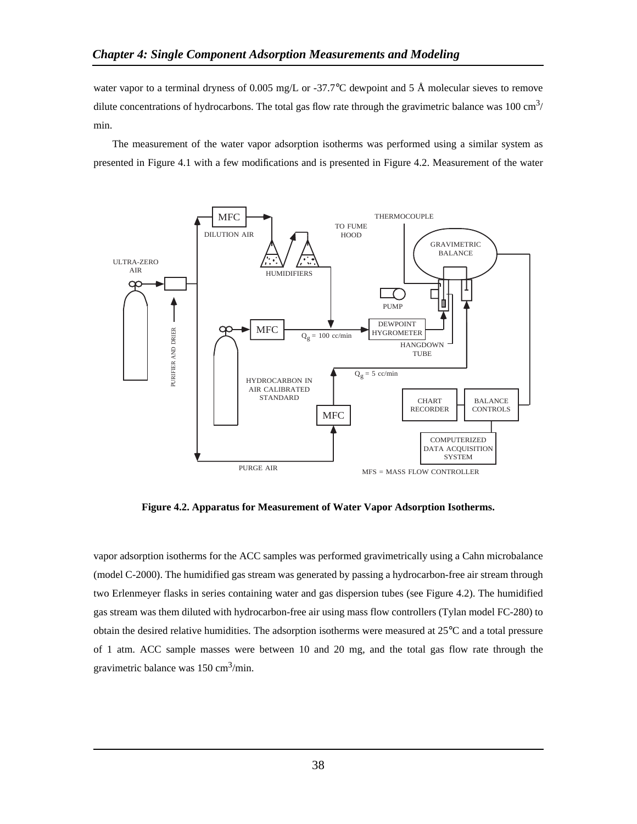water vapor to a terminal dryness of 0.005 mg/L or -37.7 $^{\circ}$ C dewpoint and 5 Å molecular sieves to remove dilute concentrations of hydrocarbons. The total gas flow rate through the gravimetric balance was  $100 \text{ cm}^3$ / min.

The measurement of the water vapor adsorption isotherms was performed using a similar system as presented in Figure 4.1 with a few modifications and is presented in Figure 4.2. Measurement of the water



**Figure 4.2. Apparatus for Measurement of Water Vapor Adsorption Isotherms.**

vapor adsorption isotherms for the ACC samples was performed gravimetrically using a Cahn microbalance (model C-2000). The humidified gas stream was generated by passing a hydrocarbon-free air stream through two Erlenmeyer flasks in series containing water and gas dispersion tubes (see Figure 4.2). The humidified gas stream was them diluted with hydrocarbon-free air using mass flow controllers (Tylan model FC-280) to obtain the desired relative humidities. The adsorption isotherms were measured at 25°C and a total pressure of 1 atm. ACC sample masses were between 10 and 20 mg, and the total gas flow rate through the gravimetric balance was  $150 \text{ cm}^3/\text{min}$ .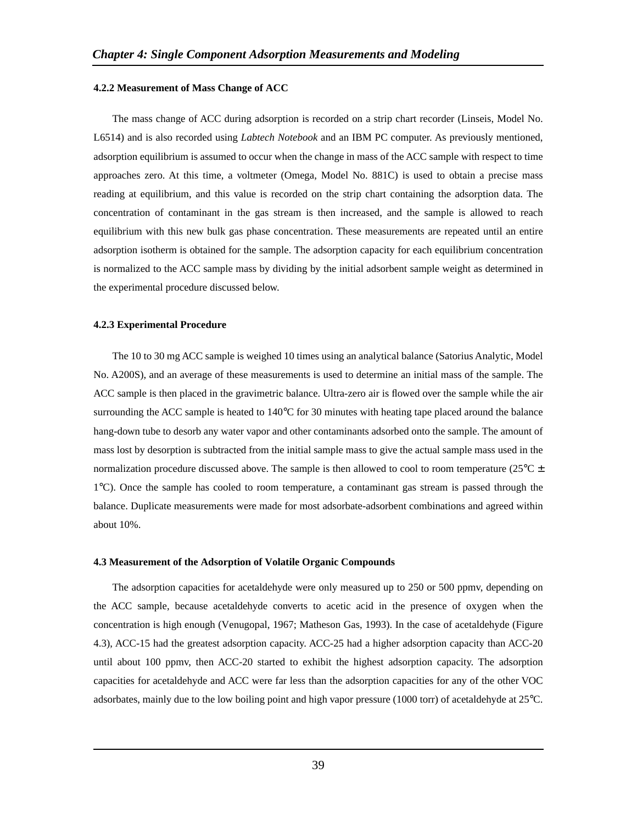# **4.2.2 Measurement of Mass Change of ACC**

The mass change of ACC during adsorption is recorded on a strip chart recorder (Linseis, Model No. L6514) and is also recorded using *Labtech Notebook* and an IBM PC computer. As previously mentioned, adsorption equilibrium is assumed to occur when the change in mass of the ACC sample with respect to time approaches zero. At this time, a voltmeter (Omega, Model No. 881C) is used to obtain a precise mass reading at equilibrium, and this value is recorded on the strip chart containing the adsorption data. The concentration of contaminant in the gas stream is then increased, and the sample is allowed to reach equilibrium with this new bulk gas phase concentration. These measurements are repeated until an entire adsorption isotherm is obtained for the sample. The adsorption capacity for each equilibrium concentration is normalized to the ACC sample mass by dividing by the initial adsorbent sample weight as determined in the experimental procedure discussed below.

# **4.2.3 Experimental Procedure**

The 10 to 30 mg ACC sample is weighed 10 times using an analytical balance (Satorius Analytic, Model No. A200S), and an average of these measurements is used to determine an initial mass of the sample. The ACC sample is then placed in the gravimetric balance. Ultra-zero air is flowed over the sample while the air surrounding the ACC sample is heated to 140°C for 30 minutes with heating tape placed around the balance hang-down tube to desorb any water vapor and other contaminants adsorbed onto the sample. The amount of mass lost by desorption is subtracted from the initial sample mass to give the actual sample mass used in the normalization procedure discussed above. The sample is then allowed to cool to room temperature ( $25^{\circ}$ C  $\pm$ 1°C). Once the sample has cooled to room temperature, a contaminant gas stream is passed through the balance. Duplicate measurements were made for most adsorbate-adsorbent combinations and agreed within about 10%.

# **4.3 Measurement of the Adsorption of Volatile Organic Compounds**

The adsorption capacities for acetaldehyde were only measured up to 250 or 500 ppmv, depending on the ACC sample, because acetaldehyde converts to acetic acid in the presence of oxygen when the concentration is high enough (Venugopal, 1967; Matheson Gas, 1993). In the case of acetaldehyde (Figure 4.3), ACC-15 had the greatest adsorption capacity. ACC-25 had a higher adsorption capacity than ACC-20 until about 100 ppmv, then ACC-20 started to exhibit the highest adsorption capacity. The adsorption capacities for acetaldehyde and ACC were far less than the adsorption capacities for any of the other VOC adsorbates, mainly due to the low boiling point and high vapor pressure (1000 torr) of acetaldehyde at 25°C.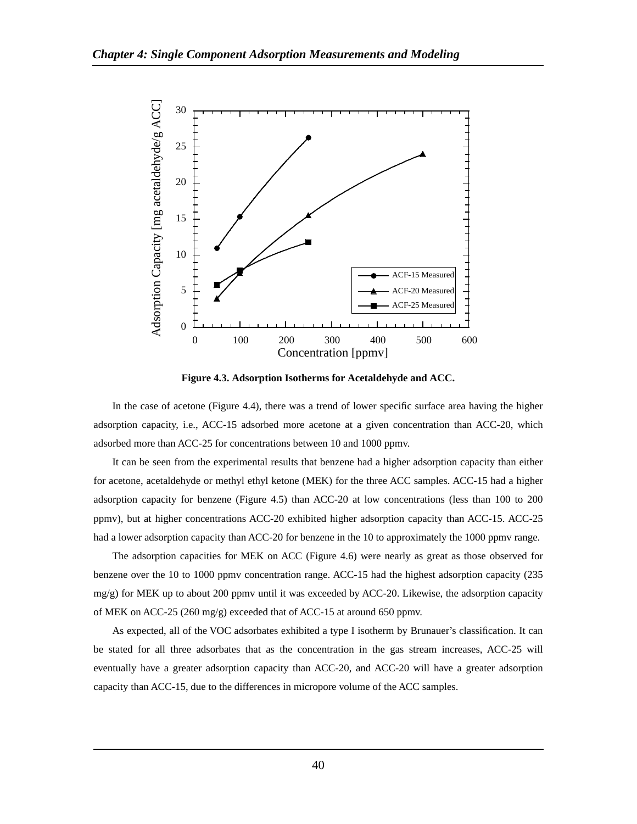

**Figure 4.3. Adsorption Isotherms for Acetaldehyde and ACC.**

In the case of acetone (Figure 4.4), there was a trend of lower specific surface area having the higher adsorption capacity, i.e., ACC-15 adsorbed more acetone at a given concentration than ACC-20, which adsorbed more than ACC-25 for concentrations between 10 and 1000 ppmv.

It can be seen from the experimental results that benzene had a higher adsorption capacity than either for acetone, acetaldehyde or methyl ethyl ketone (MEK) for the three ACC samples. ACC-15 had a higher adsorption capacity for benzene (Figure 4.5) than ACC-20 at low concentrations (less than 100 to 200 ppmv), but at higher concentrations ACC-20 exhibited higher adsorption capacity than ACC-15. ACC-25 had a lower adsorption capacity than ACC-20 for benzene in the 10 to approximately the 1000 ppmv range.

The adsorption capacities for MEK on ACC (Figure 4.6) were nearly as great as those observed for benzene over the 10 to 1000 ppmv concentration range. ACC-15 had the highest adsorption capacity (235 mg/g) for MEK up to about 200 ppmv until it was exceeded by ACC-20. Likewise, the adsorption capacity of MEK on ACC-25 (260 mg/g) exceeded that of ACC-15 at around 650 ppmv.

As expected, all of the VOC adsorbates exhibited a type I isotherm by Brunauer's classification. It can be stated for all three adsorbates that as the concentration in the gas stream increases, ACC-25 will eventually have a greater adsorption capacity than ACC-20, and ACC-20 will have a greater adsorption capacity than ACC-15, due to the differences in micropore volume of the ACC samples.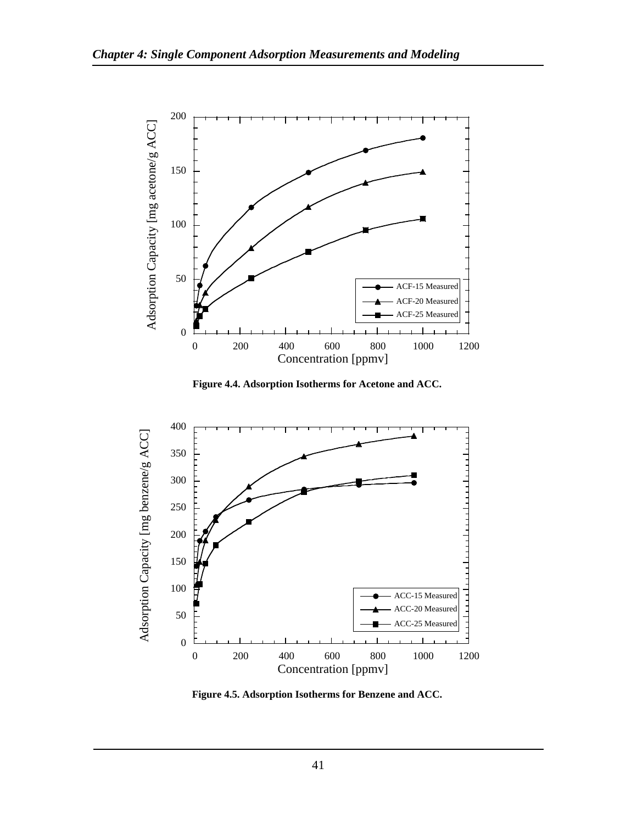

**Figure 4.4. Adsorption Isotherms for Acetone and ACC.**



**Figure 4.5. Adsorption Isotherms for Benzene and ACC.**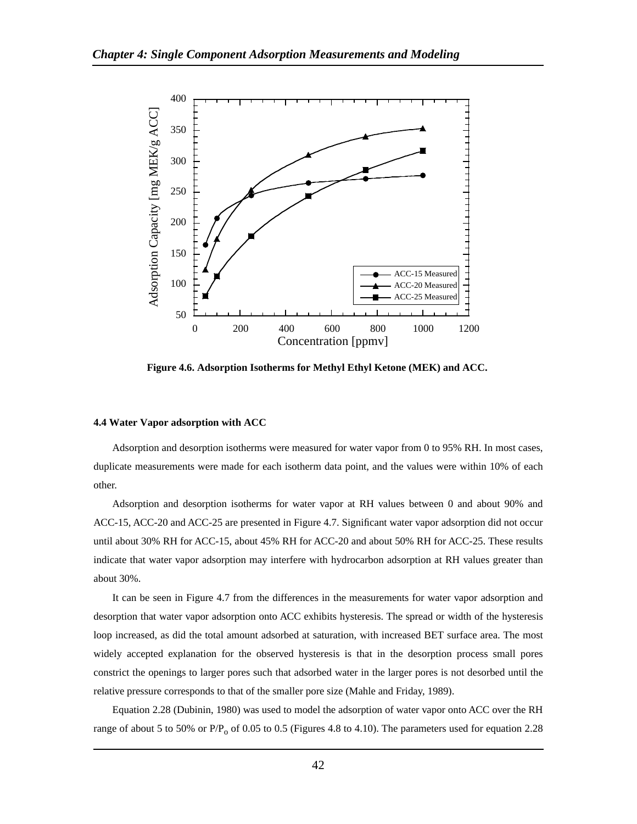

**Figure 4.6. Adsorption Isotherms for Methyl Ethyl Ketone (MEK) and ACC.**

# **4.4 Water Vapor adsorption with ACC**

Adsorption and desorption isotherms were measured for water vapor from 0 to 95% RH. In most cases, duplicate measurements were made for each isotherm data point, and the values were within 10% of each other.

Adsorption and desorption isotherms for water vapor at RH values between 0 and about 90% and ACC-15, ACC-20 and ACC-25 are presented in Figure 4.7. Significant water vapor adsorption did not occur until about 30% RH for ACC-15, about 45% RH for ACC-20 and about 50% RH for ACC-25. These results indicate that water vapor adsorption may interfere with hydrocarbon adsorption at RH values greater than about 30%.

It can be seen in Figure 4.7 from the differences in the measurements for water vapor adsorption and desorption that water vapor adsorption onto ACC exhibits hysteresis. The spread or width of the hysteresis loop increased, as did the total amount adsorbed at saturation, with increased BET surface area. The most widely accepted explanation for the observed hysteresis is that in the desorption process small pores constrict the openings to larger pores such that adsorbed water in the larger pores is not desorbed until the relative pressure corresponds to that of the smaller pore size (Mahle and Friday, 1989).

Equation 2.28 (Dubinin, 1980) was used to model the adsorption of water vapor onto ACC over the RH range of about 5 to 50% or  $P/P_0$  of 0.05 to 0.5 (Figures 4.8 to 4.10). The parameters used for equation 2.28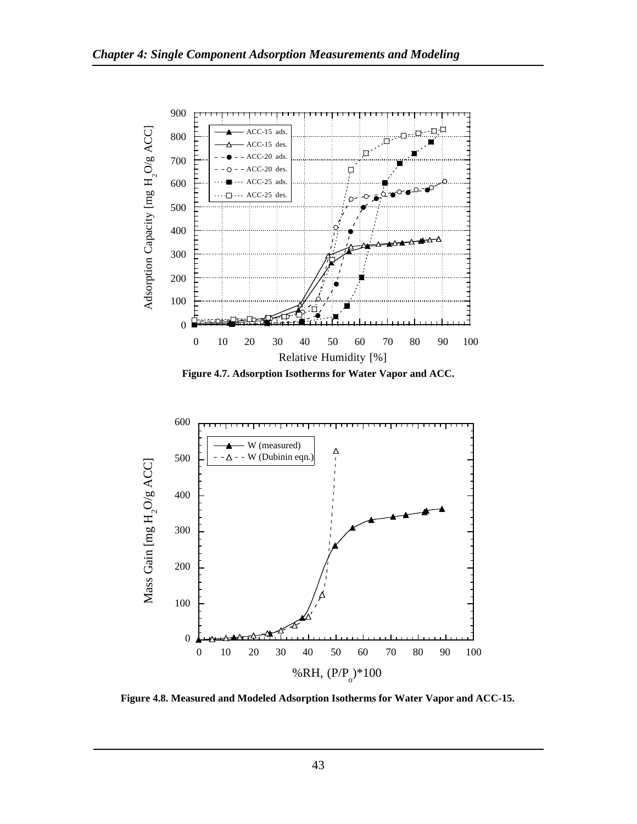

**Figure 4.7. Adsorption Isotherms for Water Vapor and ACC.**



**Figure 4.8. Measured and Modeled Adsorption Isotherms for Water Vapor and ACC-15.**

43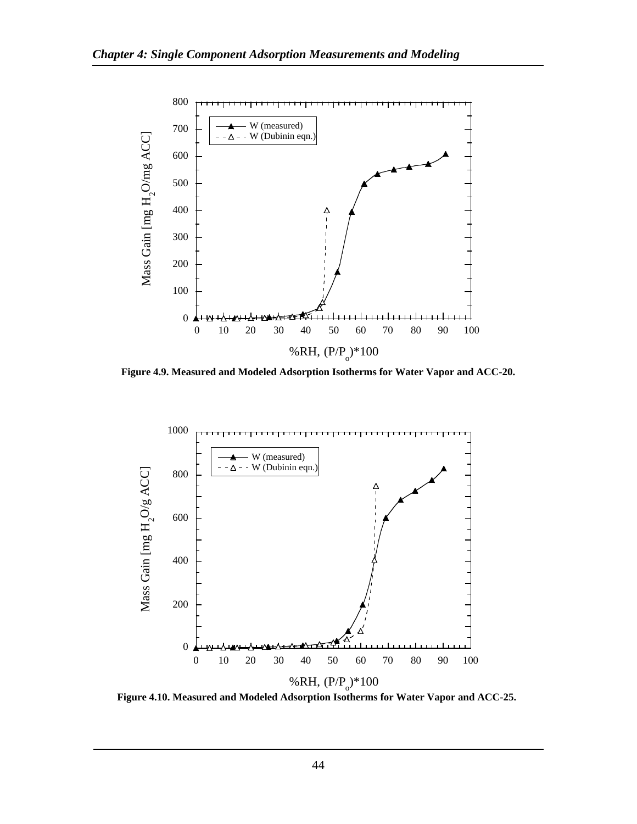

**Figure 4.9. Measured and Modeled Adsorption Isotherms for Water Vapor and ACC-20.**



**Figure 4.10. Measured and Modeled Adsorption Isotherms for Water Vapor and ACC-25.**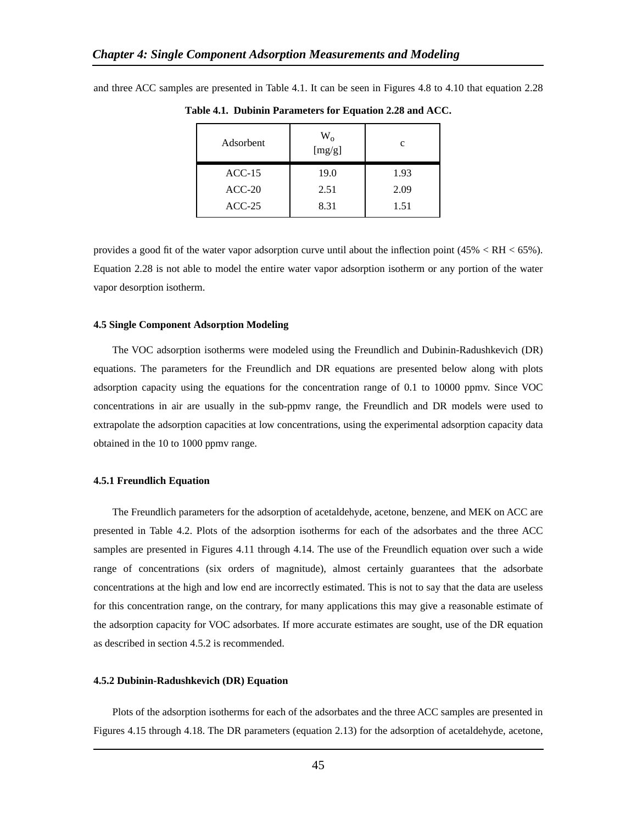and three ACC samples are presented in Table 4.1. It can be seen in Figures 4.8 to 4.10 that equation 2.28

| Adsorbent | $W_{o}$<br>[mg/g] | c    |
|-----------|-------------------|------|
| $ACC-15$  | 19.0              | 1.93 |
| $ACC-20$  | 2.51              | 2.09 |
| $ACC-25$  | 8.31              | 1.51 |

**Table 4.1. Dubinin Parameters for Equation 2.28 and ACC.**

provides a good fit of the water vapor adsorption curve until about the inflection point (45% < RH < 65%). Equation 2.28 is not able to model the entire water vapor adsorption isotherm or any portion of the water vapor desorption isotherm.

# **4.5 Single Component Adsorption Modeling**

The VOC adsorption isotherms were modeled using the Freundlich and Dubinin-Radushkevich (DR) equations. The parameters for the Freundlich and DR equations are presented below along with plots adsorption capacity using the equations for the concentration range of 0.1 to 10000 ppmv. Since VOC concentrations in air are usually in the sub-ppmv range, the Freundlich and DR models were used to extrapolate the adsorption capacities at low concentrations, using the experimental adsorption capacity data obtained in the 10 to 1000 ppmv range.

# **4.5.1 Freundlich Equation**

The Freundlich parameters for the adsorption of acetaldehyde, acetone, benzene, and MEK on ACC are presented in Table 4.2. Plots of the adsorption isotherms for each of the adsorbates and the three ACC samples are presented in Figures 4.11 through 4.14. The use of the Freundlich equation over such a wide range of concentrations (six orders of magnitude), almost certainly guarantees that the adsorbate concentrations at the high and low end are incorrectly estimated. This is not to say that the data are useless for this concentration range, on the contrary, for many applications this may give a reasonable estimate of the adsorption capacity for VOC adsorbates. If more accurate estimates are sought, use of the DR equation as described in section 4.5.2 is recommended.

# **4.5.2 Dubinin-Radushkevich (DR) Equation**

Plots of the adsorption isotherms for each of the adsorbates and the three ACC samples are presented in Figures 4.15 through 4.18. The DR parameters (equation 2.13) for the adsorption of acetaldehyde, acetone,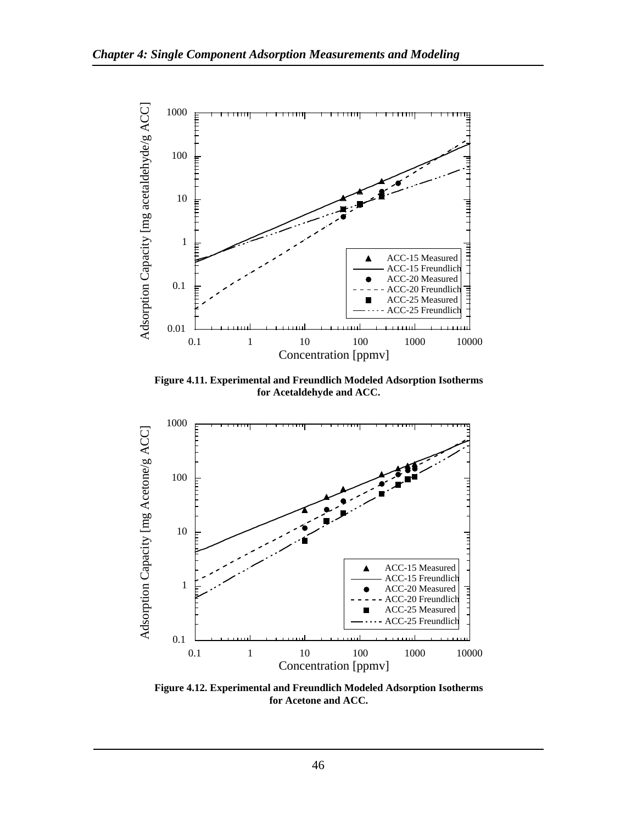

**Figure 4.11. Experimental and Freundlich Modeled Adsorption Isotherms for Acetaldehyde and ACC.**



**Figure 4.12. Experimental and Freundlich Modeled Adsorption Isotherms for Acetone and ACC.**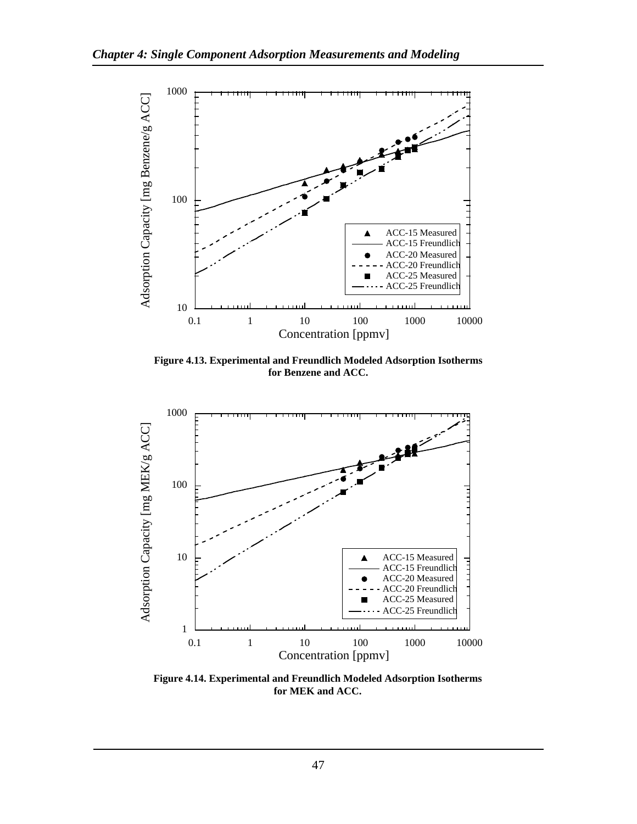

**Figure 4.13. Experimental and Freundlich Modeled Adsorption Isotherms for Benzene and ACC.**



**Figure 4.14. Experimental and Freundlich Modeled Adsorption Isotherms for MEK and ACC.**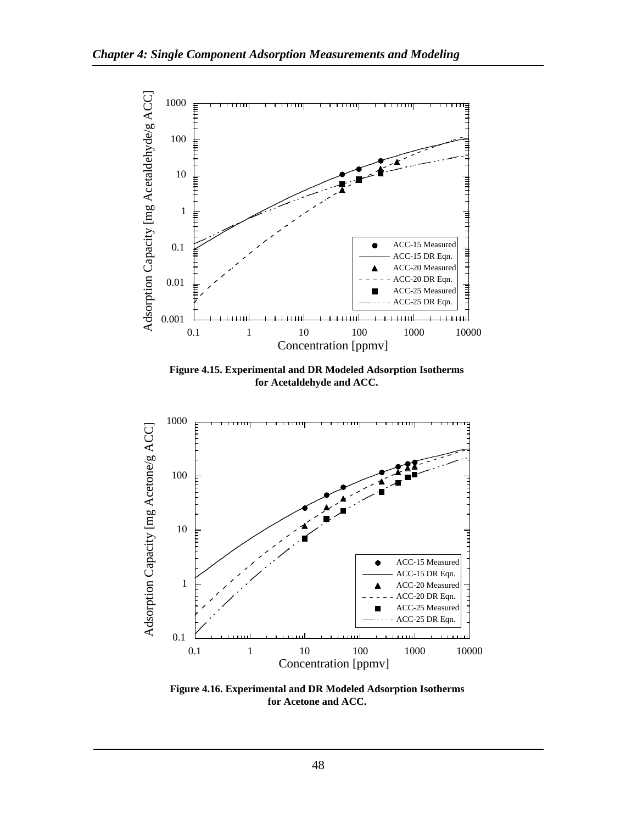

**Figure 4.16. Experimental and DR Modeled Adsorption Isotherms for Acetone and ACC.**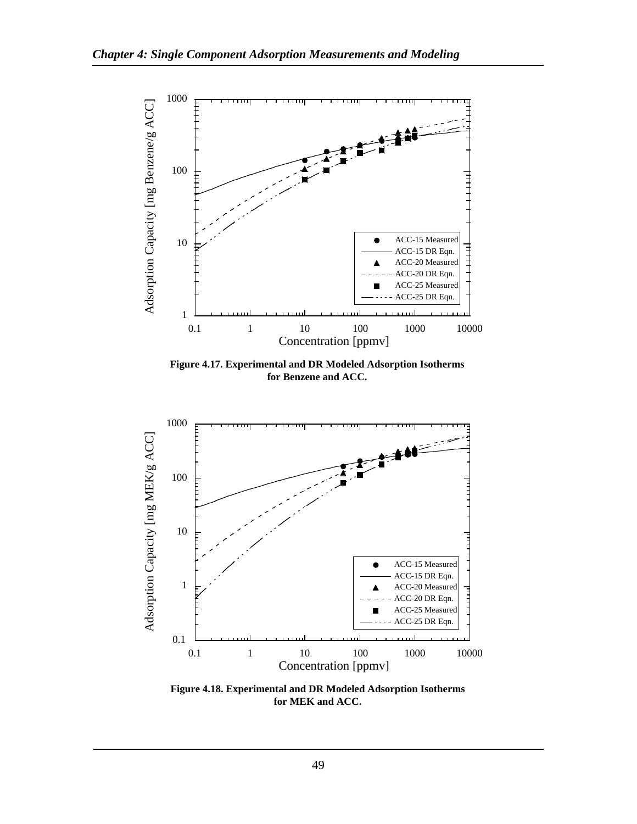

**Figure 4.17. Experimental and DR Modeled Adsorption Isotherms for Benzene and ACC.**



**Figure 4.18. Experimental and DR Modeled Adsorption Isotherms for MEK and ACC.**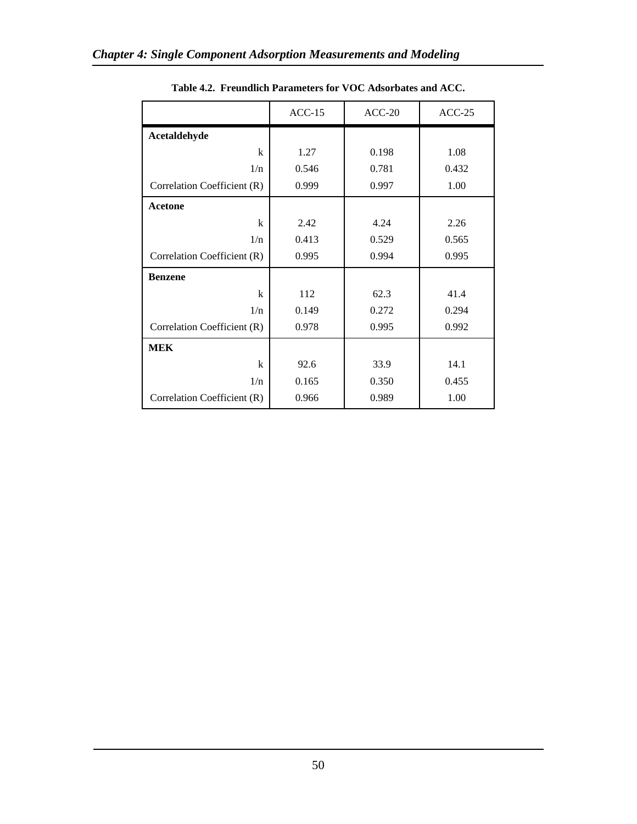|                             | $ACC-15$ | $ACC-20$ | $ACC-25$ |
|-----------------------------|----------|----------|----------|
| Acetaldehyde                |          |          |          |
| k                           | 1.27     | 0.198    | 1.08     |
| 1/n                         | 0.546    | 0.781    | 0.432    |
| Correlation Coefficient (R) | 0.999    | 0.997    | 1.00     |
| <b>Acetone</b>              |          |          |          |
| k                           | 2.42     | 4.24     | 2.26     |
| 1/n                         | 0.413    | 0.529    | 0.565    |
| Correlation Coefficient (R) | 0.995    | 0.994    | 0.995    |
| <b>Benzene</b>              |          |          |          |
| k                           | 112      | 62.3     | 41.4     |
| 1/n                         | 0.149    | 0.272    | 0.294    |
| Correlation Coefficient (R) | 0.978    | 0.995    | 0.992    |
| <b>MEK</b>                  |          |          |          |
| k                           | 92.6     | 33.9     | 14.1     |
| 1/n                         | 0.165    | 0.350    | 0.455    |
| Correlation Coefficient (R) | 0.966    | 0.989    | 1.00     |

# **Table 4.2. Freundlich Parameters for VOC Adsorbates and ACC.**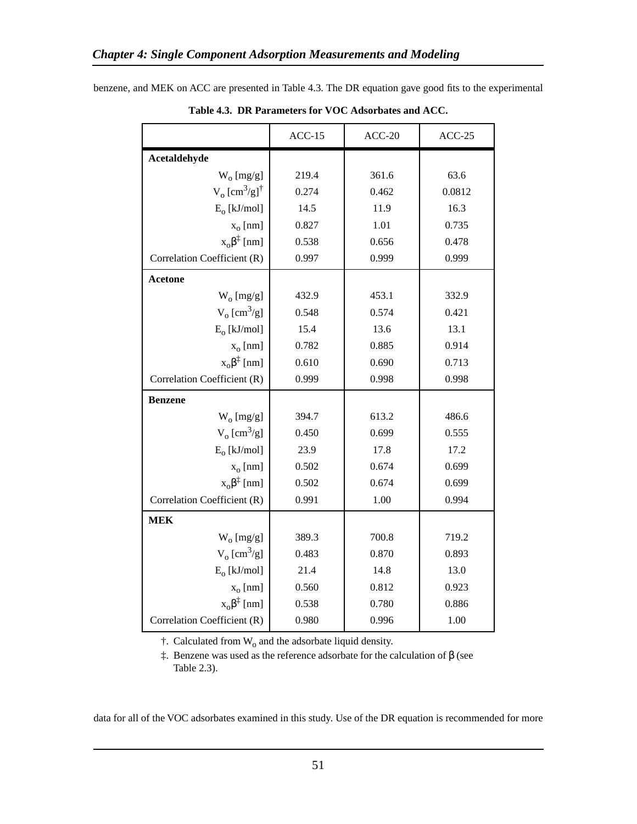benzene, and MEK on ACC are presented in Table 4.3. The DR equation gave good fits to the experimental

|                                         | $ACC-15$ | $ACC-20$ | $ACC-25$ |
|-----------------------------------------|----------|----------|----------|
| Acetaldehyde                            |          |          |          |
| $W_0$ [mg/g]                            | 219.4    | 361.6    | 63.6     |
| $V_0$ [cm <sup>3</sup> /g] <sup>†</sup> | 0.274    | 0.462    | 0.0812   |
| $E_0$ [kJ/mol]                          | 14.5     | 11.9     | 16.3     |
| $x_0$ [nm]                              | 0.827    | 1.01     | 0.735    |
| $x_0\beta^{\ddagger}$ [nm]              | 0.538    | 0.656    | 0.478    |
| Correlation Coefficient (R)             | 0.997    | 0.999    | 0.999    |
| <b>Acetone</b>                          |          |          |          |
| $W_0$ [mg/g]                            | 432.9    | 453.1    | 332.9    |
| $V_0$ [cm <sup>3</sup> /g]              | 0.548    | 0.574    | 0.421    |
| $E_0$ [kJ/mol]                          | 15.4     | 13.6     | 13.1     |
| $x_0$ [nm]                              | 0.782    | 0.885    | 0.914    |
| $x_0\beta^{\ddagger}$ [nm]              | 0.610    | 0.690    | 0.713    |
| Correlation Coefficient (R)             | 0.999    | 0.998    | 0.998    |
| <b>Benzene</b>                          |          |          |          |
| $W_0$ [mg/g]                            | 394.7    | 613.2    | 486.6    |
| $V_0$ [cm <sup>3</sup> /g]              | 0.450    | 0.699    | 0.555    |
| $E_0$ [kJ/mol]                          | 23.9     | 17.8     | 17.2     |
| $x_0$ [nm]                              | 0.502    | 0.674    | 0.699    |
| $x_0\beta^{\ddagger}$ [nm]              | 0.502    | 0.674    | 0.699    |
| Correlation Coefficient (R)             | 0.991    | 1.00     | 0.994    |
| <b>MEK</b>                              |          |          |          |
| $W_0$ [mg/g]                            | 389.3    | 700.8    | 719.2    |
| $V_0$ [cm <sup>3</sup> /g]              | 0.483    | 0.870    | 0.893    |
| $E_0$ [kJ/mol]                          | 21.4     | 14.8     | 13.0     |
| $x_0$ [nm]                              | 0.560    | 0.812    | 0.923    |
| $x_0\beta^{\ddagger}$ [nm]              | 0.538    | 0.780    | 0.886    |
| Correlation Coefficient (R)             | 0.980    | 0.996    | 1.00     |

**Table 4.3. DR Parameters for VOC Adsorbates and ACC.**

 $\dagger$ . Calculated from  $W_0$  and the adsorbate liquid density.

‡. Benzene was used as the reference adsorbate for the calculation of β (see Table 2.3).

data for all of the VOC adsorbates examined in this study. Use of the DR equation is recommended for more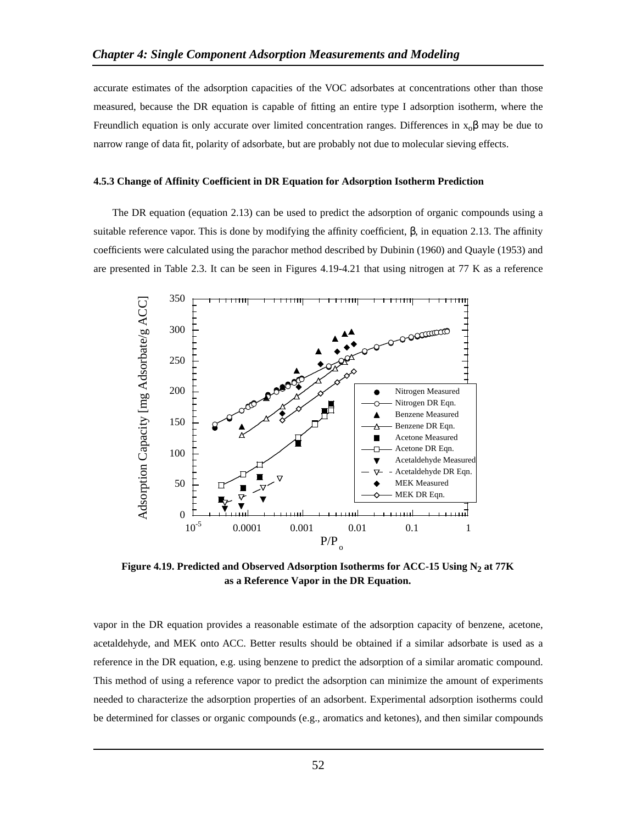accurate estimates of the adsorption capacities of the VOC adsorbates at concentrations other than those measured, because the DR equation is capable of fitting an entire type I adsorption isotherm, where the Freundlich equation is only accurate over limited concentration ranges. Differences in  $x_0\beta$  may be due to narrow range of data fit, polarity of adsorbate, but are probably not due to molecular sieving effects.

# **4.5.3 Change of Affinity Coefficient in DR Equation for Adsorption Isotherm Prediction**

The DR equation (equation 2.13) can be used to predict the adsorption of organic compounds using a suitable reference vapor. This is done by modifying the affinity coefficient,  $β$ , in equation 2.13. The affinity coefficients were calculated using the parachor method described by Dubinin (1960) and Quayle (1953) and are presented in Table 2.3. It can be seen in Figures 4.19-4.21 that using nitrogen at 77 K as a reference



Figure 4.19. Predicted and Observed Adsorption Isotherms for ACC-15 Using N<sub>2</sub> at 77K **as a Reference Vapor in the DR Equation.**

vapor in the DR equation provides a reasonable estimate of the adsorption capacity of benzene, acetone, acetaldehyde, and MEK onto ACC. Better results should be obtained if a similar adsorbate is used as a reference in the DR equation, e.g. using benzene to predict the adsorption of a similar aromatic compound. This method of using a reference vapor to predict the adsorption can minimize the amount of experiments needed to characterize the adsorption properties of an adsorbent. Experimental adsorption isotherms could be determined for classes or organic compounds (e.g., aromatics and ketones), and then similar compounds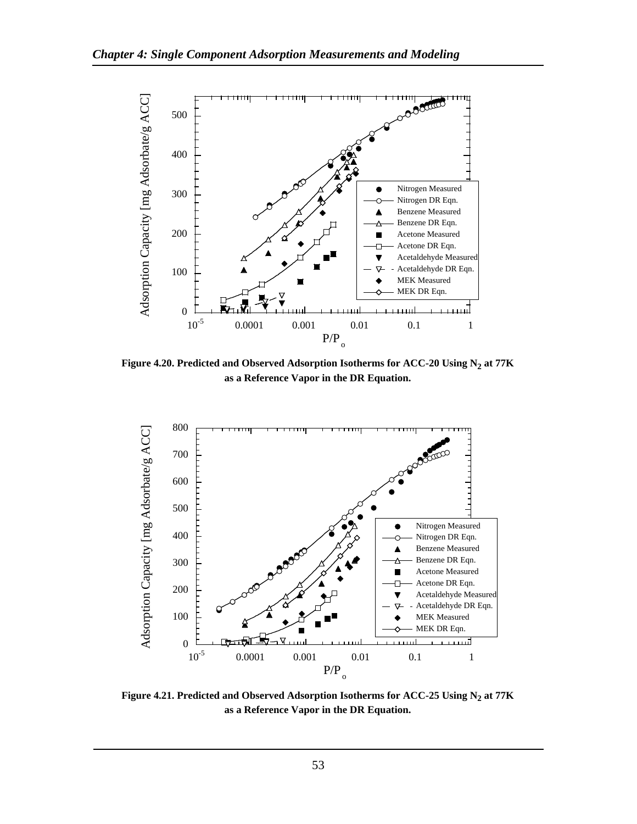

Figure 4.20. Predicted and Observed Adsorption Isotherms for ACC-20 Using N<sub>2</sub> at 77K **as a Reference Vapor in the DR Equation.**



Figure 4.21. Predicted and Observed Adsorption Isotherms for ACC-25 Using N<sub>2</sub> at 77K **as a Reference Vapor in the DR Equation.**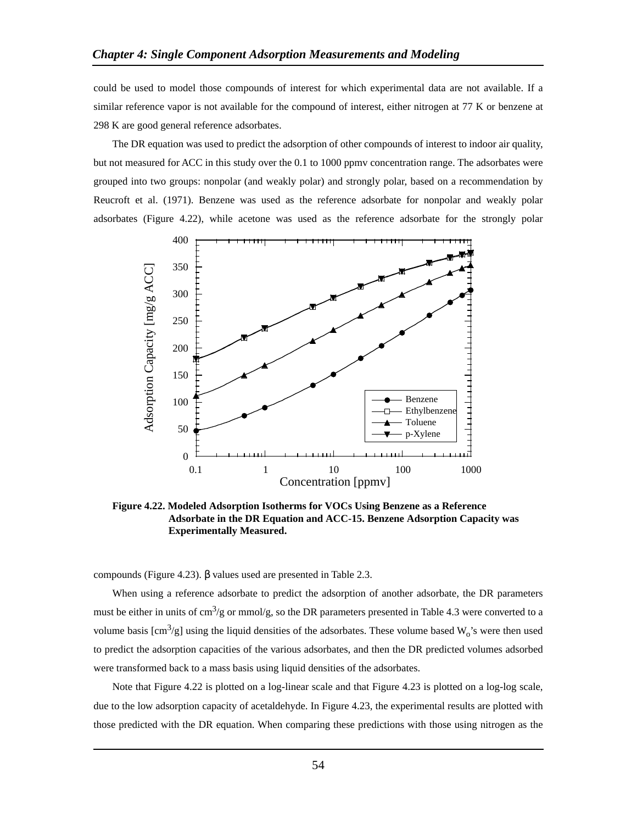could be used to model those compounds of interest for which experimental data are not available. If a similar reference vapor is not available for the compound of interest, either nitrogen at 77 K or benzene at 298 K are good general reference adsorbates.

The DR equation was used to predict the adsorption of other compounds of interest to indoor air quality, but not measured for ACC in this study over the 0.1 to 1000 ppmv concentration range. The adsorbates were grouped into two groups: nonpolar (and weakly polar) and strongly polar, based on a recommendation by Reucroft et al. (1971). Benzene was used as the reference adsorbate for nonpolar and weakly polar adsorbates (Figure 4.22), while acetone was used as the reference adsorbate for the strongly polar



**Figure 4.22. Modeled Adsorption Isotherms for VOCs Using Benzene as a Reference Adsorbate in the DR Equation and ACC-15. Benzene Adsorption Capacity was Experimentally Measured.**

compounds (Figure 4.23). β values used are presented in Table 2.3.

When using a reference adsorbate to predict the adsorption of another adsorbate, the DR parameters must be either in units of  $\text{cm}^3/\text{g}$  or mmol/g, so the DR parameters presented in Table 4.3 were converted to a volume basis  $[cm^3/g]$  using the liquid densities of the adsorbates. These volume based W<sub>o</sub>'s were then used to predict the adsorption capacities of the various adsorbates, and then the DR predicted volumes adsorbed were transformed back to a mass basis using liquid densities of the adsorbates.

Note that Figure 4.22 is plotted on a log-linear scale and that Figure 4.23 is plotted on a log-log scale, due to the low adsorption capacity of acetaldehyde. In Figure 4.23, the experimental results are plotted with those predicted with the DR equation. When comparing these predictions with those using nitrogen as the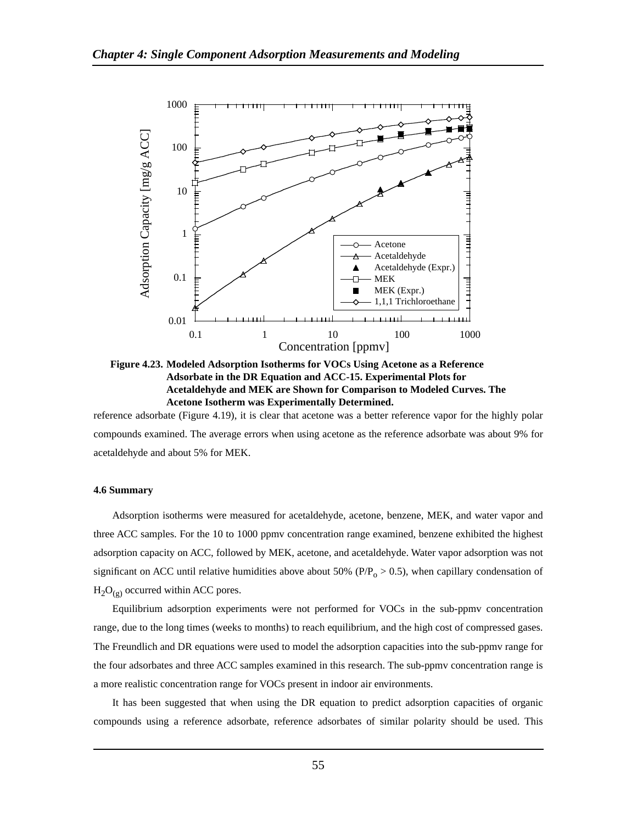

**Figure 4.23. Modeled Adsorption Isotherms for VOCs Using Acetone as a Reference Adsorbate in the DR Equation and ACC-15. Experimental Plots for Acetaldehyde and MEK are Shown for Comparison to Modeled Curves. The Acetone Isotherm was Experimentally Determined.**

reference adsorbate (Figure 4.19), it is clear that acetone was a better reference vapor for the highly polar compounds examined. The average errors when using acetone as the reference adsorbate was about 9% for acetaldehyde and about 5% for MEK.

# **4.6 Summary**

Adsorption isotherms were measured for acetaldehyde, acetone, benzene, MEK, and water vapor and three ACC samples. For the 10 to 1000 ppmv concentration range examined, benzene exhibited the highest adsorption capacity on ACC, followed by MEK, acetone, and acetaldehyde. Water vapor adsorption was not significant on ACC until relative humidities above about 50% ( $P/P_0 > 0.5$ ), when capillary condensation of  $H_2O_{(g)}$  occurred within ACC pores.

Equilibrium adsorption experiments were not performed for VOCs in the sub-ppmv concentration range, due to the long times (weeks to months) to reach equilibrium, and the high cost of compressed gases. The Freundlich and DR equations were used to model the adsorption capacities into the sub-ppmv range for the four adsorbates and three ACC samples examined in this research. The sub-ppmv concentration range is a more realistic concentration range for VOCs present in indoor air environments.

It has been suggested that when using the DR equation to predict adsorption capacities of organic compounds using a reference adsorbate, reference adsorbates of similar polarity should be used. This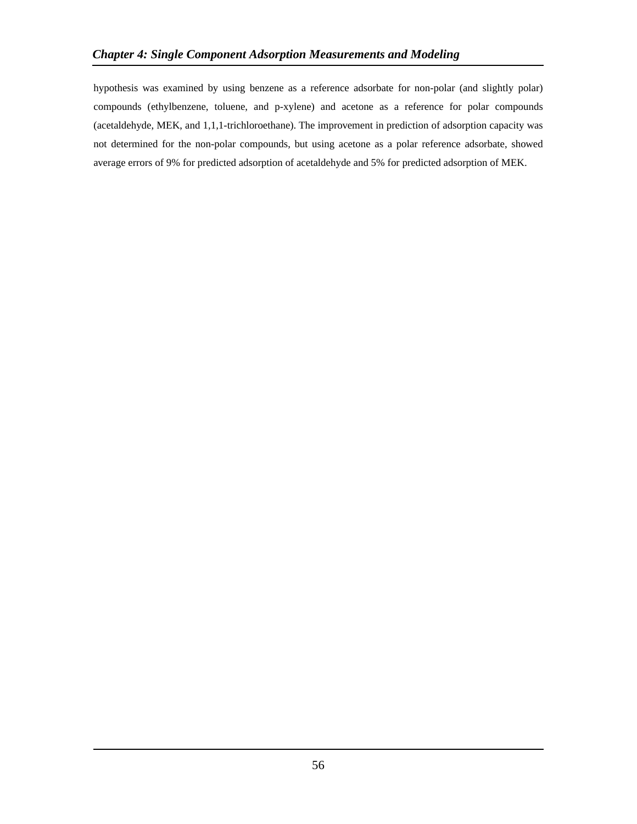hypothesis was examined by using benzene as a reference adsorbate for non-polar (and slightly polar) compounds (ethylbenzene, toluene, and p-xylene) and acetone as a reference for polar compounds (acetaldehyde, MEK, and 1,1,1-trichloroethane). The improvement in prediction of adsorption capacity was not determined for the non-polar compounds, but using acetone as a polar reference adsorbate, showed average errors of 9% for predicted adsorption of acetaldehyde and 5% for predicted adsorption of MEK.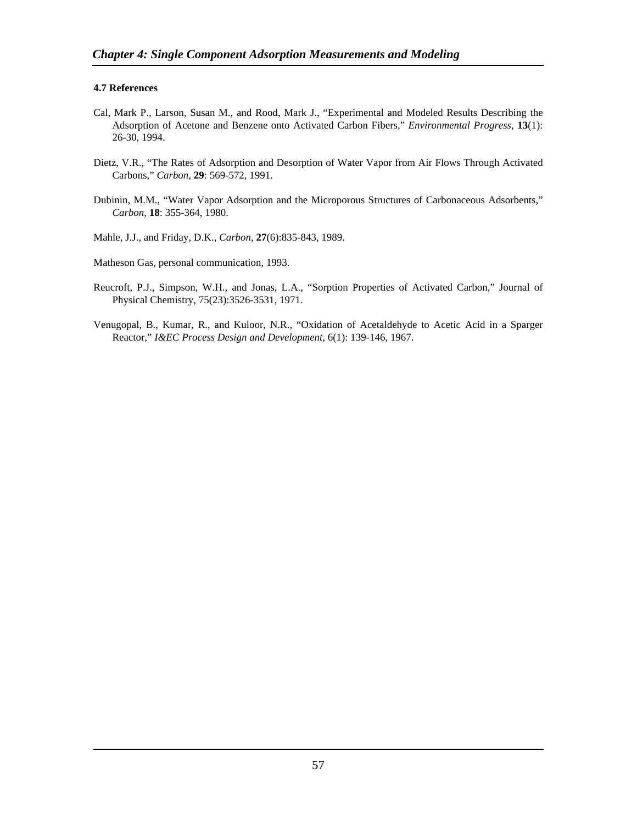# **4.7 References**

- Cal, Mark P., Larson, Susan M., and Rood, Mark J., "Experimental and Modeled Results Describing the Adsorption of Acetone and Benzene onto Activated Carbon Fibers," *Environmental Progress*, **13**(1): 26-30, 1994.
- Dietz, V.R., "The Rates of Adsorption and Desorption of Water Vapor from Air Flows Through Activated Carbons," *Carbon*, **29**: 569-572, 1991.
- Dubinin, M.M., "Water Vapor Adsorption and the Microporous Structures of Carbonaceous Adsorbents," *Carbon*, **18**: 355-364, 1980.

Mahle, J.J., and Friday, D.K., *Carbon*, **27**(6):835-843, 1989.

Matheson Gas, personal communication, 1993.

- Reucroft, P.J., Simpson, W.H., and Jonas, L.A., "Sorption Properties of Activated Carbon," Journal of Physical Chemistry, 75(23):3526-3531, 1971.
- Venugopal, B., Kumar, R., and Kuloor, N.R., "Oxidation of Acetaldehyde to Acetic Acid in a Sparger Reactor," *I&EC Process Design and Development*, 6(1): 139-146, 1967.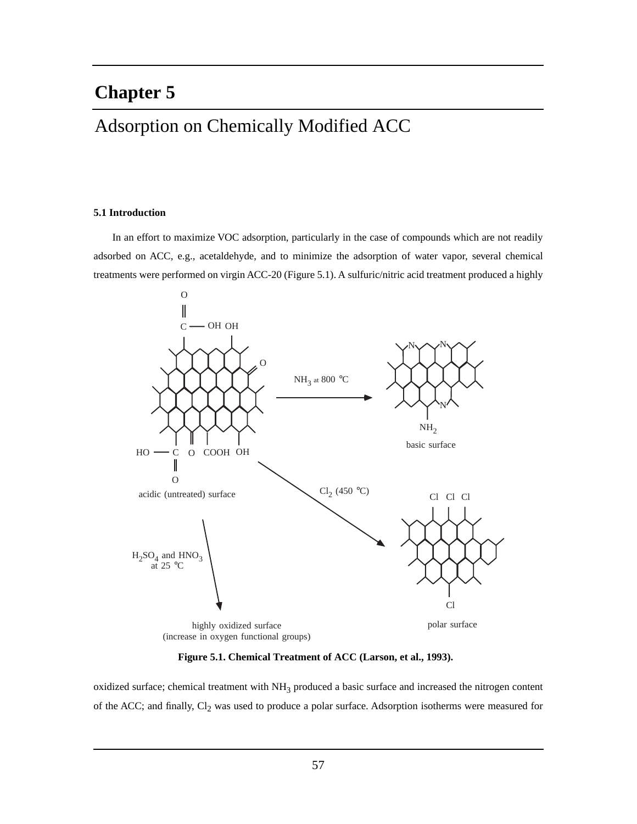# **Chapter 5**

# Adsorption on Chemically Modified ACC

# **5.1 Introduction**

In an effort to maximize VOC adsorption, particularly in the case of compounds which are not readily adsorbed on ACC, e.g., acetaldehyde, and to minimize the adsorption of water vapor, several chemical treatments were performed on virgin ACC-20 (Figure 5.1). A sulfuric/nitric acid treatment produced a highly



**Figure 5.1. Chemical Treatment of ACC (Larson, et al., 1993).**

oxidized surface; chemical treatment with NH<sub>3</sub> produced a basic surface and increased the nitrogen content of the ACC; and finally, Cl<sub>2</sub> was used to produce a polar surface. Adsorption isotherms were measured for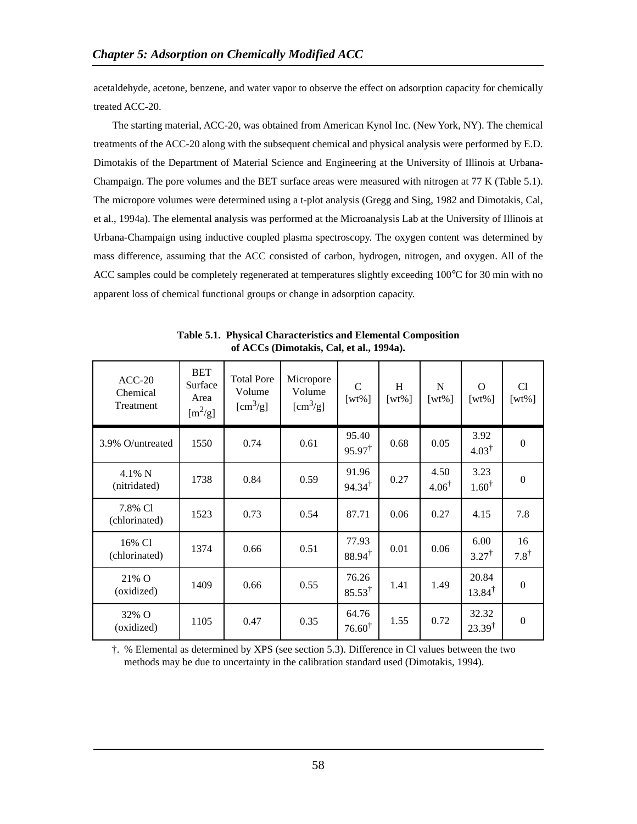acetaldehyde, acetone, benzene, and water vapor to observe the effect on adsorption capacity for chemically treated ACC-20.

The starting material, ACC-20, was obtained from American Kynol Inc. (New York, NY). The chemical treatments of the ACC-20 along with the subsequent chemical and physical analysis were performed by E.D. Dimotakis of the Department of Material Science and Engineering at the University of Illinois at Urbana-Champaign. The pore volumes and the BET surface areas were measured with nitrogen at 77 K (Table 5.1). The micropore volumes were determined using a t-plot analysis (Gregg and Sing, 1982 and Dimotakis, Cal, et al., 1994a). The elemental analysis was performed at the Microanalysis Lab at the University of Illinois at Urbana-Champaign using inductive coupled plasma spectroscopy. The oxygen content was determined by mass difference, assuming that the ACC consisted of carbon, hydrogen, nitrogen, and oxygen. All of the ACC samples could be completely regenerated at temperatures slightly exceeding 100°C for 30 min with no apparent loss of chemical functional groups or change in adsorption capacity.

| $ACC-20$<br>Chemical<br>Treatment | <b>BET</b><br>Surface<br>Area<br>$[m^2/g]$ | <b>Total Pore</b><br>Volume<br>$[cm^3/g]$ | Micropore<br>Volume<br>$[cm^3/g]$ | C<br>$[wt\%]$              | H<br>$\lceil wt\% \rceil$ | N<br>[wt%]               | $\Omega$<br>[wt%]          | C <sub>1</sub><br>[wt%] |
|-----------------------------------|--------------------------------------------|-------------------------------------------|-----------------------------------|----------------------------|---------------------------|--------------------------|----------------------------|-------------------------|
| 3.9% O/untreated                  | 1550                                       | 0.74                                      | 0.61                              | 95.40<br>$95.97^{\dagger}$ | 0.68                      | 0.05                     | 3.92<br>$4.03^{\dagger}$   | $\mathbf{0}$            |
| $4.1\%$ N<br>(nitridated)         | 1738                                       | 0.84                                      | 0.59                              | 91.96<br>$94.34^{\dagger}$ | 0.27                      | 4.50<br>$4.06^{\dagger}$ | 3.23<br>$1.60^{\dagger}$   | $\boldsymbol{0}$        |
| 7.8% Cl<br>(chlorinated)          | 1523                                       | 0.73                                      | 0.54                              | 87.71                      | 0.06                      | 0.27                     | 4.15                       | 7.8                     |
| 16% Cl<br>(chlorinated)           | 1374                                       | 0.66                                      | 0.51                              | 77.93<br>$88.94^{\dagger}$ | 0.01                      | 0.06                     | 6.00<br>$3.27^{\dagger}$   | 16<br>$7.8^{\dagger}$   |
| 21% O<br>(oxidized)               | 1409                                       | 0.66                                      | 0.55                              | 76.26<br>$85.53^{\dagger}$ | 1.41                      | 1.49                     | 20.84<br>$13.84^{\dagger}$ | $\Omega$                |
| 32% O<br>(oxidized)               | 1105                                       | 0.47                                      | 0.35                              | 64.76<br>$76.60^{\dagger}$ | 1.55                      | 0.72                     | 32.32<br>$23.39^{\dagger}$ | $\Omega$                |

**Table 5.1. Physical Characteristics and Elemental Composition of ACCs (Dimotakis, Cal, et al., 1994a).**

†. % Elemental as determined by XPS (see section 5.3). Difference in Cl values between the two methods may be due to uncertainty in the calibration standard used (Dimotakis, 1994).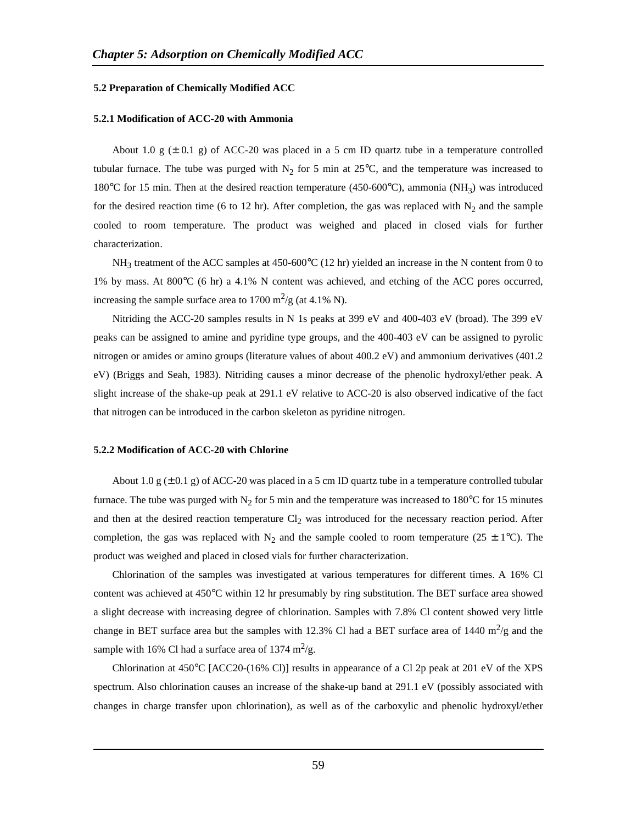### **5.2 Preparation of Chemically Modified ACC**

#### **5.2.1 Modification of ACC-20 with Ammonia**

About 1.0 g  $(\pm 0.1 \text{ g})$  of ACC-20 was placed in a 5 cm ID quartz tube in a temperature controlled tubular furnace. The tube was purged with  $N_2$  for 5 min at 25°C, and the temperature was increased to 180°C for 15 min. Then at the desired reaction temperature (450-600°C), ammonia (NH<sub>3</sub>) was introduced for the desired reaction time (6 to 12 hr). After completion, the gas was replaced with  $N_2$  and the sample cooled to room temperature. The product was weighed and placed in closed vials for further characterization.

 $NH<sub>3</sub>$  treatment of the ACC samples at 450-600 $^{\circ}$ C (12 hr) yielded an increase in the N content from 0 to 1% by mass. At 800°C (6 hr) a 4.1% N content was achieved, and etching of the ACC pores occurred, increasing the sample surface area to 1700 m<sup>2</sup>/g (at 4.1% N).

Nitriding the ACC-20 samples results in N 1s peaks at 399 eV and 400-403 eV (broad). The 399 eV peaks can be assigned to amine and pyridine type groups, and the 400-403 eV can be assigned to pyrolic nitrogen or amides or amino groups (literature values of about 400.2 eV) and ammonium derivatives (401.2 eV) (Briggs and Seah, 1983). Nitriding causes a minor decrease of the phenolic hydroxyl/ether peak. A slight increase of the shake-up peak at 291.1 eV relative to ACC-20 is also observed indicative of the fact that nitrogen can be introduced in the carbon skeleton as pyridine nitrogen.

# **5.2.2 Modification of ACC-20 with Chlorine**

About 1.0 g  $(\pm 0.1 \text{ g})$  of ACC-20 was placed in a 5 cm ID quartz tube in a temperature controlled tubular furnace. The tube was purged with  $N_2$  for 5 min and the temperature was increased to 180°C for 15 minutes and then at the desired reaction temperature  $Cl_2$  was introduced for the necessary reaction period. After completion, the gas was replaced with N<sub>2</sub> and the sample cooled to room temperature (25  $\pm$  1<sup>o</sup>C). The product was weighed and placed in closed vials for further characterization.

Chlorination of the samples was investigated at various temperatures for different times. A 16% Cl content was achieved at 450°C within 12 hr presumably by ring substitution. The BET surface area showed a slight decrease with increasing degree of chlorination. Samples with 7.8% Cl content showed very little change in BET surface area but the samples with 12.3% Cl had a BET surface area of 1440  $m^2/g$  and the sample with 16% Cl had a surface area of 1374  $\text{m}^2/\text{g}$ .

Chlorination at 450°C [ACC20-(16% Cl)] results in appearance of a Cl 2p peak at 201 eV of the XPS spectrum. Also chlorination causes an increase of the shake-up band at 291.1 eV (possibly associated with changes in charge transfer upon chlorination), as well as of the carboxylic and phenolic hydroxyl/ether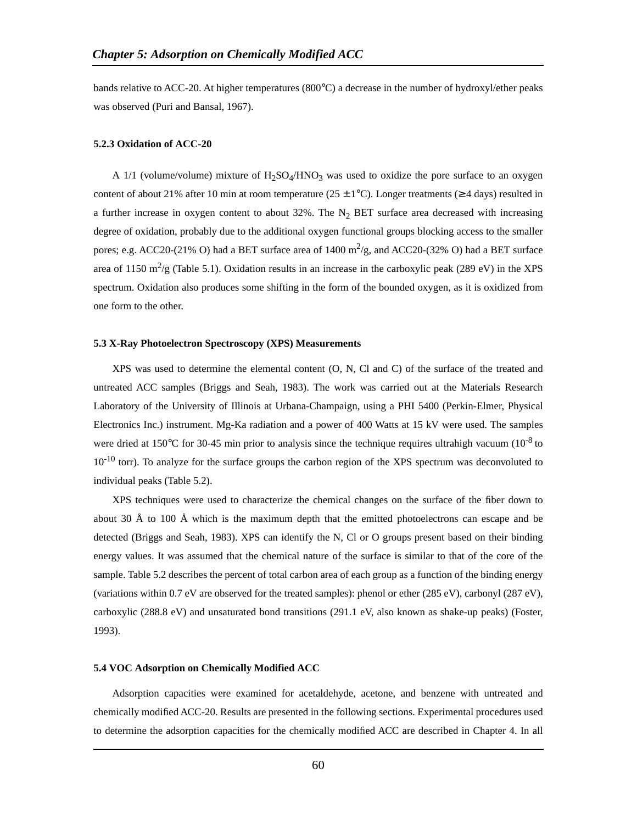bands relative to ACC-20. At higher temperatures (800°C) a decrease in the number of hydroxyl/ether peaks was observed (Puri and Bansal, 1967).

# **5.2.3 Oxidation of ACC-20**

A  $1/1$  (volume/volume) mixture of  $H_2SO_4/HNO_3$  was used to oxidize the pore surface to an oxygen content of about 21% after 10 min at room temperature (25  $\pm$  1°C). Longer treatments ( $\geq$  4 days) resulted in a further increase in oxygen content to about 32%. The  $N_2$  BET surface area decreased with increasing degree of oxidation, probably due to the additional oxygen functional groups blocking access to the smaller pores; e.g. ACC20-(21% O) had a BET surface area of 1400  $\text{m}^2/\text{g}$ , and ACC20-(32% O) had a BET surface area of 1150 m<sup>2</sup>/g (Table 5.1). Oxidation results in an increase in the carboxylic peak (289 eV) in the XPS spectrum. Oxidation also produces some shifting in the form of the bounded oxygen, as it is oxidized from one form to the other.

# **5.3 X-Ray Photoelectron Spectroscopy (XPS) Measurements**

XPS was used to determine the elemental content (O, N, Cl and C) of the surface of the treated and untreated ACC samples (Briggs and Seah, 1983). The work was carried out at the Materials Research Laboratory of the University of Illinois at Urbana-Champaign, using a PHI 5400 (Perkin-Elmer, Physical Electronics Inc.) instrument. Mg-Ka radiation and a power of 400 Watts at 15 kV were used. The samples were dried at 150°C for 30-45 min prior to analysis since the technique requires ultrahigh vacuum (10<sup>-8</sup> to  $10^{-10}$  torr). To analyze for the surface groups the carbon region of the XPS spectrum was deconvoluted to individual peaks (Table 5.2).

XPS techniques were used to characterize the chemical changes on the surface of the fiber down to about 30 Å to 100 Å which is the maximum depth that the emitted photoelectrons can escape and be detected (Briggs and Seah, 1983). XPS can identify the N, Cl or O groups present based on their binding energy values. It was assumed that the chemical nature of the surface is similar to that of the core of the sample. Table 5.2 describes the percent of total carbon area of each group as a function of the binding energy (variations within 0.7 eV are observed for the treated samples): phenol or ether (285 eV), carbonyl (287 eV), carboxylic (288.8 eV) and unsaturated bond transitions (291.1 eV, also known as shake-up peaks) (Foster, 1993).

# **5.4 VOC Adsorption on Chemically Modified ACC**

Adsorption capacities were examined for acetaldehyde, acetone, and benzene with untreated and chemically modified ACC-20. Results are presented in the following sections. Experimental procedures used to determine the adsorption capacities for the chemically modified ACC are described in Chapter 4. In all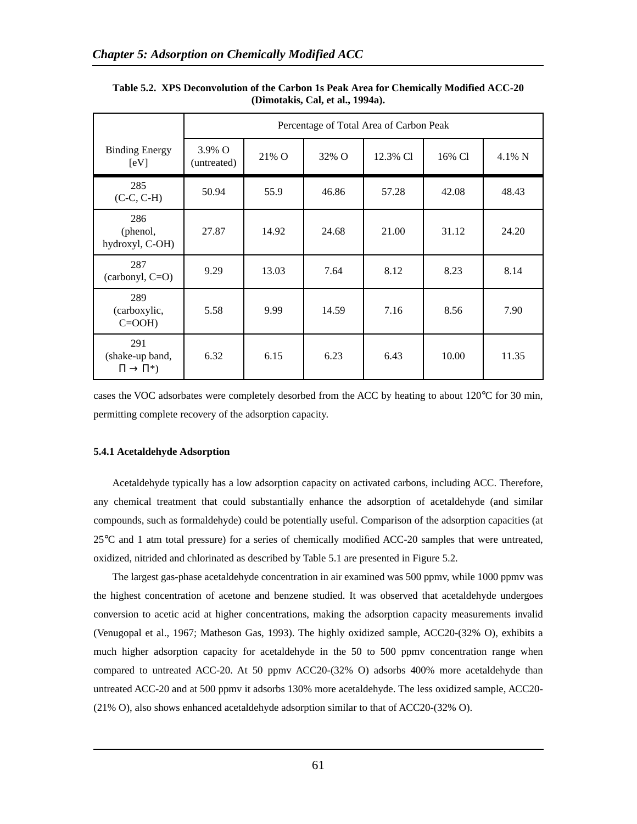|                                                   | Percentage of Total Area of Carbon Peak |       |       |          |        |        |  |
|---------------------------------------------------|-----------------------------------------|-------|-------|----------|--------|--------|--|
| <b>Binding Energy</b><br>[eV]                     | 3.9% O<br>(untreated)                   | 21% O | 32% O | 12.3% Cl | 16% Cl | 4.1% N |  |
| 285<br>$(C-C, C-H)$                               | 50.94                                   | 55.9  | 46.86 | 57.28    | 42.08  | 48.43  |  |
| 286<br>(phenol,<br>hydroxyl, C-OH)                | 27.87                                   | 14.92 | 24.68 | 21.00    | 31.12  | 24.20  |  |
| 287<br>$(carbonyl, C=O)$                          | 9.29                                    | 13.03 | 7.64  | 8.12     | 8.23   | 8.14   |  |
| 289<br>(carboxylic,<br>$C=OOH$                    | 5.58                                    | 9.99  | 14.59 | 7.16     | 8.56   | 7.90   |  |
| 291<br>(shake-up band,<br>$\Pi \rightarrow \Pi^*$ | 6.32                                    | 6.15  | 6.23  | 6.43     | 10.00  | 11.35  |  |

**Table 5.2. XPS Deconvolution of the Carbon 1s Peak Area for Chemically Modified ACC-20 (Dimotakis, Cal, et al., 1994a).**

cases the VOC adsorbates were completely desorbed from the ACC by heating to about 120°C for 30 min, permitting complete recovery of the adsorption capacity.

## **5.4.1 Acetaldehyde Adsorption**

Acetaldehyde typically has a low adsorption capacity on activated carbons, including ACC. Therefore, any chemical treatment that could substantially enhance the adsorption of acetaldehyde (and similar compounds, such as formaldehyde) could be potentially useful. Comparison of the adsorption capacities (at 25°C and 1 atm total pressure) for a series of chemically modified ACC-20 samples that were untreated, oxidized, nitrided and chlorinated as described by Table 5.1 are presented in Figure 5.2.

The largest gas-phase acetaldehyde concentration in air examined was 500 ppmv, while 1000 ppmv was the highest concentration of acetone and benzene studied. It was observed that acetaldehyde undergoes conversion to acetic acid at higher concentrations, making the adsorption capacity measurements invalid (Venugopal et al., 1967; Matheson Gas, 1993). The highly oxidized sample, ACC20-(32% O), exhibits a much higher adsorption capacity for acetaldehyde in the 50 to 500 ppmv concentration range when compared to untreated ACC-20. At 50 ppmv ACC20-(32% O) adsorbs 400% more acetaldehyde than untreated ACC-20 and at 500 ppmv it adsorbs 130% more acetaldehyde. The less oxidized sample, ACC20- (21% O), also shows enhanced acetaldehyde adsorption similar to that of ACC20-(32% O).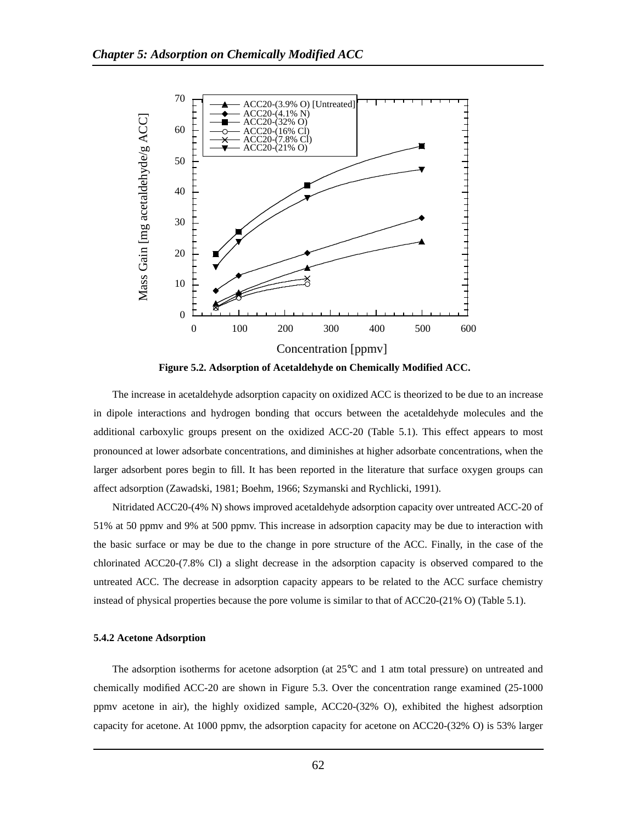

**Figure 5.2. Adsorption of Acetaldehyde on Chemically Modified ACC.**

The increase in acetaldehyde adsorption capacity on oxidized ACC is theorized to be due to an increase in dipole interactions and hydrogen bonding that occurs between the acetaldehyde molecules and the additional carboxylic groups present on the oxidized ACC-20 (Table 5.1). This effect appears to most pronounced at lower adsorbate concentrations, and diminishes at higher adsorbate concentrations, when the larger adsorbent pores begin to fill. It has been reported in the literature that surface oxygen groups can affect adsorption (Zawadski, 1981; Boehm, 1966; Szymanski and Rychlicki, 1991).

Nitridated ACC20-(4% N) shows improved acetaldehyde adsorption capacity over untreated ACC-20 of 51% at 50 ppmv and 9% at 500 ppmv. This increase in adsorption capacity may be due to interaction with the basic surface or may be due to the change in pore structure of the ACC. Finally, in the case of the chlorinated ACC20-(7.8% Cl) a slight decrease in the adsorption capacity is observed compared to the untreated ACC. The decrease in adsorption capacity appears to be related to the ACC surface chemistry instead of physical properties because the pore volume is similar to that of ACC20-(21% O) (Table 5.1).

## **5.4.2 Acetone Adsorption**

The adsorption isotherms for acetone adsorption (at 25°C and 1 atm total pressure) on untreated and chemically modified ACC-20 are shown in Figure 5.3. Over the concentration range examined (25-1000 ppmv acetone in air), the highly oxidized sample, ACC20-(32% O), exhibited the highest adsorption capacity for acetone. At 1000 ppmv, the adsorption capacity for acetone on ACC20-(32% O) is 53% larger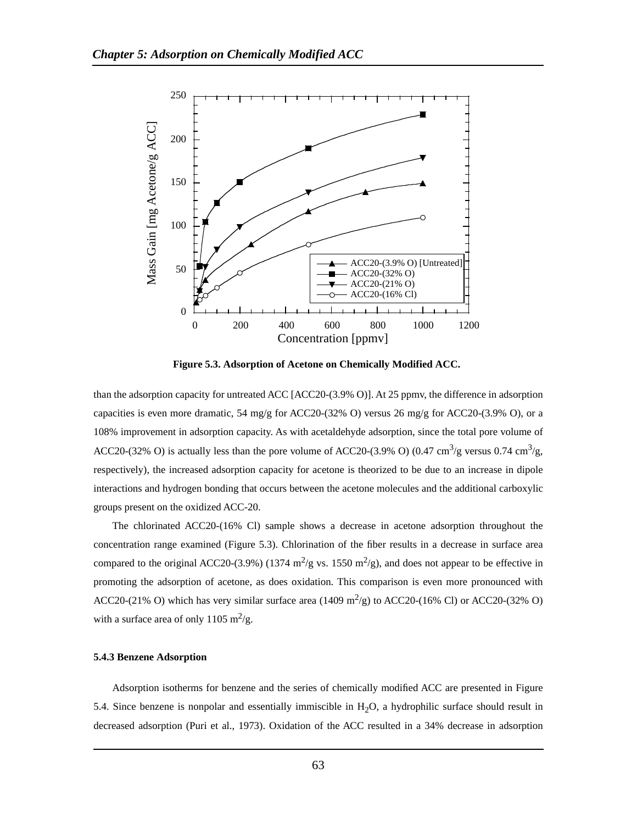

**Figure 5.3. Adsorption of Acetone on Chemically Modified ACC.**

than the adsorption capacity for untreated ACC [ACC20-(3.9% O)]. At 25 ppmv, the difference in adsorption capacities is even more dramatic, 54 mg/g for ACC20-(32% O) versus 26 mg/g for ACC20-(3.9% O), or a 108% improvement in adsorption capacity. As with acetaldehyde adsorption, since the total pore volume of ACC20-(32% O) is actually less than the pore volume of ACC20-(3.9% O) (0.47 cm<sup>3</sup>/g versus 0.74 cm<sup>3</sup>/g, respectively), the increased adsorption capacity for acetone is theorized to be due to an increase in dipole interactions and hydrogen bonding that occurs between the acetone molecules and the additional carboxylic groups present on the oxidized ACC-20.

The chlorinated ACC20-(16% Cl) sample shows a decrease in acetone adsorption throughout the concentration range examined (Figure 5.3). Chlorination of the fiber results in a decrease in surface area compared to the original ACC20-(3.9%) (1374 m<sup>2</sup>/g vs. 1550 m<sup>2</sup>/g), and does not appear to be effective in promoting the adsorption of acetone, as does oxidation. This comparison is even more pronounced with ACC20-(21% O) which has very similar surface area (1409 m<sup>2</sup>/g) to ACC20-(16% Cl) or ACC20-(32% O) with a surface area of only 1105  $\text{m}^2/\text{g}$ .

### **5.4.3 Benzene Adsorption**

Adsorption isotherms for benzene and the series of chemically modified ACC are presented in Figure 5.4. Since benzene is nonpolar and essentially immiscible in  $H_2O$ , a hydrophilic surface should result in decreased adsorption (Puri et al., 1973). Oxidation of the ACC resulted in a 34% decrease in adsorption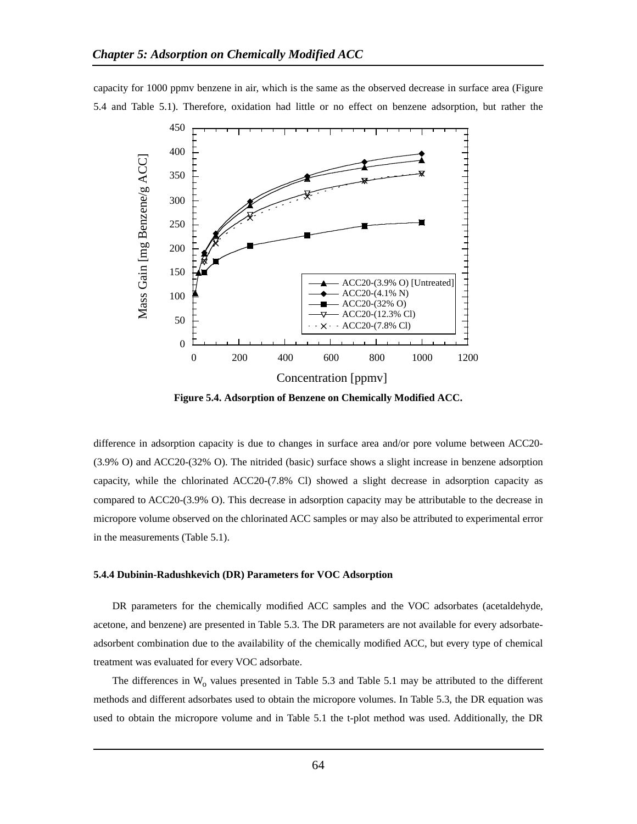capacity for 1000 ppmv benzene in air, which is the same as the observed decrease in surface area (Figure 5.4 and Table 5.1). Therefore, oxidation had little or no effect on benzene adsorption, but rather the



**Figure 5.4. Adsorption of Benzene on Chemically Modified ACC.**

difference in adsorption capacity is due to changes in surface area and/or pore volume between ACC20- (3.9% O) and ACC20-(32% O). The nitrided (basic) surface shows a slight increase in benzene adsorption capacity, while the chlorinated ACC20-(7.8% Cl) showed a slight decrease in adsorption capacity as compared to ACC20-(3.9% O). This decrease in adsorption capacity may be attributable to the decrease in micropore volume observed on the chlorinated ACC samples or may also be attributed to experimental error in the measurements (Table 5.1).

## **5.4.4 Dubinin-Radushkevich (DR) Parameters for VOC Adsorption**

DR parameters for the chemically modified ACC samples and the VOC adsorbates (acetaldehyde, acetone, and benzene) are presented in Table 5.3. The DR parameters are not available for every adsorbateadsorbent combination due to the availability of the chemically modified ACC, but every type of chemical treatment was evaluated for every VOC adsorbate.

The differences in  $W_0$  values presented in Table 5.3 and Table 5.1 may be attributed to the different methods and different adsorbates used to obtain the micropore volumes. In Table 5.3, the DR equation was used to obtain the micropore volume and in Table 5.1 the t-plot method was used. Additionally, the DR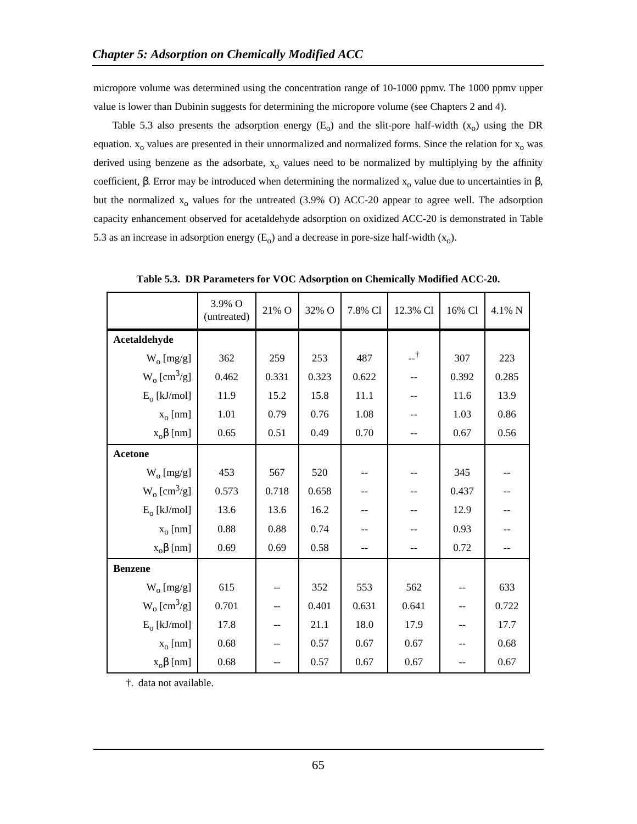micropore volume was determined using the concentration range of 10-1000 ppmv. The 1000 ppmv upper value is lower than Dubinin suggests for determining the micropore volume (see Chapters 2 and 4).

Table 5.3 also presents the adsorption energy  $(E_0)$  and the slit-pore half-width  $(x_0)$  using the DR equation.  $x_0$  values are presented in their unnormalized and normalized forms. Since the relation for  $x_0$  was derived using benzene as the adsorbate,  $x_0$  values need to be normalized by multiplying by the affinity coefficient, β. Error may be introduced when determining the normalized  $x_0$  value due to uncertainties in β, but the normalized  $x_0$  values for the untreated (3.9% O) ACC-20 appear to agree well. The adsorption capacity enhancement observed for acetaldehyde adsorption on oxidized ACC-20 is demonstrated in Table 5.3 as an increase in adsorption energy  $(E_0)$  and a decrease in pore-size half-width  $(x_0)$ .

|                            | 3.9% O<br>(untreated) | 21% O | 32% O | 7.8% Cl | 12.3% Cl | 16% Cl | 4.1% N |
|----------------------------|-----------------------|-------|-------|---------|----------|--------|--------|
| Acetaldehyde               |                       |       |       |         |          |        |        |
| $W_0$ [mg/g]               | 362                   | 259   | 253   | 487     | $-1$     | 307    | 223    |
| $W_0$ [cm <sup>3</sup> /g] | 0.462                 | 0.331 | 0.323 | 0.622   |          | 0.392  | 0.285  |
| $E_0$ [kJ/mol]             | 11.9                  | 15.2  | 15.8  | 11.1    | --       | 11.6   | 13.9   |
| $x_0$ [nm]                 | 1.01                  | 0.79  | 0.76  | 1.08    | --       | 1.03   | 0.86   |
| $x_0\beta$ [nm]            | 0.65                  | 0.51  | 0.49  | 0.70    | --       | 0.67   | 0.56   |
| <b>Acetone</b>             |                       |       |       |         |          |        |        |
| $W_0$ [mg/g]               | 453                   | 567   | 520   | --      |          | 345    |        |
| $W_0$ [cm <sup>3</sup> /g] | 0.573                 | 0.718 | 0.658 | $-$     |          | 0.437  |        |
| $E_0$ [kJ/mol]             | 13.6                  | 13.6  | 16.2  | --      | --       | 12.9   |        |
| $x_0$ [nm]                 | 0.88                  | 0.88  | 0.74  |         |          | 0.93   |        |
| $x_0\beta$ [nm]            | 0.69                  | 0.69  | 0.58  | --      | --       | 0.72   |        |
| <b>Benzene</b>             |                       |       |       |         |          |        |        |
| $W_0$ [mg/g]               | 615                   |       | 352   | 553     | 562      |        | 633    |
| $W_0$ [cm <sup>3</sup> /g] | 0.701                 | --    | 0.401 | 0.631   | 0.641    |        | 0.722  |
| $E_0$ [kJ/mol]             | 17.8                  |       | 21.1  | 18.0    | 17.9     |        | 17.7   |
| $x_0$ [nm]                 | 0.68                  |       | 0.57  | 0.67    | 0.67     |        | 0.68   |
| $x_0\beta$ [nm]            | 0.68                  | --    | 0.57  | 0.67    | 0.67     | --     | 0.67   |

**Table 5.3. DR Parameters for VOC Adsorption on Chemically Modified ACC-20.**

†. data not available.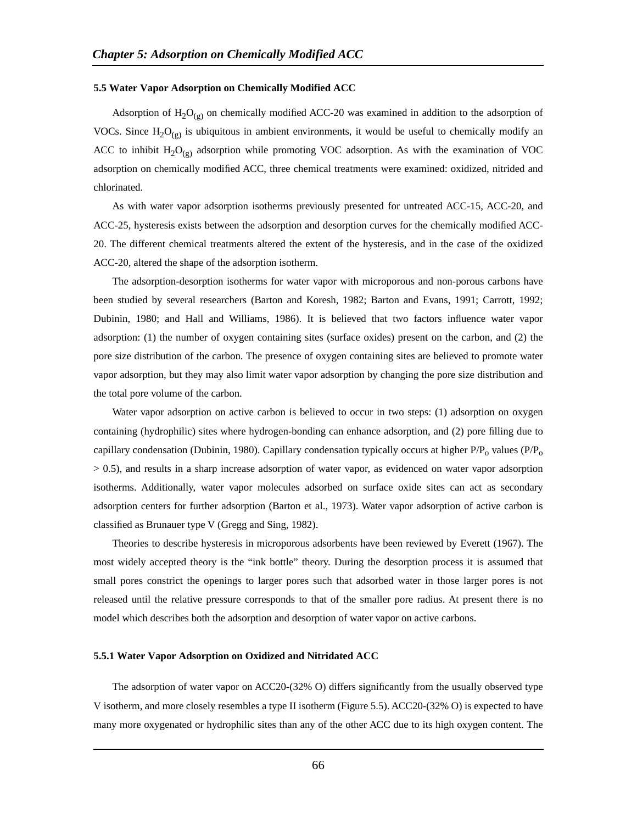#### **5.5 Water Vapor Adsorption on Chemically Modified ACC**

Adsorption of  $H_2O_{(g)}$  on chemically modified ACC-20 was examined in addition to the adsorption of VOCs. Since  $H_2O_{(g)}$  is ubiquitous in ambient environments, it would be useful to chemically modify an ACC to inhibit  $H_2O_{(g)}$  adsorption while promoting VOC adsorption. As with the examination of VOC adsorption on chemically modified ACC, three chemical treatments were examined: oxidized, nitrided and chlorinated.

As with water vapor adsorption isotherms previously presented for untreated ACC-15, ACC-20, and ACC-25, hysteresis exists between the adsorption and desorption curves for the chemically modified ACC-20. The different chemical treatments altered the extent of the hysteresis, and in the case of the oxidized ACC-20, altered the shape of the adsorption isotherm.

The adsorption-desorption isotherms for water vapor with microporous and non-porous carbons have been studied by several researchers (Barton and Koresh, 1982; Barton and Evans, 1991; Carrott, 1992; Dubinin, 1980; and Hall and Williams, 1986). It is believed that two factors influence water vapor adsorption: (1) the number of oxygen containing sites (surface oxides) present on the carbon, and (2) the pore size distribution of the carbon. The presence of oxygen containing sites are believed to promote water vapor adsorption, but they may also limit water vapor adsorption by changing the pore size distribution and the total pore volume of the carbon.

Water vapor adsorption on active carbon is believed to occur in two steps: (1) adsorption on oxygen containing (hydrophilic) sites where hydrogen-bonding can enhance adsorption, and (2) pore filling due to capillary condensation (Dubinin, 1980). Capillary condensation typically occurs at higher  $P/P_0$  values ( $P/P_0$ > 0.5), and results in a sharp increase adsorption of water vapor, as evidenced on water vapor adsorption isotherms. Additionally, water vapor molecules adsorbed on surface oxide sites can act as secondary adsorption centers for further adsorption (Barton et al., 1973). Water vapor adsorption of active carbon is classified as Brunauer type V (Gregg and Sing, 1982).

Theories to describe hysteresis in microporous adsorbents have been reviewed by Everett (1967). The most widely accepted theory is the "ink bottle" theory. During the desorption process it is assumed that small pores constrict the openings to larger pores such that adsorbed water in those larger pores is not released until the relative pressure corresponds to that of the smaller pore radius. At present there is no model which describes both the adsorption and desorption of water vapor on active carbons.

#### **5.5.1 Water Vapor Adsorption on Oxidized and Nitridated ACC**

The adsorption of water vapor on ACC20-(32% O) differs significantly from the usually observed type V isotherm, and more closely resembles a type II isotherm (Figure 5.5). ACC20-(32% O) is expected to have many more oxygenated or hydrophilic sites than any of the other ACC due to its high oxygen content. The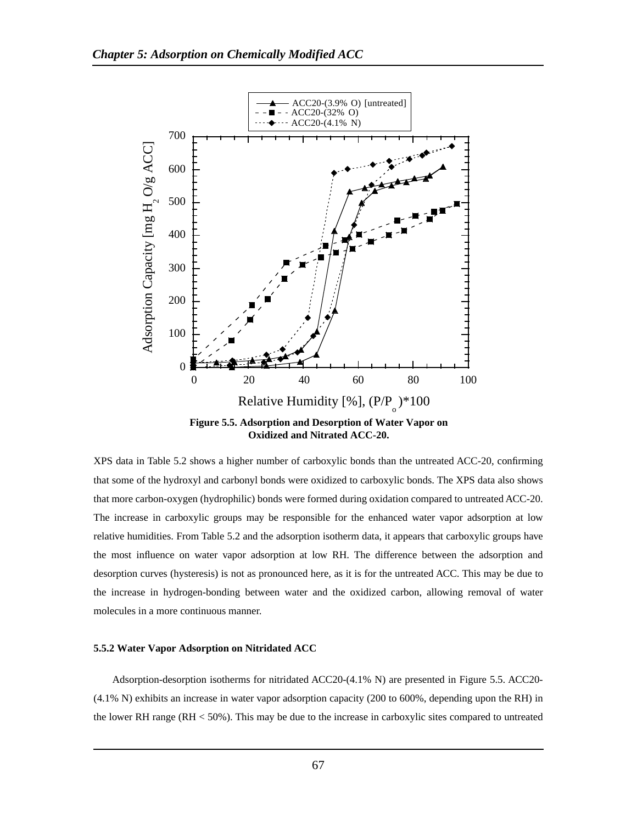

**Oxidized and Nitrated ACC-20.**

XPS data in Table 5.2 shows a higher number of carboxylic bonds than the untreated ACC-20, confirming that some of the hydroxyl and carbonyl bonds were oxidized to carboxylic bonds. The XPS data also shows that more carbon-oxygen (hydrophilic) bonds were formed during oxidation compared to untreated ACC-20. The increase in carboxylic groups may be responsible for the enhanced water vapor adsorption at low relative humidities. From Table 5.2 and the adsorption isotherm data, it appears that carboxylic groups have the most influence on water vapor adsorption at low RH. The difference between the adsorption and desorption curves (hysteresis) is not as pronounced here, as it is for the untreated ACC. This may be due to the increase in hydrogen-bonding between water and the oxidized carbon, allowing removal of water molecules in a more continuous manner.

#### **5.5.2 Water Vapor Adsorption on Nitridated ACC**

Adsorption-desorption isotherms for nitridated ACC20-(4.1% N) are presented in Figure 5.5. ACC20- (4.1% N) exhibits an increase in water vapor adsorption capacity (200 to 600%, depending upon the RH) in the lower RH range (RH < 50%). This may be due to the increase in carboxylic sites compared to untreated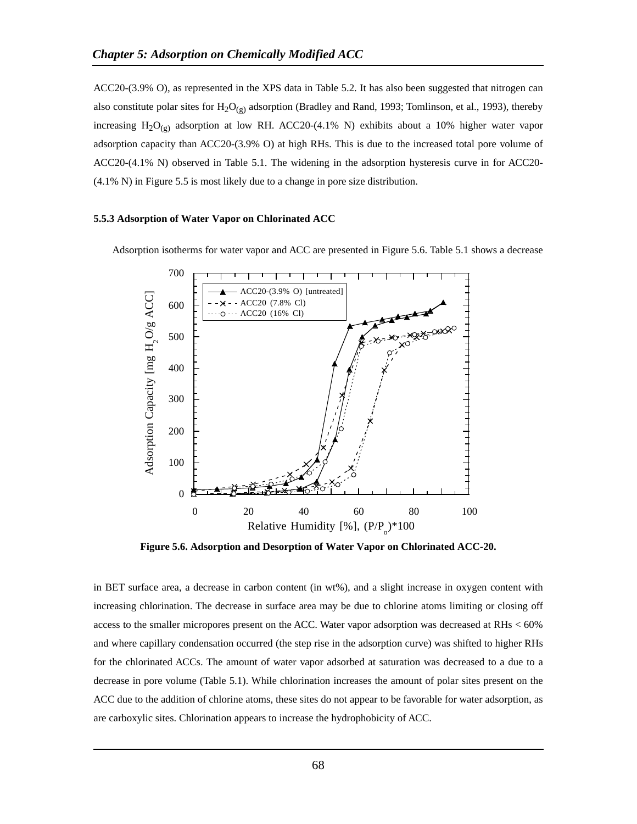ACC20-(3.9% O), as represented in the XPS data in Table 5.2. It has also been suggested that nitrogen can also constitute polar sites for  $H_2O_{(g)}$  adsorption (Bradley and Rand, 1993; Tomlinson, et al., 1993), thereby increasing  $H_2O_{(g)}$  adsorption at low RH. ACC20-(4.1% N) exhibits about a 10% higher water vapor adsorption capacity than ACC20-(3.9% O) at high RHs. This is due to the increased total pore volume of ACC20-(4.1% N) observed in Table 5.1. The widening in the adsorption hysteresis curve in for ACC20- (4.1% N) in Figure 5.5 is most likely due to a change in pore size distribution.

## **5.5.3 Adsorption of Water Vapor on Chlorinated ACC**

Adsorption isotherms for water vapor and ACC are presented in Figure 5.6. Table 5.1 shows a decrease



**Figure 5.6. Adsorption and Desorption of Water Vapor on Chlorinated ACC-20.**

in BET surface area, a decrease in carbon content (in wt%), and a slight increase in oxygen content with increasing chlorination. The decrease in surface area may be due to chlorine atoms limiting or closing off access to the smaller micropores present on the ACC. Water vapor adsorption was decreased at RHs < 60% and where capillary condensation occurred (the step rise in the adsorption curve) was shifted to higher RHs for the chlorinated ACCs. The amount of water vapor adsorbed at saturation was decreased to a due to a decrease in pore volume (Table 5.1). While chlorination increases the amount of polar sites present on the ACC due to the addition of chlorine atoms, these sites do not appear to be favorable for water adsorption, as are carboxylic sites. Chlorination appears to increase the hydrophobicity of ACC.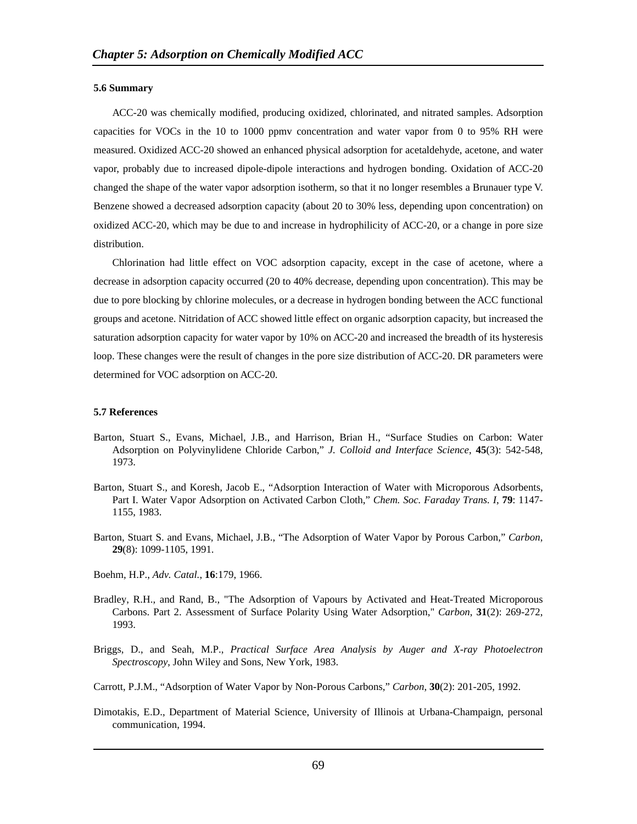## **5.6 Summary**

ACC-20 was chemically modified, producing oxidized, chlorinated, and nitrated samples. Adsorption capacities for VOCs in the 10 to 1000 ppmv concentration and water vapor from 0 to 95% RH were measured. Oxidized ACC-20 showed an enhanced physical adsorption for acetaldehyde, acetone, and water vapor, probably due to increased dipole-dipole interactions and hydrogen bonding. Oxidation of ACC-20 changed the shape of the water vapor adsorption isotherm, so that it no longer resembles a Brunauer type V. Benzene showed a decreased adsorption capacity (about 20 to 30% less, depending upon concentration) on oxidized ACC-20, which may be due to and increase in hydrophilicity of ACC-20, or a change in pore size distribution.

Chlorination had little effect on VOC adsorption capacity, except in the case of acetone, where a decrease in adsorption capacity occurred (20 to 40% decrease, depending upon concentration). This may be due to pore blocking by chlorine molecules, or a decrease in hydrogen bonding between the ACC functional groups and acetone. Nitridation of ACC showed little effect on organic adsorption capacity, but increased the saturation adsorption capacity for water vapor by 10% on ACC-20 and increased the breadth of its hysteresis loop. These changes were the result of changes in the pore size distribution of ACC-20. DR parameters were determined for VOC adsorption on ACC-20.

# **5.7 References**

- Barton, Stuart S., Evans, Michael, J.B., and Harrison, Brian H., "Surface Studies on Carbon: Water Adsorption on Polyvinylidene Chloride Carbon," *J. Colloid and Interface Science*, **45**(3): 542-548, 1973.
- Barton, Stuart S., and Koresh, Jacob E., "Adsorption Interaction of Water with Microporous Adsorbents, Part I. Water Vapor Adsorption on Activated Carbon Cloth," *Chem. Soc. Faraday Trans. I*, **79**: 1147- 1155, 1983.
- Barton, Stuart S. and Evans, Michael, J.B., "The Adsorption of Water Vapor by Porous Carbon," *Carbon*, **29**(8): 1099-1105, 1991.
- Boehm, H.P., *Adv. Catal.*, **16**:179, 1966.
- Bradley, R.H., and Rand, B., "The Adsorption of Vapours by Activated and Heat-Treated Microporous Carbons. Part 2. Assessment of Surface Polarity Using Water Adsorption," *Carbon*, **31**(2): 269-272, 1993.
- Briggs, D., and Seah, M.P., *Practical Surface Area Analysis by Auger and X-ray Photoelectron Spectroscopy*, John Wiley and Sons, New York, 1983.
- Carrott, P.J.M., "Adsorption of Water Vapor by Non-Porous Carbons," *Carbon*, **30**(2): 201-205, 1992.
- Dimotakis, E.D., Department of Material Science, University of Illinois at Urbana-Champaign, personal communication, 1994.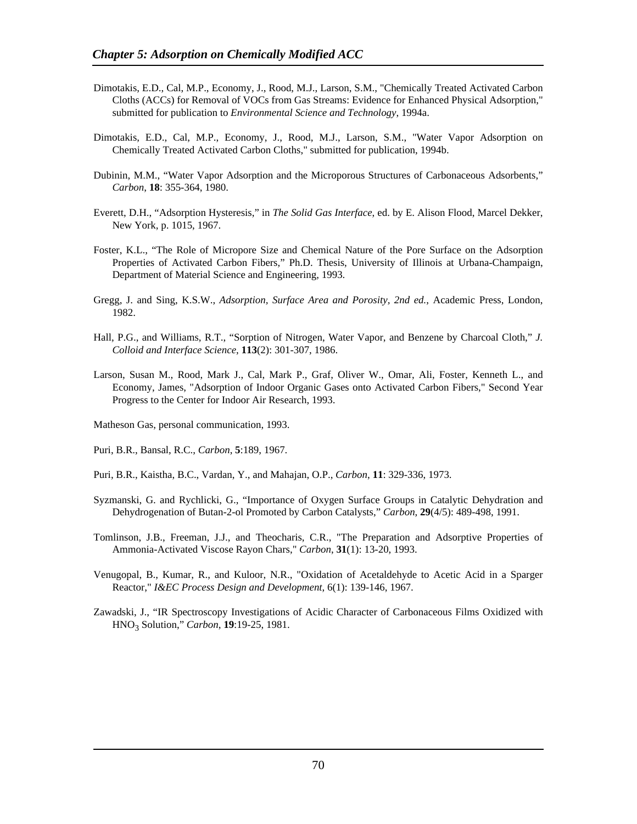- Dimotakis, E.D., Cal, M.P., Economy, J., Rood, M.J., Larson, S.M., "Chemically Treated Activated Carbon Cloths (ACCs) for Removal of VOCs from Gas Streams: Evidence for Enhanced Physical Adsorption," submitted for publication to *Environmental Science and Technology*, 1994a.
- Dimotakis, E.D., Cal, M.P., Economy, J., Rood, M.J., Larson, S.M., "Water Vapor Adsorption on Chemically Treated Activated Carbon Cloths," submitted for publication, 1994b.
- Dubinin, M.M., "Water Vapor Adsorption and the Microporous Structures of Carbonaceous Adsorbents," *Carbon*, **18**: 355-364, 1980.
- Everett, D.H., "Adsorption Hysteresis," in *The Solid Gas Interface*, ed. by E. Alison Flood, Marcel Dekker, New York, p. 1015, 1967.
- Foster, K.L., "The Role of Micropore Size and Chemical Nature of the Pore Surface on the Adsorption Properties of Activated Carbon Fibers," Ph.D. Thesis, University of Illinois at Urbana-Champaign, Department of Material Science and Engineering, 1993.
- Gregg, J. and Sing, K.S.W., *Adsorption, Surface Area and Porosity, 2nd ed.*, Academic Press, London, 1982.
- Hall, P.G., and Williams, R.T., "Sorption of Nitrogen, Water Vapor, and Benzene by Charcoal Cloth," *J. Colloid and Interface Science*, **113**(2): 301-307, 1986.
- Larson, Susan M., Rood, Mark J., Cal, Mark P., Graf, Oliver W., Omar, Ali, Foster, Kenneth L., and Economy, James, "Adsorption of Indoor Organic Gases onto Activated Carbon Fibers," Second Year Progress to the Center for Indoor Air Research, 1993.
- Matheson Gas, personal communication, 1993.
- Puri, B.R., Bansal, R.C., *Carbon*, **5**:189, 1967.
- Puri, B.R., Kaistha, B.C., Vardan, Y., and Mahajan, O.P., *Carbon*, **11**: 329-336, 1973.
- Syzmanski, G. and Rychlicki, G., "Importance of Oxygen Surface Groups in Catalytic Dehydration and Dehydrogenation of Butan-2-ol Promoted by Carbon Catalysts," *Carbon*, **29**(4/5): 489-498, 1991.
- Tomlinson, J.B., Freeman, J.J., and Theocharis, C.R., "The Preparation and Adsorptive Properties of Ammonia-Activated Viscose Rayon Chars," *Carbon*, **31**(1): 13-20, 1993.
- Venugopal, B., Kumar, R., and Kuloor, N.R., "Oxidation of Acetaldehyde to Acetic Acid in a Sparger Reactor," *I&EC Process Design and Development*, 6(1): 139-146, 1967.
- Zawadski, J., "IR Spectroscopy Investigations of Acidic Character of Carbonaceous Films Oxidized with HNO3 Solution," *Carbon*, **19**:19-25, 1981.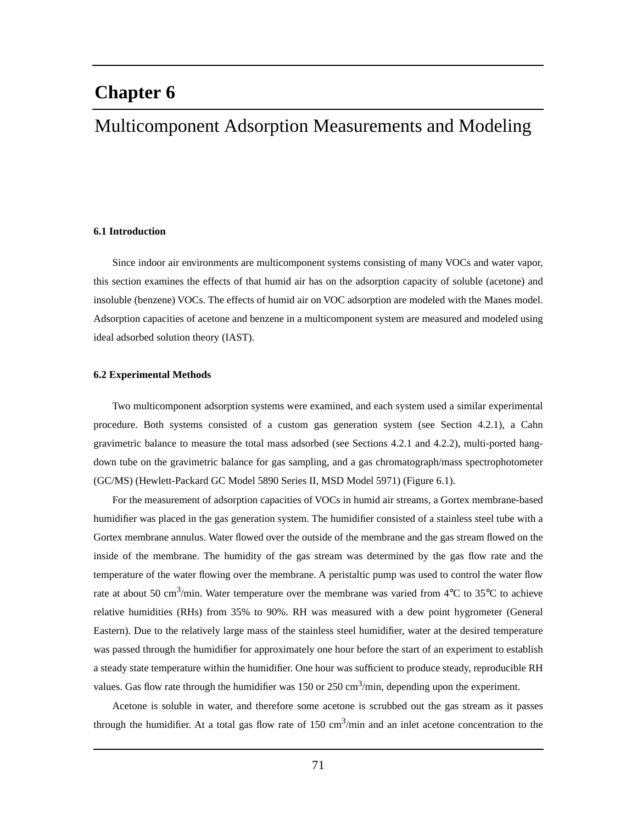# **Chapter 6**

# Multicomponent Adsorption Measurements and Modeling

# **6.1 Introduction**

Since indoor air environments are multicomponent systems consisting of many VOCs and water vapor, this section examines the effects of that humid air has on the adsorption capacity of soluble (acetone) and insoluble (benzene) VOCs. The effects of humid air on VOC adsorption are modeled with the Manes model. Adsorption capacities of acetone and benzene in a multicomponent system are measured and modeled using ideal adsorbed solution theory (IAST).

#### **6.2 Experimental Methods**

Two multicomponent adsorption systems were examined, and each system used a similar experimental procedure. Both systems consisted of a custom gas generation system (see Section 4.2.1), a Cahn gravimetric balance to measure the total mass adsorbed (see Sections 4.2.1 and 4.2.2), multi-ported hangdown tube on the gravimetric balance for gas sampling, and a gas chromatograph/mass spectrophotometer (GC/MS) (Hewlett-Packard GC Model 5890 Series II, MSD Model 5971) (Figure 6.1).

For the measurement of adsorption capacities of VOCs in humid air streams, a Gortex membrane-based humidifier was placed in the gas generation system. The humidifier consisted of a stainless steel tube with a Gortex membrane annulus. Water flowed over the outside of the membrane and the gas stream flowed on the inside of the membrane. The humidity of the gas stream was determined by the gas flow rate and the temperature of the water flowing over the membrane. A peristaltic pump was used to control the water flow rate at about 50 cm<sup>3</sup>/min. Water temperature over the membrane was varied from  $4^{\circ}$ C to  $35^{\circ}$ C to achieve relative humidities (RHs) from 35% to 90%. RH was measured with a dew point hygrometer (General Eastern). Due to the relatively large mass of the stainless steel humidifier, water at the desired temperature was passed through the humidifier for approximately one hour before the start of an experiment to establish a steady state temperature within the humidifier. One hour was sufficient to produce steady, reproducible RH values. Gas flow rate through the humidifier was  $150$  or  $250 \text{ cm}^3/\text{min}$ , depending upon the experiment.

Acetone is soluble in water, and therefore some acetone is scrubbed out the gas stream as it passes through the humidifier. At a total gas flow rate of  $150 \text{ cm}^3/\text{min}$  and an inlet acetone concentration to the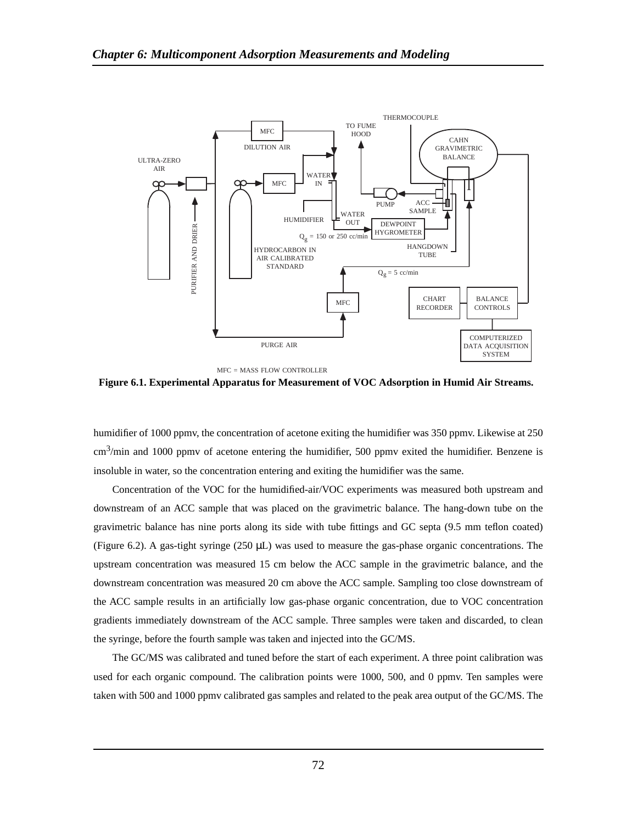

**Figure 6.1. Experimental Apparatus for Measurement of VOC Adsorption in Humid Air Streams.**

humidifier of 1000 ppmv, the concentration of acetone exiting the humidifier was 350 ppmv. Likewise at 250  $\text{cm}^3/\text{min}$  and 1000 ppmv of acetone entering the humidifier, 500 ppmv exited the humidifier. Benzene is insoluble in water, so the concentration entering and exiting the humidifier was the same.

Concentration of the VOC for the humidified-air/VOC experiments was measured both upstream and downstream of an ACC sample that was placed on the gravimetric balance. The hang-down tube on the gravimetric balance has nine ports along its side with tube fittings and GC septa (9.5 mm teflon coated) (Figure 6.2). A gas-tight syringe (250 µL) was used to measure the gas-phase organic concentrations. The upstream concentration was measured 15 cm below the ACC sample in the gravimetric balance, and the downstream concentration was measured 20 cm above the ACC sample. Sampling too close downstream of the ACC sample results in an artificially low gas-phase organic concentration, due to VOC concentration gradients immediately downstream of the ACC sample. Three samples were taken and discarded, to clean the syringe, before the fourth sample was taken and injected into the GC/MS.

The GC/MS was calibrated and tuned before the start of each experiment. A three point calibration was used for each organic compound. The calibration points were 1000, 500, and 0 ppmv. Ten samples were taken with 500 and 1000 ppmv calibrated gas samples and related to the peak area output of the GC/MS. The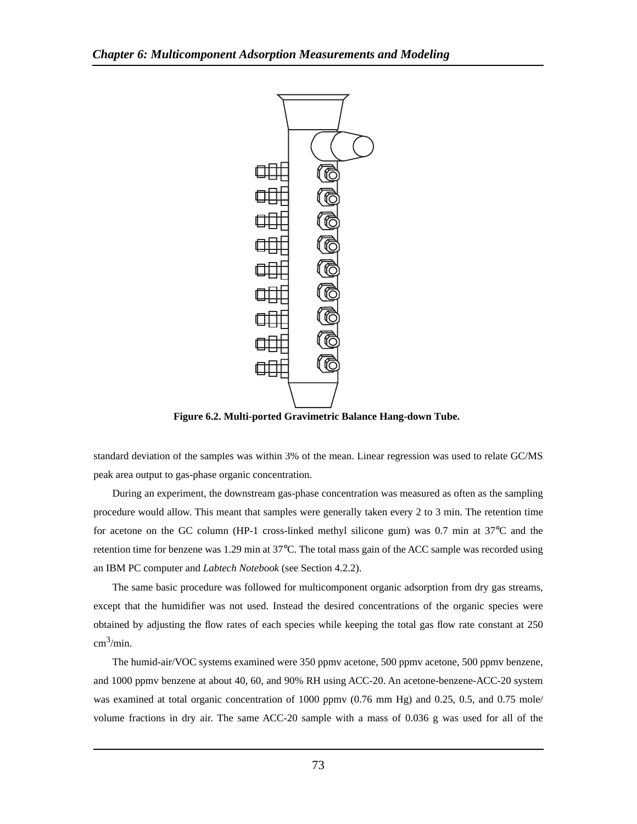

**Figure 6.2. Multi-ported Gravimetric Balance Hang-down Tube.**

standard deviation of the samples was within 3% of the mean. Linear regression was used to relate GC/MS peak area output to gas-phase organic concentration.

During an experiment, the downstream gas-phase concentration was measured as often as the sampling procedure would allow. This meant that samples were generally taken every 2 to 3 min. The retention time for acetone on the GC column (HP-1 cross-linked methyl silicone gum) was 0.7 min at 37°C and the retention time for benzene was 1.29 min at 37°C. The total mass gain of the ACC sample was recorded using an IBM PC computer and *Labtech Notebook* (see Section 4.2.2).

The same basic procedure was followed for multicomponent organic adsorption from dry gas streams, except that the humidifier was not used. Instead the desired concentrations of the organic species were obtained by adjusting the flow rates of each species while keeping the total gas flow rate constant at 250  $cm^3/min$ .

The humid-air/VOC systems examined were 350 ppmv acetone, 500 ppmv acetone, 500 ppmv benzene, and 1000 ppmv benzene at about 40, 60, and 90% RH using ACC-20. An acetone-benzene-ACC-20 system was examined at total organic concentration of 1000 ppmv (0.76 mm Hg) and 0.25, 0.5, and 0.75 mole/ volume fractions in dry air. The same ACC-20 sample with a mass of 0.036 g was used for all of the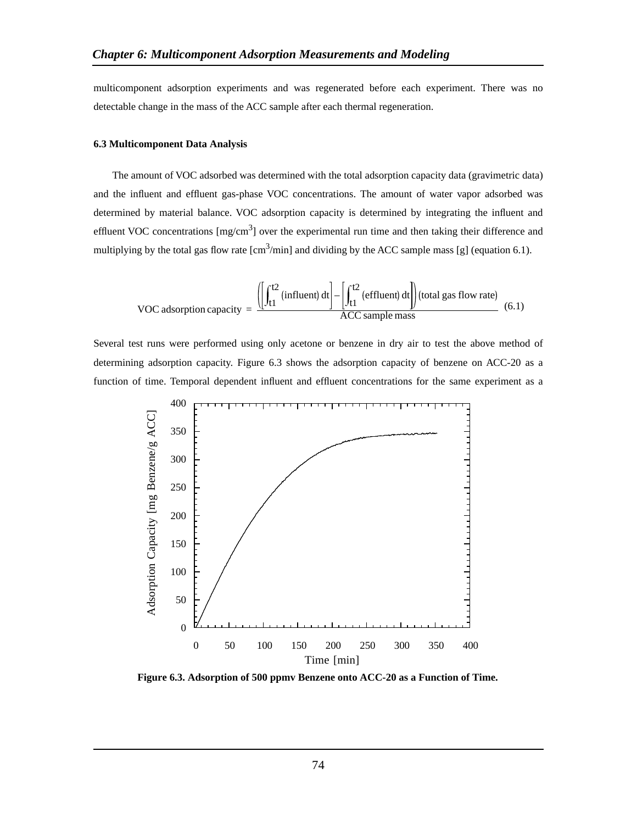multicomponent adsorption experiments and was regenerated before each experiment. There was no detectable change in the mass of the ACC sample after each thermal regeneration.

# **6.3 Multicomponent Data Analysis**

The amount of VOC adsorbed was determined with the total adsorption capacity data (gravimetric data) and the influent and effluent gas-phase VOC concentrations. The amount of water vapor adsorbed was determined by material balance. VOC adsorption capacity is determined by integrating the influent and effluent VOC concentrations  $[mg/cm<sup>3</sup>]$  over the experimental run time and then taking their difference and multiplying by the total gas flow rate  $[cm^3/\text{min}]$  and dividing by the ACC sample mass [g] (equation 6.1).

VOC adsorption capacity = 
$$
\frac{\left(\left[\int_{t1}^{t2} (\text{influent}) dt\right] - \left[\int_{t1}^{t2} (\text{effluent}) dt\right]\right) (\text{total gas flow rate})}{\text{ACC sample mass}}
$$
(6.1)

Several test runs were performed using only acetone or benzene in dry air to test the above method of determining adsorption capacity. Figure 6.3 shows the adsorption capacity of benzene on ACC-20 as a function of time. Temporal dependent influent and effluent concentrations for the same experiment as a



**Figure 6.3. Adsorption of 500 ppmv Benzene onto ACC-20 as a Function of Time.**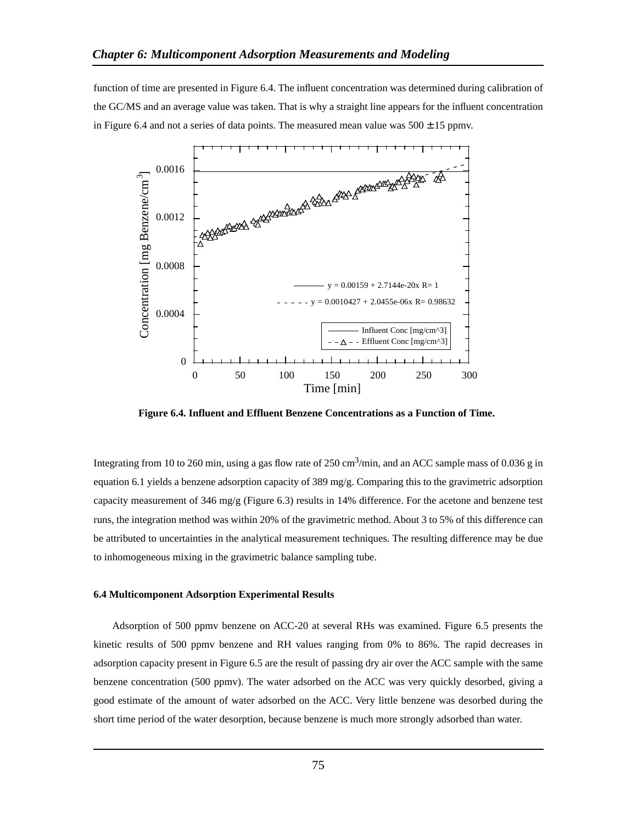function of time are presented in Figure 6.4. The influent concentration was determined during calibration of the GC/MS and an average value was taken. That is why a straight line appears for the influent concentration in Figure 6.4 and not a series of data points. The measured mean value was  $500 \pm 15$  ppmv.



**Figure 6.4. Influent and Effluent Benzene Concentrations as a Function of Time.**

Integrating from 10 to 260 min, using a gas flow rate of 250 cm<sup>3</sup>/min, and an ACC sample mass of 0.036 g in equation 6.1 yields a benzene adsorption capacity of 389 mg/g. Comparing this to the gravimetric adsorption capacity measurement of 346 mg/g (Figure 6.3) results in 14% difference. For the acetone and benzene test runs, the integration method was within 20% of the gravimetric method. About 3 to 5% of this difference can be attributed to uncertainties in the analytical measurement techniques. The resulting difference may be due to inhomogeneous mixing in the gravimetric balance sampling tube.

### **6.4 Multicomponent Adsorption Experimental Results**

Adsorption of 500 ppmv benzene on ACC-20 at several RHs was examined. Figure 6.5 presents the kinetic results of 500 ppmv benzene and RH values ranging from 0% to 86%. The rapid decreases in adsorption capacity present in Figure 6.5 are the result of passing dry air over the ACC sample with the same benzene concentration (500 ppmv). The water adsorbed on the ACC was very quickly desorbed, giving a good estimate of the amount of water adsorbed on the ACC. Very little benzene was desorbed during the short time period of the water desorption, because benzene is much more strongly adsorbed than water.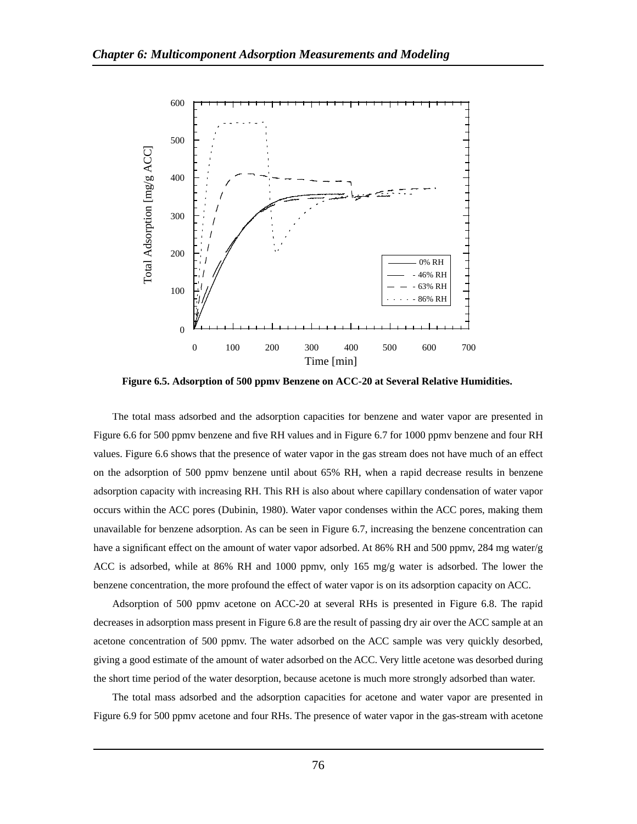

**Figure 6.5. Adsorption of 500 ppmv Benzene on ACC-20 at Several Relative Humidities.**

The total mass adsorbed and the adsorption capacities for benzene and water vapor are presented in Figure 6.6 for 500 ppmv benzene and five RH values and in Figure 6.7 for 1000 ppmv benzene and four RH values. Figure 6.6 shows that the presence of water vapor in the gas stream does not have much of an effect on the adsorption of 500 ppmv benzene until about 65% RH, when a rapid decrease results in benzene adsorption capacity with increasing RH. This RH is also about where capillary condensation of water vapor occurs within the ACC pores (Dubinin, 1980). Water vapor condenses within the ACC pores, making them unavailable for benzene adsorption. As can be seen in Figure 6.7, increasing the benzene concentration can have a significant effect on the amount of water vapor adsorbed. At 86% RH and 500 ppmv, 284 mg water/g ACC is adsorbed, while at 86% RH and 1000 ppmv, only 165 mg/g water is adsorbed. The lower the benzene concentration, the more profound the effect of water vapor is on its adsorption capacity on ACC.

Adsorption of 500 ppmv acetone on ACC-20 at several RHs is presented in Figure 6.8. The rapid decreases in adsorption mass present in Figure 6.8 are the result of passing dry air over the ACC sample at an acetone concentration of 500 ppmv. The water adsorbed on the ACC sample was very quickly desorbed, giving a good estimate of the amount of water adsorbed on the ACC. Very little acetone was desorbed during the short time period of the water desorption, because acetone is much more strongly adsorbed than water.

The total mass adsorbed and the adsorption capacities for acetone and water vapor are presented in Figure 6.9 for 500 ppmv acetone and four RHs. The presence of water vapor in the gas-stream with acetone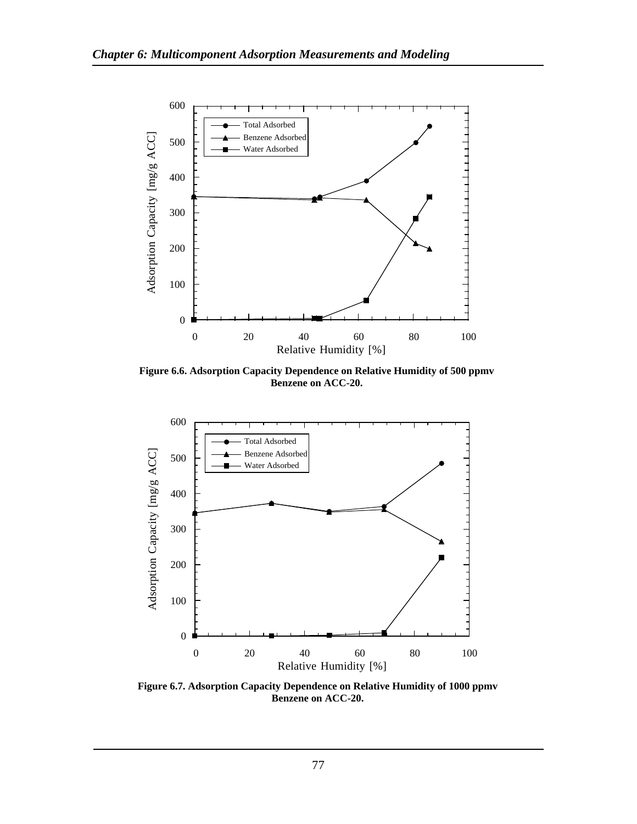

**Figure 6.6. Adsorption Capacity Dependence on Relative Humidity of 500 ppmv Benzene on ACC-20.**



**Figure 6.7. Adsorption Capacity Dependence on Relative Humidity of 1000 ppmv Benzene on ACC-20.**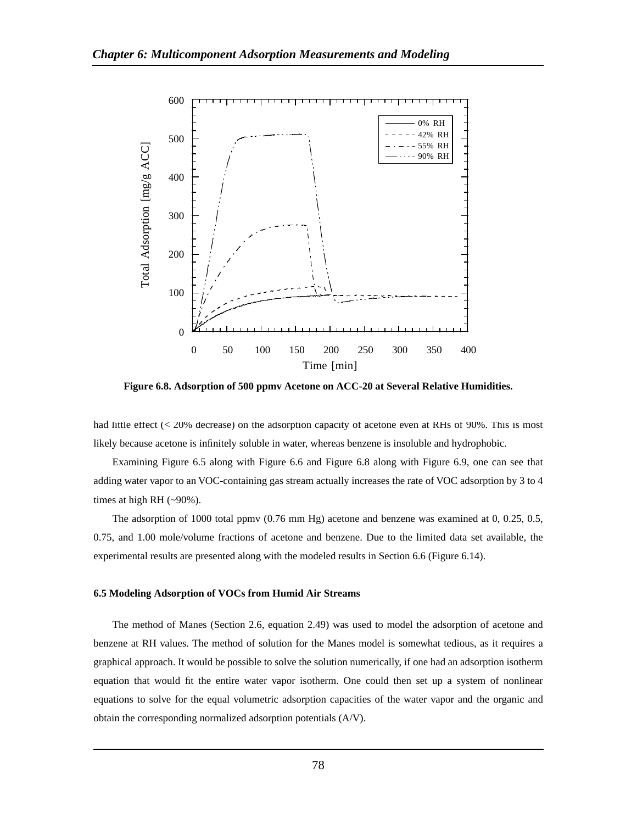

**Figure 6.8. Adsorption of 500 ppmv Acetone on ACC-20 at Several Relative Humidities.**

had little effect (< 20% decrease) on the adsorption capacity of acetone even at RHs of 90%. This is most likely because acetone is infinitely soluble in water, whereas benzene is insoluble and hydrophobic.

Examining Figure 6.5 along with Figure 6.6 and Figure 6.8 along with Figure 6.9, one can see that adding water vapor to an VOC-containing gas stream actually increases the rate of VOC adsorption by 3 to 4 times at high RH  $(-90\%)$ .

The adsorption of 1000 total ppmv (0.76 mm Hg) acetone and benzene was examined at 0, 0.25, 0.5, 0.75, and 1.00 mole/volume fractions of acetone and benzene. Due to the limited data set available, the experimental results are presented along with the modeled results in Section 6.6 (Figure 6.14).

### **6.5 Modeling Adsorption of VOCs from Humid Air Streams**

The method of Manes (Section 2.6, equation 2.49) was used to model the adsorption of acetone and benzene at RH values. The method of solution for the Manes model is somewhat tedious, as it requires a graphical approach. It would be possible to solve the solution numerically, if one had an adsorption isotherm equation that would fit the entire water vapor isotherm. One could then set up a system of nonlinear equations to solve for the equal volumetric adsorption capacities of the water vapor and the organic and obtain the corresponding normalized adsorption potentials (A/V).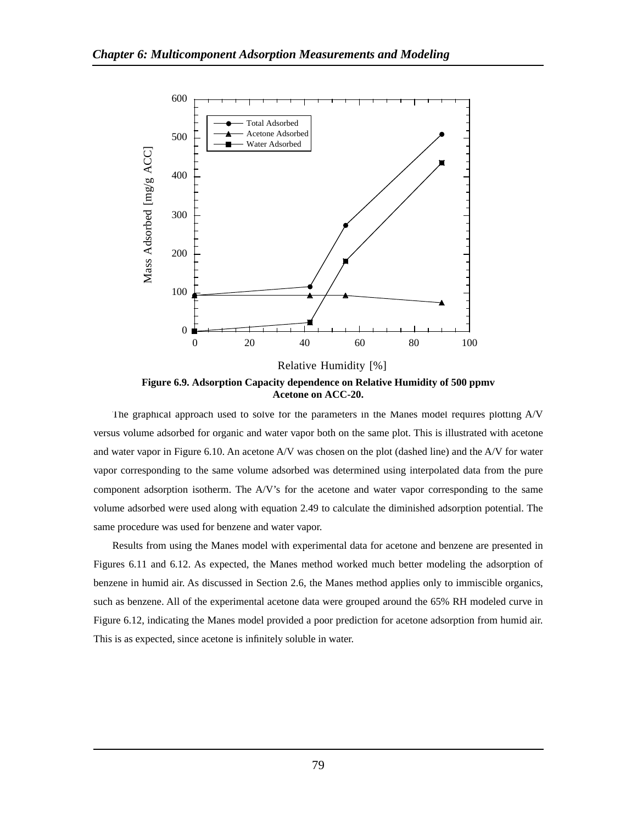

Relative Humidity [%] **Figure 6.9. Adsorption Capacity dependence on Relative Humidity of 500 ppmv Acetone on ACC-20.**

The graphical approach used to solve for the parameters in the Manes model requires plotting A/V versus volume adsorbed for organic and water vapor both on the same plot. This is illustrated with acetone and water vapor in Figure 6.10. An acetone A/V was chosen on the plot (dashed line) and the A/V for water vapor corresponding to the same volume adsorbed was determined using interpolated data from the pure component adsorption isotherm. The A/V's for the acetone and water vapor corresponding to the same volume adsorbed were used along with equation 2.49 to calculate the diminished adsorption potential. The same procedure was used for benzene and water vapor.

Results from using the Manes model with experimental data for acetone and benzene are presented in Figures 6.11 and 6.12. As expected, the Manes method worked much better modeling the adsorption of benzene in humid air. As discussed in Section 2.6, the Manes method applies only to immiscible organics, such as benzene. All of the experimental acetone data were grouped around the 65% RH modeled curve in Figure 6.12, indicating the Manes model provided a poor prediction for acetone adsorption from humid air. This is as expected, since acetone is infinitely soluble in water.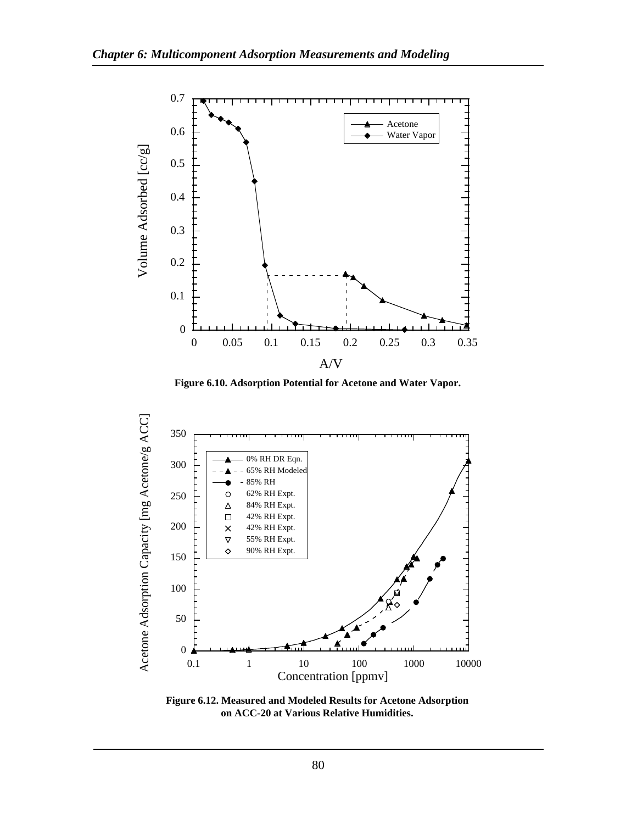

**Figure 6.10. Adsorption Potential for Acetone and Water Vapor.**



**Figure 6.12. Measured and Modeled Results for Acetone Adsorption on ACC-20 at Various Relative Humidities.**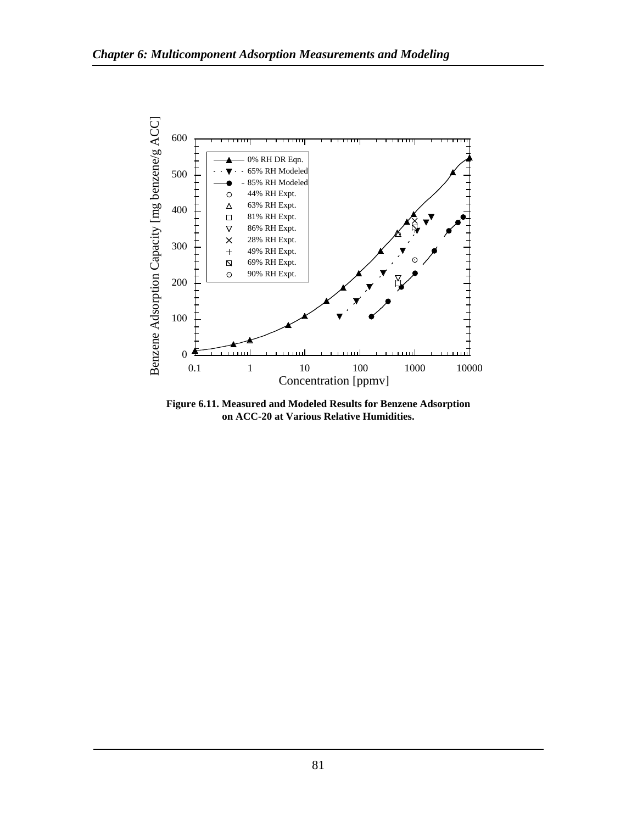

**Figure 6.11. Measured and Modeled Results for Benzene Adsorption on ACC-20 at Various Relative Humidities.**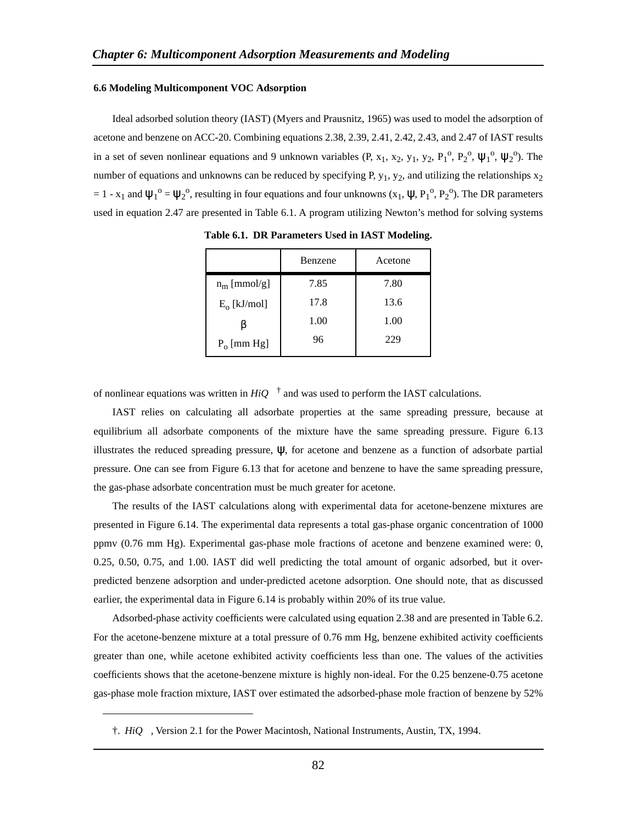### **6.6 Modeling Multicomponent VOC Adsorption**

Ideal adsorbed solution theory (IAST) (Myers and Prausnitz, 1965) was used to model the adsorption of acetone and benzene on ACC-20. Combining equations 2.38, 2.39, 2.41, 2.42, 2.43, and 2.47 of IAST results in a set of seven nonlinear equations and 9 unknown variables  $(P, x_1, x_2, y_1, y_2, P_1^0, P_2^0, \psi_1^0, \psi_2^0)$ . The number of equations and unknowns can be reduced by specifying P,  $y_1$ ,  $y_2$ , and utilizing the relationships  $x_2$ = 1 -  $x_1$  and  $\Psi_1^o = \Psi_2^o$ , resulting in four equations and four unknowns  $(x_1, \Psi, P_1^o, P_2^o)$ . The DR parameters used in equation 2.47 are presented in Table 6.1. A program utilizing Newton's method for solving systems

|                | Benzene | Acetone |  |  |
|----------------|---------|---------|--|--|
| $n_m$ [mmol/g] | 7.85    | 7.80    |  |  |
| $E_0$ [kJ/mol] | 17.8    | 13.6    |  |  |
|                | 1.00    | 1.00    |  |  |
| $P_0$ [mm Hg]  | 96      | 229     |  |  |

**Table 6.1. DR Parameters Used in IAST Modeling.**

of nonlinear equations was written in  $HiQ\mathbb{Q}^{\dagger}$  and was used to perform the IAST calculations.

IAST relies on calculating all adsorbate properties at the same spreading pressure, because at equilibrium all adsorbate components of the mixture have the same spreading pressure. Figure 6.13 illustrates the reduced spreading pressure,  $\Psi$ , for acetone and benzene as a function of adsorbate partial pressure. One can see from Figure 6.13 that for acetone and benzene to have the same spreading pressure, the gas-phase adsorbate concentration must be much greater for acetone.

The results of the IAST calculations along with experimental data for acetone-benzene mixtures are presented in Figure 6.14. The experimental data represents a total gas-phase organic concentration of 1000 ppmv (0.76 mm Hg). Experimental gas-phase mole fractions of acetone and benzene examined were: 0, 0.25, 0.50, 0.75, and 1.00. IAST did well predicting the total amount of organic adsorbed, but it overpredicted benzene adsorption and under-predicted acetone adsorption. One should note, that as discussed earlier, the experimental data in Figure 6.14 is probably within 20% of its true value.

Adsorbed-phase activity coefficients were calculated using equation 2.38 and are presented in Table 6.2. For the acetone-benzene mixture at a total pressure of 0.76 mm Hg, benzene exhibited activity coefficients greater than one, while acetone exhibited activity coefficients less than one. The values of the activities coefficients shows that the acetone-benzene mixture is highly non-ideal. For the 0.25 benzene-0.75 acetone gas-phase mole fraction mixture, IAST over estimated the adsorbed-phase mole fraction of benzene by 52%

<sup>†.</sup> *HiQ*, Version 2.1 for the Power Macintosh, National Instruments, Austin, TX, 1994.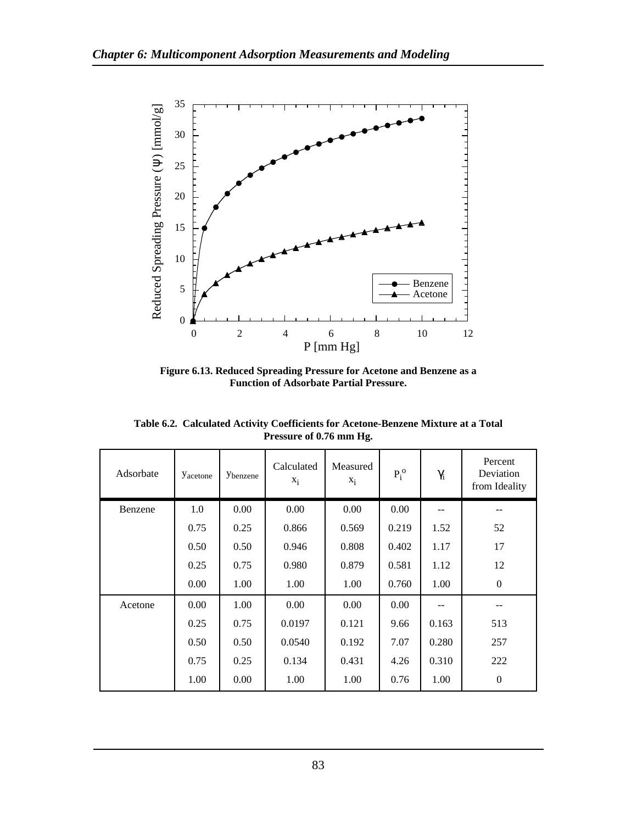

**Figure 6.13. Reduced Spreading Pressure for Acetone and Benzene as a Function of Adsorbate Partial Pressure.**

| Adsorbate | <b>Y</b> acetone | <b>Y</b> benzene | Calculated<br>$x_i$ | Measured<br>$X_i$ | $P_i^{\,0}$ | $\gamma_i$ | Percent<br>Deviation<br>from Ideality |
|-----------|------------------|------------------|---------------------|-------------------|-------------|------------|---------------------------------------|
| Benzene   | 1.0              | 0.00             | 0.00                | 0.00              | 0.00        |            |                                       |
|           | 0.75             | 0.25             | 0.866               | 0.569             | 0.219       | 1.52       | 52                                    |
|           | 0.50             | 0.50             | 0.946               | 0.808             | 0.402       | 1.17       | 17                                    |
|           | 0.25             | 0.75             | 0.980               | 0.879             | 0.581       | 1.12       | 12                                    |
|           | 0.00             | 1.00             | 1.00                | 1.00              | 0.760       | 1.00       | $\mathbf{0}$                          |
| Acetone   | 0.00             | 1.00             | 0.00                | 0.00              | 0.00        | $- -$      | --                                    |
|           | 0.25             | 0.75             | 0.0197              | 0.121             | 9.66        | 0.163      | 513                                   |
|           | 0.50             | 0.50             | 0.0540              | 0.192             | 7.07        | 0.280      | 257                                   |
|           | 0.75             | 0.25             | 0.134               | 0.431             | 4.26        | 0.310      | 222                                   |
|           | 1.00             | 0.00             | 1.00                | 1.00              | 0.76        | 1.00       | $\boldsymbol{0}$                      |

**Table 6.2. Calculated Activity Coefficients for Acetone-Benzene Mixture at a Total Pressure of 0.76 mm Hg.**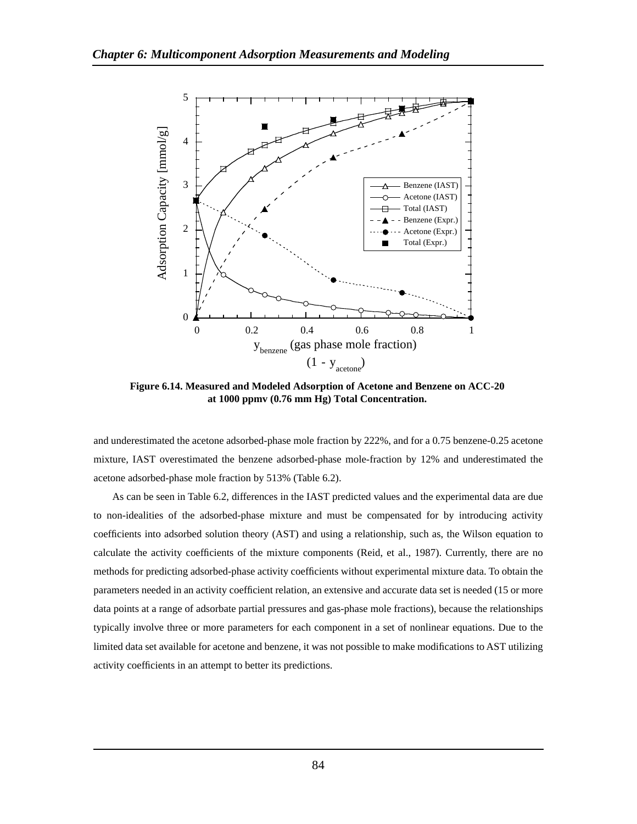

**Figure 6.14. Measured and Modeled Adsorption of Acetone and Benzene on ACC-20 at 1000 ppmv (0.76 mm Hg) Total Concentration.**

and underestimated the acetone adsorbed-phase mole fraction by 222%, and for a 0.75 benzene-0.25 acetone mixture, IAST overestimated the benzene adsorbed-phase mole-fraction by 12% and underestimated the acetone adsorbed-phase mole fraction by 513% (Table 6.2).

As can be seen in Table 6.2, differences in the IAST predicted values and the experimental data are due to non-idealities of the adsorbed-phase mixture and must be compensated for by introducing activity coefficients into adsorbed solution theory (AST) and using a relationship, such as, the Wilson equation to calculate the activity coefficients of the mixture components (Reid, et al., 1987). Currently, there are no methods for predicting adsorbed-phase activity coefficients without experimental mixture data. To obtain the parameters needed in an activity coefficient relation, an extensive and accurate data set is needed (15 or more data points at a range of adsorbate partial pressures and gas-phase mole fractions), because the relationships typically involve three or more parameters for each component in a set of nonlinear equations. Due to the limited data set available for acetone and benzene, it was not possible to make modifications to AST utilizing activity coefficients in an attempt to better its predictions.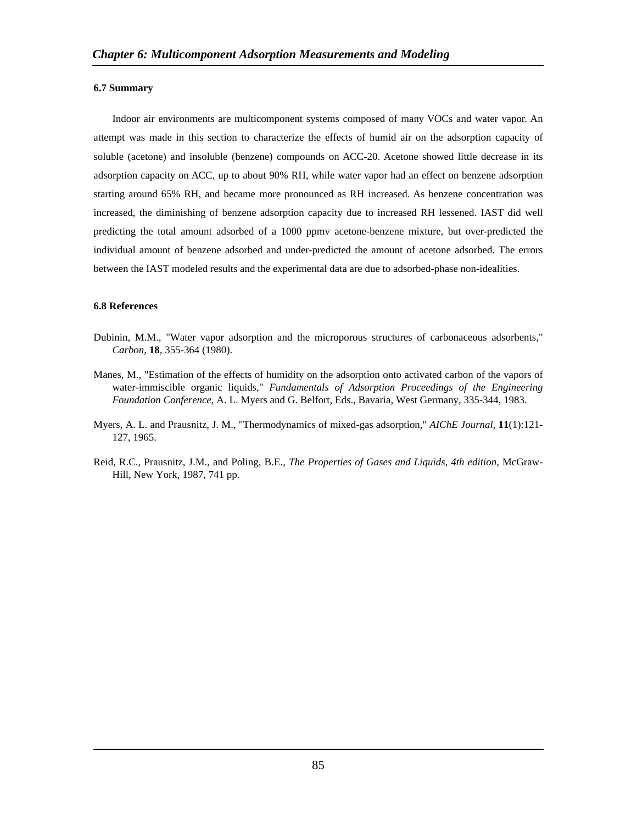# **6.7 Summary**

Indoor air environments are multicomponent systems composed of many VOCs and water vapor. An attempt was made in this section to characterize the effects of humid air on the adsorption capacity of soluble (acetone) and insoluble (benzene) compounds on ACC-20. Acetone showed little decrease in its adsorption capacity on ACC, up to about 90% RH, while water vapor had an effect on benzene adsorption starting around 65% RH, and became more pronounced as RH increased. As benzene concentration was increased, the diminishing of benzene adsorption capacity due to increased RH lessened. IAST did well predicting the total amount adsorbed of a 1000 ppmv acetone-benzene mixture, but over-predicted the individual amount of benzene adsorbed and under-predicted the amount of acetone adsorbed. The errors between the IAST modeled results and the experimental data are due to adsorbed-phase non-idealities.

# **6.8 References**

- Dubinin, M.M., "Water vapor adsorption and the microporous structures of carbonaceous adsorbents," *Carbon*, **18**, 355-364 (1980).
- Manes, M., "Estimation of the effects of humidity on the adsorption onto activated carbon of the vapors of water-immiscible organic liquids," *Fundamentals of Adsorption Proceedings of the Engineering Foundation Conference*, A. L. Myers and G. Belfort, Eds., Bavaria, West Germany, 335-344, 1983.
- Myers, A. L. and Prausnitz, J. M., "Thermodynamics of mixed-gas adsorption," *AIChE Journal*, **11**(1):121- 127, 1965.
- Reid, R.C., Prausnitz, J.M., and Poling, B.E., *The Properties of Gases and Liquids, 4th edition*, McGraw-Hill, New York, 1987, 741 pp.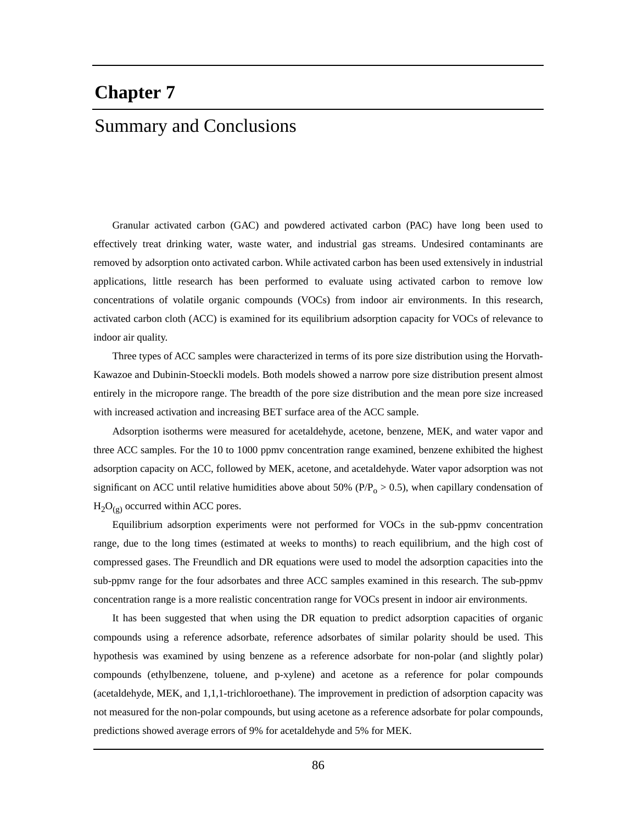# **Chapter 7**

# Summary and Conclusions

Granular activated carbon (GAC) and powdered activated carbon (PAC) have long been used to effectively treat drinking water, waste water, and industrial gas streams. Undesired contaminants are removed by adsorption onto activated carbon. While activated carbon has been used extensively in industrial applications, little research has been performed to evaluate using activated carbon to remove low concentrations of volatile organic compounds (VOCs) from indoor air environments. In this research, activated carbon cloth (ACC) is examined for its equilibrium adsorption capacity for VOCs of relevance to indoor air quality.

Three types of ACC samples were characterized in terms of its pore size distribution using the Horvath-Kawazoe and Dubinin-Stoeckli models. Both models showed a narrow pore size distribution present almost entirely in the micropore range. The breadth of the pore size distribution and the mean pore size increased with increased activation and increasing BET surface area of the ACC sample.

Adsorption isotherms were measured for acetaldehyde, acetone, benzene, MEK, and water vapor and three ACC samples. For the 10 to 1000 ppmv concentration range examined, benzene exhibited the highest adsorption capacity on ACC, followed by MEK, acetone, and acetaldehyde. Water vapor adsorption was not significant on ACC until relative humidities above about 50% ( $P/P_0 > 0.5$ ), when capillary condensation of  $H_2O_{(g)}$  occurred within ACC pores.

Equilibrium adsorption experiments were not performed for VOCs in the sub-ppmv concentration range, due to the long times (estimated at weeks to months) to reach equilibrium, and the high cost of compressed gases. The Freundlich and DR equations were used to model the adsorption capacities into the sub-ppmv range for the four adsorbates and three ACC samples examined in this research. The sub-ppmv concentration range is a more realistic concentration range for VOCs present in indoor air environments.

It has been suggested that when using the DR equation to predict adsorption capacities of organic compounds using a reference adsorbate, reference adsorbates of similar polarity should be used. This hypothesis was examined by using benzene as a reference adsorbate for non-polar (and slightly polar) compounds (ethylbenzene, toluene, and p-xylene) and acetone as a reference for polar compounds (acetaldehyde, MEK, and 1,1,1-trichloroethane). The improvement in prediction of adsorption capacity was not measured for the non-polar compounds, but using acetone as a reference adsorbate for polar compounds, predictions showed average errors of 9% for acetaldehyde and 5% for MEK.